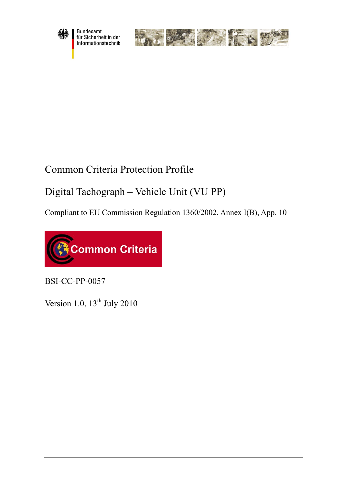

Bundesamt<br>für Sicherheit in der Informationstechnik



# Common Criteria Protection Profile

# Digital Tachograph – Vehicle Unit (VU PP)

Compliant to EU Commission Regulation 1360/2002, Annex I(B), App. 10



BSI-CC-PP-0057

Version [1.0](#page-4-0),  $13<sup>th</sup>$  July 2010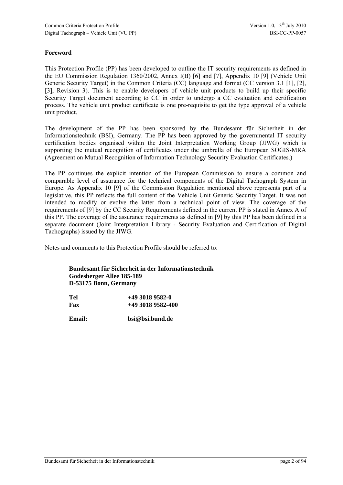#### **Foreword**

This Protection Profile (PP) has been developed to outline the IT security requirements as defined in the EU Commission Regulation 1360/2002, Annex I(B) [6] and [7], Appendix 10 [9] (Vehicle Unit Generic Security Target) in the Common Criteria (CC) language and format (CC version 3.1 [1], [2], [3], Revision 3). This is to enable developers of vehicle unit products to build up their specific Security Target document according to CC in order to undergo a CC evaluation and certification process. The vehicle unit product certificate is one pre-requisite to get the type approval of a vehicle unit product.

The development of the PP has been sponsored by the Bundesamt für Sicherheit in der Informationstechnik (BSI), Germany. The PP has been approved by the governmental IT security certification bodies organised within the Joint Interpretation Working Group (JIWG) which is supporting the mutual recognition of certificates under the umbrella of the European SOGIS-MRA (Agreement on Mutual Recognition of Information Technology Security Evaluation Certificates.)

The PP continues the explicit intention of the European Commission to ensure a common and comparable level of assurance for the technical components of the Digital Tachograph System in Europe. As Appendix 10 [9] of the Commission Regulation mentioned above represents part of a legislative, this PP reflects the full content of the Vehicle Unit Generic Security Target. It was not intended to modify or evolve the latter from a technical point of view. The coverage of the requirements of [9] by the CC Security Requirements defined in the current PP is stated in Annex A of this PP. The coverage of the assurance requirements as defined in [9] by this PP has been defined in a separate document (Joint Interpretation Library - Security Evaluation and Certification of Digital Tachographs) issued by the JIWG.

Notes and comments to this Protection Profile should be referred to:

**Bundesamt für Sicherheit in der Informationstechnik Godesberger Allee 185-189 D-53175 Bonn, Germany** 

| Tel | $+49$ 3018 9582-0 |
|-----|-------------------|
| Fax | $+4930189582-400$ |

**Email: bsi@bsi.bund.de**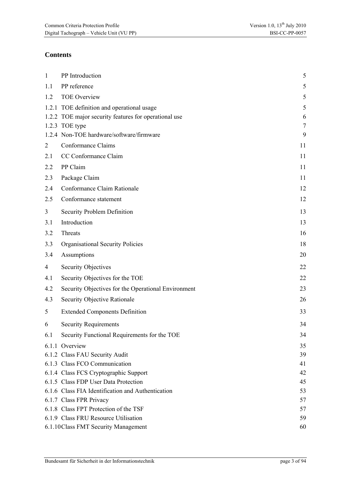### **Contents**

| $\mathbf{1}$   | PP Introduction                                       | 5              |
|----------------|-------------------------------------------------------|----------------|
| 1.1            | PP reference                                          | 5              |
| 1.2            | <b>TOE Overview</b>                                   | 5              |
|                | 1.2.1 TOE definition and operational usage            | 5              |
|                | 1.2.2 TOE major security features for operational use | 6              |
|                | 1.2.3 TOE type                                        | $\overline{7}$ |
|                | 1.2.4 Non-TOE hardware/software/firmware              | 9              |
| $\overline{2}$ | Conformance Claims                                    | 11             |
| 2.1            | CC Conformance Claim                                  | 11             |
| 2.2            | PP Claim                                              | 11             |
| 2.3            | Package Claim                                         | 11             |
| 2.4            | Conformance Claim Rationale                           | 12             |
| 2.5            | Conformance statement                                 | 12             |
| $\overline{3}$ | Security Problem Definition                           | 13             |
| 3.1            | Introduction                                          | 13             |
| 3.2            | Threats                                               | 16             |
| 3.3            | Organisational Security Policies                      | 18             |
| 3.4            | Assumptions                                           | 20             |
| 4              | <b>Security Objectives</b>                            | 22             |
| 4.1            | Security Objectives for the TOE                       | 22             |
| 4.2            | Security Objectives for the Operational Environment   | 23             |
| 4.3            | Security Objective Rationale                          | 26             |
| 5              | <b>Extended Components Definition</b>                 | 33             |
| 6              | <b>Security Requirements</b>                          | 34             |
| 6.1            | Security Functional Requirements for the TOE          | 34             |
|                | 6.1.1 Overview                                        | 35             |
|                | 6.1.2 Class FAU Security Audit                        | 39             |
|                | 6.1.3 Class FCO Communication                         | 41             |
|                | 6.1.4 Class FCS Cryptographic Support                 | 42             |
|                | 6.1.5 Class FDP User Data Protection                  | 45             |
|                | 6.1.6 Class FIA Identification and Authentication     | 53             |
|                | 6.1.7 Class FPR Privacy                               | 57             |
|                | 6.1.8 Class FPT Protection of the TSF                 | 57             |
|                | 6.1.9 Class FRU Resource Utilisation                  | 59             |
|                | 6.1.10 Class FMT Security Management                  | 60             |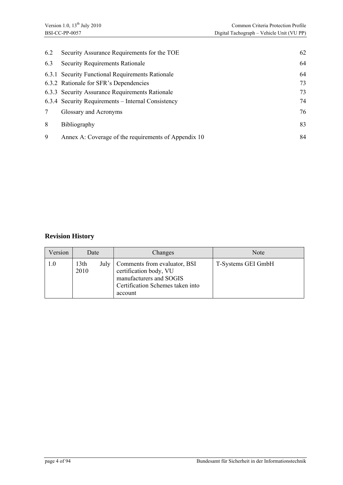| 6.2 | Security Assurance Requirements for the TOE          | 62 |
|-----|------------------------------------------------------|----|
| 6.3 | <b>Security Requirements Rationale</b>               | 64 |
|     | 6.3.1 Security Functional Requirements Rationale     | 64 |
|     | 6.3.2 Rationale for SFR's Dependencies               | 73 |
|     | 6.3.3 Security Assurance Requirements Rationale      | 73 |
|     | 6.3.4 Security Requirements – Internal Consistency   | 74 |
|     | Glossary and Acronyms                                | 76 |
| 8   | <b>Bibliography</b>                                  | 83 |
| 9   | Annex A: Coverage of the requirements of Appendix 10 | 84 |

### **Revision History**

| Version      | Date                 | Changes                                                                                                                          | Note               |
|--------------|----------------------|----------------------------------------------------------------------------------------------------------------------------------|--------------------|
| $_{\rm 0.1}$ | 13th<br>July<br>2010 | Comments from evaluator, BSI<br>certification body, VU<br>manufacturers and SOGIS<br>Certification Schemes taken into<br>account | T-Systems GEI GmbH |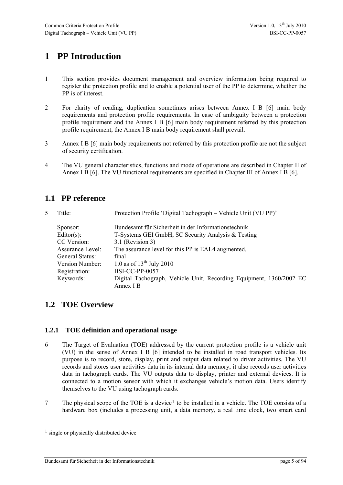# <span id="page-4-1"></span>**1 PP Introduction**

- 1 This section provides document management and overview information being required to register the protection profile and to enable a potential user of the PP to determine, whether the PP is of interest.
- 2 For clarity of reading, duplication sometimes arises between Annex I B [6] main body requirements and protection profile requirements. In case of ambiguity between a protection profile requirement and the Annex I B [6] main body requirement referred by this protection profile requirement, the Annex I B main body requirement shall prevail.
- 3 Annex I B [6] main body requirements not referred by this protection profile are not the subject of security certification.
- 4 The VU general characteristics, functions and mode of operations are described in Chapter II of Annex I B [6]. The VU functional requirements are specified in Chapter III of Annex I B [6].

### <span id="page-4-2"></span>**1.1 PP reference**

| 5 | Title:           | Protection Profile 'Digital Tachograph – Vehicle Unit (VU PP)'                   |
|---|------------------|----------------------------------------------------------------------------------|
|   | Sponsor:         | Bundesamt für Sicherheit in der Informationstechnik                              |
|   | Editor(s):       | T-Systems GEI GmbH, SC Security Analysis & Testing                               |
|   | CC Version:      | 3.1 (Revision 3)                                                                 |
|   | Assurance Level: | The assurance level for this PP is EAL4 augmented.                               |
|   | General Status:  | final                                                                            |
|   | Version Number:  | 1.0 as of $13^{th}$ July 2010                                                    |
|   | Registration:    | BSI-CC-PP-0057                                                                   |
|   | Keywords:        | Digital Tachograph, Vehicle Unit, Recording Equipment, 1360/2002 EC<br>Annex I B |
|   |                  |                                                                                  |

### <span id="page-4-3"></span><span id="page-4-0"></span>**1.2 TOE Overview**

#### <span id="page-4-4"></span>**1.2.1 TOE definition and operational usage**

- 6 The Target of Evaluation (TOE) addressed by the current protection profile is a vehicle unit (VU) in the sense of Annex I B [6] intended to be installed in road transport vehicles. Its purpose is to record, store, display, print and output data related to driver activities. The VU records and stores user activities data in its internal data memory, it also records user activities data in tachograph cards. The VU outputs data to display, printer and external devices. It is connected to a motion sensor with which it exchanges vehicle's motion data. Users identify themselves to the VU using tachograph cards.
- 7 The physical scope of the TOE is a device<sup>[1](#page-4-5)</sup> to be installed in a vehicle. The TOE consists of a hardware box (includes a processing unit, a data memory, a real time clock, two smart card

-

<span id="page-4-5"></span><sup>&</sup>lt;sup>1</sup> single or physically distributed device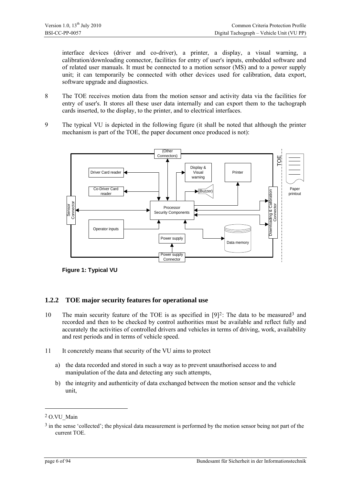interface devices (driver and co-driver), a printer, a display, a visual warning, a calibration/downloading connector, facilities for entry of user's inputs, embedded software and of related user manuals. It must be connected to a motion sensor (MS) and to a power supply unit; it can temporarily be connected with other devices used for calibration, data export, software upgrade and diagnostics.

- 8 The TOE receives motion data from the motion sensor and activity data via the facilities for entry of user's. It stores all these user data internally and can export them to the tachograph cards inserted, to the display, to the printer, and to electrical interfaces.
- 9 The typical VU is depicted in the following figure (it shall be noted that although the printer mechanism is part of the TOE, the paper document once produced is not):



**Figure 1: Typical VU** 

#### <span id="page-5-0"></span>**1.2.2 TOE major security features for operational use**

- 10 The main security feature of the TOE is as specified in  $[9]$ <sup>[2](#page-5-1)</sup>: The data to be measured<sup>[3](#page-5-2)</sup> and recorded and then to be checked by control authorities must be available and reflect fully and accurately the activities of controlled drivers and vehicles in terms of driving, work, availability and rest periods and in terms of vehicle speed.
- 11 It concretely means that security of the VU aims to protect
	- a) the data recorded and stored in such a way as to prevent unauthorised access to and manipulation of the data and detecting any such attempts,
	- b) the integrity and authenticity of data exchanged between the motion sensor and the vehicle unit,

<span id="page-5-1"></span><sup>&</sup>lt;sup>2</sup> O.VU Main

<span id="page-5-2"></span><sup>&</sup>lt;sup>3</sup> in the sense 'collected'; the physical data measurement is performed by the motion sensor being not part of the current TOE.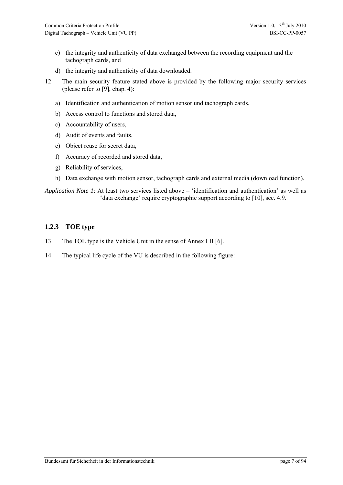- c) the integrity and authenticity of data exchanged between the recording equipment and the tachograph cards, and
- d) the integrity and authenticity of data downloaded.
- 12 The main security feature stated above is provided by the following major security services (please refer to [9], chap. 4):
	- a) Identification and authentication of motion sensor und tachograph cards,
	- b) Access control to functions and stored data,
	- c) Accountability of users,
	- d) Audit of events and faults,
	- e) Object reuse for secret data,
	- f) Accuracy of recorded and stored data,
	- g) Reliability of services,
	- h) Data exchange with motion sensor, tachograph cards and external media (download function).

*Application Note 1*: At least two services listed above – 'identification and authentication' as well as 'data exchange' require cryptographic support according to [10], sec. 4.9.

#### <span id="page-6-0"></span>**1.2.3 TOE type**

- 13 The TOE type is the Vehicle Unit in the sense of Annex I B [6].
- 14 The typical life cycle of the VU is described in the following figure: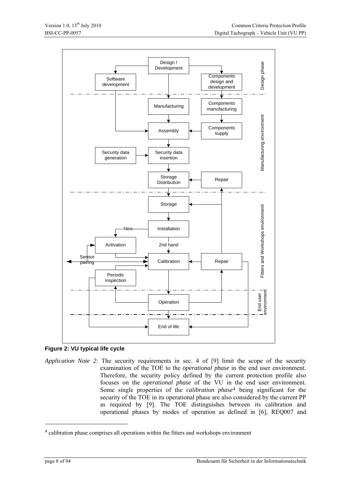

<span id="page-7-1"></span>

<span id="page-7-2"></span>*Application Note 2*: The security requirements in sec. 4 of [9] limit the scope of the security examination of the TOE to the *operational phase* in the end user environment. Therefore, the security policy defined by the current protection profile also focuses on the *operational phase* of the VU in the end user environment. Some single properties of the *calibration phase*[4](#page-7-0) being significant for the security of the TOE in its operational phase are also considered by the current PP as required by [9]. The TOE distinguishes between its calibration and operational phases by modes of operation as defined in [6], REQ007 and

-

<span id="page-7-0"></span><sup>4</sup> calibration phase comprises all operations within the fitters and workshops environment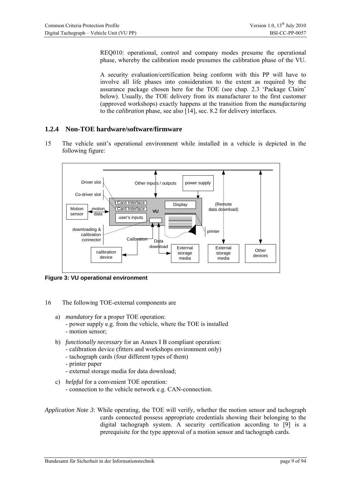REQ010: operational, control and company modes presume the operational phase, whereby the calibration mode presumes the calibration phase of the VU.

A security evaluation/certification being conform with this PP will have to involve all life phases into consideration to the extent as required by the assurance package chosen here for the TOE (see chap. [2.3 'Package Claim'](#page-10-3) below). Usually, the TOE delivery from its manufacturer to the first customer (approved workshops) exactly happens at the transition from the *manufacturing* to the *calibration* phase, see also [14], sec. 8.2 for delivery interfaces.

#### <span id="page-8-0"></span>**1.2.4 Non-TOE hardware/software/firmware**

15 The vehicle unit's operational environment while installed in a vehicle is depicted in the following figure:



**Figure 3: VU operational environment** 

- 16 The following TOE-external components are
	- a) *mandatory* for a proper TOE operation:
		- power supply e.g. from the vehicle, where the TOE is installed
		- motion sensor;
	- b) *functionally necessary* for an Annex I B compliant operation:
		- calibration device (fitters and workshops environment only)
		- tachograph cards (four different types of them)
		- printer paper
		- external storage media for data download;
	- c) *helpful* for a convenient TOE operation: - connection to the vehicle network e.g. CAN-connection.

#### *Application Note 3*: While operating, the TOE will verify, whether the motion sensor and tachograph cards connected possess appropriate credentials showing their belonging to the digital tachograph system. A security certification according to [9] is a prerequisite for the type approval of a motion sensor and tachograph cards.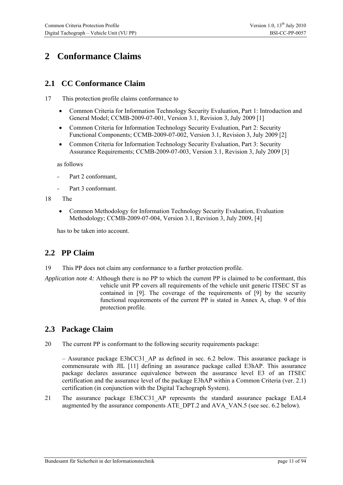# <span id="page-10-0"></span>**2 Conformance Claims**

### <span id="page-10-1"></span>**2.1 CC Conformance Claim**

17 This protection profile claims conformance to

- [Common Criteria for Information Technology Security Evaluation, Part 1: Introduction and](#page-82-1)  [General Model; CCMB-2009-07-001, Version 3.1, Revision 3, July 2009](#page-82-1) [1]
- [Common Criteria for Information Technology Security Evaluation, Part 2: Security](#page-82-2)  [Functional Components; CCMB-2009-07-002, Version 3.1, Revision 3, July 2009](#page-82-2) [2]
- Common Criteria for Information Technology Security Evaluation, Part 3: Security [Assurance Requirements; CCMB-2009-07-003, Version 3.1, Revision 3, July 2009](#page-82-3) [3]

as follows

- Part 2 conformant.
- Part 3 conformant.

#### 18 The

 [Common Methodology for Information Technology Security Evaluation, Evaluation](#page-82-4)  [Methodology; CCMB-2009-07-004, Version 3.1, Revision 3, July 2009](#page-82-4), [4]

has to be taken into account.

### <span id="page-10-2"></span>**2.2 PP Claim**

- 19 This PP does not claim any conformance to a further protection profile.
- *Application note 4:* Although there is no PP to which the current PP is claimed to be conformant, this vehicle unit PP covers all requirements of the vehicle unit generic ITSEC ST as contained in [9]. The coverage of the requirements of [9] by the security functional requirements of the current PP is stated in Annex A, chap. [9](#page-83-0) of this protection profile.

### <span id="page-10-3"></span>**2.3 Package Claim**

20 The current PP is conformant to the following security requirements package:

 $-$  Assurance package E3hCC31 AP as defined in sec. [6.2](#page-61-0) below. This assurance package is commensurate with JIL [11] defining an assurance package called E3hAP. This assurance package declares assurance equivalence between the assurance level E3 of an ITSEC certification and the assurance level of the package E3hAP within a Common Criteria (ver. 2.1) certification (in conjunction with the Digital Tachograph System).

21 The assurance package E3hCC31\_AP represents the standard assurance package EAL4 augmented by the assurance components ATE\_DPT.2 and AVA\_VAN.5 (see sec. [6.2](#page-61-0) below).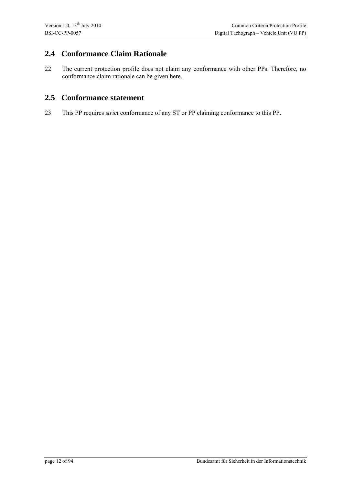### <span id="page-11-0"></span>**2.4 Conformance Claim Rationale**

22 The current protection profile does not claim any conformance with other PPs. Therefore, no conformance claim rationale can be given here.

### <span id="page-11-1"></span>**2.5 Conformance statement**

23 This PP requires *strict* conformance of any ST or PP claiming conformance to this PP.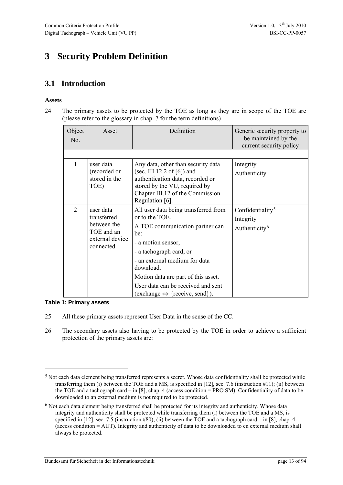# <span id="page-12-0"></span>**3 Security Problem Definition**

### <span id="page-12-1"></span>**3.1 Introduction**

#### **Assets**

24 The primary assets to be protected by the TOE as long as they are in scope of the TOE are (please refer to the glossary in chap. [7](#page-75-0) for the term definitions)

| Object<br>No.  | Asset                                                                                 | Definition                                                                                                                                                                                                                                                                                                                    | Generic security property to<br>be maintained by the<br>current security policy |
|----------------|---------------------------------------------------------------------------------------|-------------------------------------------------------------------------------------------------------------------------------------------------------------------------------------------------------------------------------------------------------------------------------------------------------------------------------|---------------------------------------------------------------------------------|
|                |                                                                                       |                                                                                                                                                                                                                                                                                                                               |                                                                                 |
| 1              | user data<br>(recorded or<br>stored in the<br>TOE)                                    | Any data, other than security data<br>(sec. III.12.2 of [6]) and<br>authentication data, recorded or<br>stored by the VU, required by<br>Chapter III.12 of the Commission<br>Regulation [6].                                                                                                                                  | Integrity<br>Authenticity                                                       |
| $\overline{2}$ | user data<br>transferred<br>between the<br>TOE and an<br>external device<br>connected | All user data being transferred from<br>or to the TOE.<br>A TOE communication partner can<br>be:<br>- a motion sensor,<br>- a tachograph card, or<br>- an external medium for data<br>download.<br>Motion data are part of this asset.<br>User data can be received and sent<br>(exchange $\Leftrightarrow$ {receive, send}). | Confidentiality <sup>5</sup><br>Integrity<br>Authenticity <sup>6</sup>          |

#### **Table 1: Primary assets**

<u>.</u>

25 All these primary assets represent User Data in the sense of the CC.

26 The secondary assets also having to be protected by the TOE in order to achieve a sufficient protection of the primary assets are:

<span id="page-12-2"></span><sup>&</sup>lt;sup>5</sup> Not each data element being transferred represents a secret. Whose data confidentiality shall be protected while transferring them (i) between the TOE and a MS, is specified in [12], sec. 7.6 (instruction #11); (ii) between the TOE and a tachograph card – in [8], chap. 4 (access condition = PRO SM). Confidentiality of data to be downloaded to an external medium is not required to be protected.

<span id="page-12-3"></span><sup>6</sup> Not each data element being transferred shall be protected for its integrity and authenticity. Whose data integrity and authenticity shall be protected while transferring them (i) between the TOE and a MS, is specified in [12], sec. 7.5 (instruction #80); (ii) between the TOE and a tachograph card – in [8], chap. 4 (access condition = AUT). Integrity and authenticity of data to be downloaded to en external medium shall always be protected.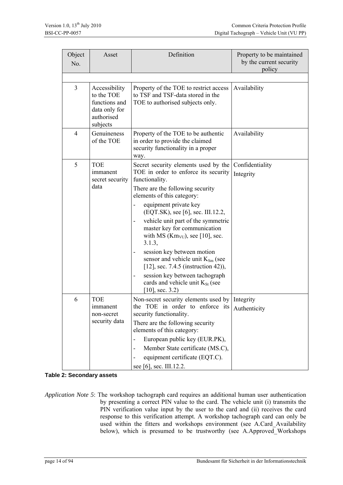| Object<br>No.  | Asset                                                                                   | Definition                                                                                                                                                                                                                                                                                                                                                                                                                                                                                                                                                                                                                      | Property to be maintained<br>by the current security<br>policy |
|----------------|-----------------------------------------------------------------------------------------|---------------------------------------------------------------------------------------------------------------------------------------------------------------------------------------------------------------------------------------------------------------------------------------------------------------------------------------------------------------------------------------------------------------------------------------------------------------------------------------------------------------------------------------------------------------------------------------------------------------------------------|----------------------------------------------------------------|
| $\overline{3}$ | Accessibility<br>to the TOE<br>functions and<br>data only for<br>authorised<br>subjects | Property of the TOE to restrict access<br>to TSF and TSF-data stored in the<br>TOE to authorised subjects only.                                                                                                                                                                                                                                                                                                                                                                                                                                                                                                                 | Availability                                                   |
| $\overline{4}$ | Genuineness<br>of the TOE                                                               | Property of the TOE to be authentic<br>in order to provide the claimed<br>security functionality in a proper<br>way.                                                                                                                                                                                                                                                                                                                                                                                                                                                                                                            | Availability                                                   |
| 5              | <b>TOE</b><br>immanent<br>secret security<br>data                                       | Secret security elements used by the<br>TOE in order to enforce its security<br>functionality.<br>There are the following security<br>elements of this category:<br>equipment private key<br>$\overline{\phantom{0}}$<br>(EQT.SK), see [6], sec. III.12.2,<br>vehicle unit part of the symmetric<br>$\overline{a}$<br>master key for communication<br>with MS ( $Km_{VU}$ ), see [10], sec.<br>3.1.3,<br>session key between motion<br>-<br>sensor and vehicle unit $K_{Sm}$ (see<br>[12], sec. 7.4.5 (instruction 42)),<br>session key between tachograph<br>cards and vehicle unit K <sub>St</sub> (see<br>$[10]$ , sec. 3.2) | Confidentiality<br>Integrity                                   |
| 6              | <b>TOE</b><br>immanent<br>non-secret<br>security data                                   | Non-secret security elements used by Integrity<br>the TOE in order to enforce its<br>security functionality.<br>There are the following security<br>elements of this category:<br>European public key (EUR.PK),<br>-<br>Member State certificate (MS.C),<br>$\overline{\phantom{0}}$<br>equipment certificate (EQT.C).<br>see [6], sec. III.12.2.                                                                                                                                                                                                                                                                               | Authenticity                                                   |

**Table 2: Secondary assets** 

*Application Note 5*: The workshop tachograph card requires an additional human user authentication by presenting a correct PIN value to the card. The vehicle unit (i) transmits the PIN verification value input by the user to the card and (ii) receives the card response to this verification attempt. A workshop tachograph card can only be used within the fitters and workshops environment (see A.Card\_Availability below), which is presumed to be trustworthy (see A.Approved Workshops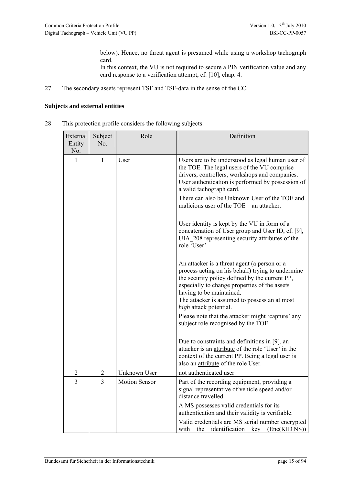below). Hence, no threat agent is presumed while using a workshop tachograph card.

In this context, the VU is not required to secure a PIN verification value and any card response to a verification attempt, cf. [10], chap. 4.

27 The secondary assets represent TSF and TSF-data in the sense of the CC.

#### **Subjects and external entities**

28 This protection profile considers the following subjects:

| External<br>Entity<br>No. | Subject<br>No. | Role                 | Definition                                                                                                                                                                                                                                                                                                  |
|---------------------------|----------------|----------------------|-------------------------------------------------------------------------------------------------------------------------------------------------------------------------------------------------------------------------------------------------------------------------------------------------------------|
| 1<br>1                    |                | User                 | Users are to be understood as legal human user of<br>the TOE. The legal users of the VU comprise<br>drivers, controllers, workshops and companies.<br>User authentication is performed by possession of<br>a valid tachograph card.                                                                         |
|                           |                |                      | There can also be Unknown User of the TOE and<br>malicious user of the $TOE - an$ attacker.                                                                                                                                                                                                                 |
|                           |                |                      | User identity is kept by the VU in form of a<br>concatenation of User group and User ID, cf. [9],<br>UIA 208 representing security attributes of the<br>role 'User'.                                                                                                                                        |
|                           |                |                      | An attacker is a threat agent (a person or a<br>process acting on his behalf) trying to undermine<br>the security policy defined by the current PP,<br>especially to change properties of the assets<br>having to be maintained.<br>The attacker is assumed to possess an at most<br>high attack potential. |
|                           |                |                      | Please note that the attacker might 'capture' any<br>subject role recognised by the TOE.                                                                                                                                                                                                                    |
|                           |                |                      | Due to constraints and definitions in [9], an<br>attacker is an attribute of the role 'User' in the<br>context of the current PP. Being a legal user is<br>also an <i>attribute</i> of the role User.                                                                                                       |
| $\overline{2}$            | $\overline{2}$ | Unknown User         | not authenticated user.                                                                                                                                                                                                                                                                                     |
| 3                         | 3              | <b>Motion Sensor</b> | Part of the recording equipment, providing a<br>signal representative of vehicle speed and/or<br>distance travelled.                                                                                                                                                                                        |
|                           |                |                      | A MS possesses valid credentials for its<br>authentication and their validity is verifiable.                                                                                                                                                                                                                |
|                           |                |                      | Valid credentials are MS serial number encrypted<br>the<br>identification<br>key<br>(Enc(KID NS))<br>with                                                                                                                                                                                                   |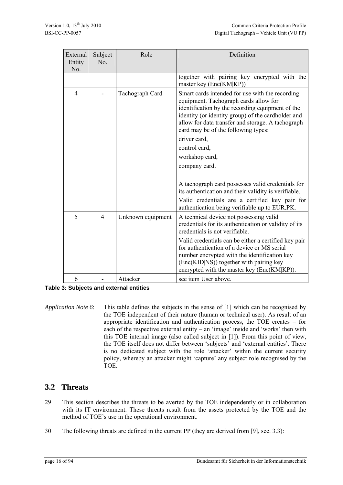| External<br>Entity<br>No. | Subject<br>No. | Role              | Definition                                                                                                                                                                                                                                                                                     |
|---------------------------|----------------|-------------------|------------------------------------------------------------------------------------------------------------------------------------------------------------------------------------------------------------------------------------------------------------------------------------------------|
|                           |                |                   | together with pairing key encrypted with the<br>master key (Enc(KM KP))                                                                                                                                                                                                                        |
| 4                         |                | Tachograph Card   | Smart cards intended for use with the recording<br>equipment. Tachograph cards allow for<br>identification by the recording equipment of the<br>identity (or identity group) of the cardholder and<br>allow for data transfer and storage. A tachograph<br>card may be of the following types: |
|                           |                |                   | driver card,                                                                                                                                                                                                                                                                                   |
|                           |                |                   | control card,                                                                                                                                                                                                                                                                                  |
|                           |                |                   | workshop card,                                                                                                                                                                                                                                                                                 |
|                           |                |                   | company card.                                                                                                                                                                                                                                                                                  |
|                           |                |                   | A tachograph card possesses valid credentials for<br>its authentication and their validity is verifiable.<br>Valid credentials are a certified key pair for                                                                                                                                    |
|                           |                |                   | authentication being verifiable up to EUR.PK.                                                                                                                                                                                                                                                  |
| 5                         | $\overline{4}$ | Unknown equipment | A technical device not possessing valid<br>credentials for its authentication or validity of its<br>credentials is not verifiable.                                                                                                                                                             |
|                           |                |                   | Valid credentials can be either a certified key pair<br>for authentication of a device or MS serial<br>number encrypted with the identification key<br>(Enc(KID NS)) together with pairing key<br>encrypted with the master key (Enc(KM KP)).                                                  |
| 6                         |                | Attacker          | see item User above.                                                                                                                                                                                                                                                                           |

**Table 3: Subjects and external entities** 

*Application Note 6*: This table defines the subjects in the sense of [1] which can be recognised by the TOE independent of their nature (human or technical user). As result of an appropriate identification and authentication process, the TOE creates – for each of the respective external entity – an 'image' inside and 'works' then with this TOE internal image (also called subject in [1]). From this point of view, the TOE itself does not differ between 'subjects' and 'external entities'. There is no dedicated subject with the role 'attacker' within the current security policy, whereby an attacker might 'capture' any subject role recognised by the TOE.

### <span id="page-15-0"></span>**3.2 Threats**

- 29 This section describes the threats to be averted by the TOE independently or in collaboration with its IT environment. These threats result from the assets protected by the TOE and the method of TOE's use in the operational environment.
- 30 The following threats are defined in the current PP (they are derived from [9], sec. 3.3):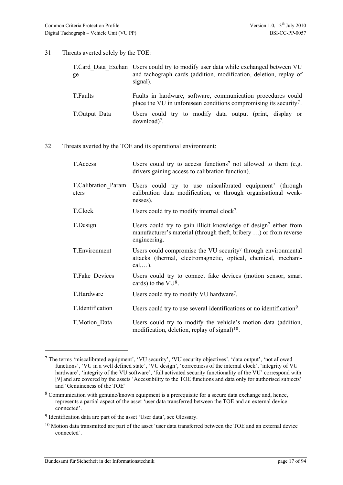31 Threats averted solely by the TOE:

| ge            | T.Card Data Exchan Users could try to modify user data while exchanged between VU<br>and tachograph cards (addition, modification, deletion, replay of<br>signal). |
|---------------|--------------------------------------------------------------------------------------------------------------------------------------------------------------------|
| T.Faults      | Faults in hardware, software, communication procedures could<br>place the VU in unforeseen conditions compromising its security <sup>7</sup> .                     |
| T.Output Data | Users could try to modify data output (print, display or<br>$download$ <sup>7</sup> .                                                                              |

32 Threats averted by the TOE and its operational environment:

| T.Access                     | Users could try to access functions <sup>7</sup> not allowed to them (e.g.<br>drivers gaining access to calibration function).                                    |
|------------------------------|-------------------------------------------------------------------------------------------------------------------------------------------------------------------|
| T.Calibration Param<br>eters | Users could try to use miscalibrated equipment <sup>7</sup> (through<br>calibration data modification, or through organisational weak-<br>nesses).                |
| T.Clock                      | Users could try to modify internal clock <sup>7</sup> .                                                                                                           |
| T.Design                     | Users could try to gain illicit knowledge of design <sup>7</sup> either from<br>manufacturer's material (through theft, bribery ) or from reverse<br>engineering. |
| T.Environment                | Users could compromise the VU security <sup>7</sup> through environmental<br>attacks (thermal, electromagnetic, optical, chemical, mechani-<br>$cal, \ldots$ ).   |
| T.Fake Devices               | Users could try to connect fake devices (motion sensor, smart<br>cards) to the VU <sup>8</sup> .                                                                  |
| T.Hardware                   | Users could try to modify VU hardware <sup>7</sup> .                                                                                                              |
| T.Identification             | Users could try to use several identifications or no identification <sup>9</sup> .                                                                                |
| T.Motion_Data                | Users could try to modify the vehicle's motion data (addition,<br>modification, deletion, replay of signal $1^{10}$ .                                             |

<span id="page-16-0"></span><sup>7</sup> The terms 'miscalibrated equipment', 'VU security', 'VU security objectives', 'data output', 'not allowed functions', 'VU in a well defined state', 'VU design', 'correctness of the internal clock', 'integrity of VU hardware', 'integrity of the VU software', 'full activated security functionality of the VU' correspond with [9] and are covered by the assets 'Accessibility to the TOE functions and data only for authorised subjects' and 'Genuineness of the TOE'

<span id="page-16-1"></span><sup>8</sup> Communication with genuine/known equipment is a prerequisite for a secure data exchange and, hence, represents a partial aspect of the asset 'user data transferred between the TOE and an external device connected'.

<span id="page-16-2"></span><sup>9</sup> Identification data are part of the asset 'User data', see Glossary.

<span id="page-16-3"></span><sup>10</sup> Motion data transmitted are part of the asset 'user data transferred between the TOE and an external device connected'.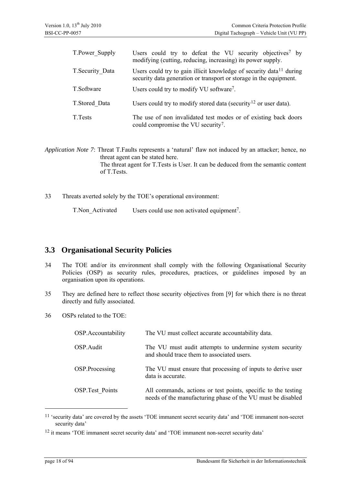| T.Power Supply   | Users could try to defeat the VU security objectives <sup>7</sup> by<br>modifying (cutting, reducing, increasing) its power supply.                   |
|------------------|-------------------------------------------------------------------------------------------------------------------------------------------------------|
| T. Security Data | Users could try to gain illicit knowledge of security data <sup>11</sup> during<br>security data generation or transport or storage in the equipment. |
| T.Software       | Users could try to modify VU software <sup>7</sup> .                                                                                                  |
| T.Stored Data    | Users could try to modify stored data (security <sup>12</sup> or user data).                                                                          |
| T. Tests         | The use of non invalidated test modes or of existing back doors<br>could compromise the VU security <sup>7</sup> .                                    |

*Application Note 7*: Threat T.Faults represents a 'natural' flaw not induced by an attacker; hence, no threat agent can be stated here. The threat agent for T.Tests is User. It can be deduced from the semantic content of T.Tests.

33 Threats averted solely by the TOE's operational environment:

T.Non\_Activated Users could use non activated equipment<sup>7</sup>.

### <span id="page-17-0"></span>**3.3 Organisational Security Policies**

- 34 The TOE and/or its environment shall comply with the following Organisational Security Policies (OSP) as security rules, procedures, practices, or guidelines imposed by an organisation upon its operations.
- 35 They are defined here to reflect those security objectives from [9] for which there is no threat directly and fully associated.
- 36 OSPs related to the TOE:

| OSP.Accountability     | The VU must collect accurate accountability data.                                                                            |
|------------------------|------------------------------------------------------------------------------------------------------------------------------|
| OSP.Audit              | The VU must audit attempts to undermine system security<br>and should trace them to associated users.                        |
| OSP.Processing         | The VU must ensure that processing of inputs to derive user<br>data is accurate.                                             |
| <b>OSP.Test Points</b> | All commands, actions or test points, specific to the testing<br>needs of the manufacturing phase of the VU must be disabled |

<span id="page-17-1"></span><sup>11 &#</sup>x27;security data' are covered by the assets 'TOE immanent secret security data' and 'TOE immanent non-secret security data'

<span id="page-17-2"></span><sup>12</sup> it means 'TOE immanent secret security data' and 'TOE immanent non-secret security data'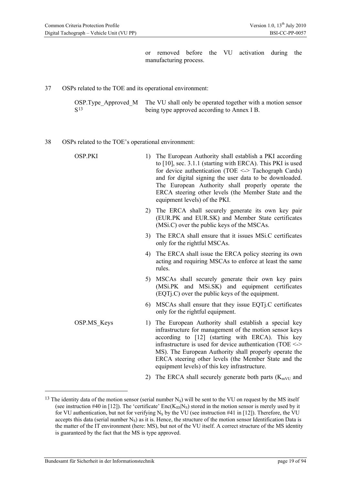or removed before the VU activation during the manufacturing process.

37 OSPs related to the TOE and its operational environment:

OSP.Type\_Approved\_M S[13](#page-18-0) The VU shall only be operated together with a motion sensor being type approved according to Annex I B.

#### 38 OSPs related to the TOE's operational environment:

| <b>OSP.PKI</b> | 1) | The European Authority shall establish a PKI according<br>to [10], sec. 3.1.1 (starting with ERCA). This PKI is used<br>for device authentication (TOE $\le$ -> Tachograph Cards)<br>and for digital signing the user data to be downloaded.<br>The European Authority shall properly operate the<br>ERCA steering other levels (the Member State and the<br>equipment levels) of the PKI.                 |
|----------------|----|------------------------------------------------------------------------------------------------------------------------------------------------------------------------------------------------------------------------------------------------------------------------------------------------------------------------------------------------------------------------------------------------------------|
|                | 2) | The ERCA shall securely generate its own key pair<br>(EUR.PK and EUR.SK) and Member State certificates<br>(MSi.C) over the public keys of the MSCAs.                                                                                                                                                                                                                                                       |
|                | 3) | The ERCA shall ensure that it issues MSi.C certificates<br>only for the rightful MSCAs.                                                                                                                                                                                                                                                                                                                    |
|                | 4) | The ERCA shall issue the ERCA policy steering its own<br>acting and requiring MSCAs to enforce at least the same<br>rules.                                                                                                                                                                                                                                                                                 |
|                |    | 5) MSCAs shall securely generate their own key pairs<br>(MSi.PK and MSi.SK) and equipment certificates<br>$(EQTi.C)$ over the public keys of the equipment.                                                                                                                                                                                                                                                |
|                |    | 6) MSCAs shall ensure that they issue EQT. C certificates<br>only for the rightful equipment.                                                                                                                                                                                                                                                                                                              |
| OSP.MS Keys    |    | 1) The European Authority shall establish a special key<br>infrastructure for management of the motion sensor keys<br>according to [12] (starting with ERCA). This key<br>infrastructure is used for device authentication (TOE $\le$ ><br>MS). The European Authority shall properly operate the<br>ERCA steering other levels (the Member State and the<br>equipment levels) of this key infrastructure. |
|                | 2) | The ERCA shall securely generate both parts ( $K_{mVU}$ and                                                                                                                                                                                                                                                                                                                                                |

<span id="page-18-0"></span><sup>&</sup>lt;sup>13</sup> The identity data of the motion sensor (serial number  $N_S$ ) will be sent to the VU on request by the MS itself (see instruction #40 in [12]). The 'certificate'  $Enc(K_D|N_S)$  stored in the motion sensor is merely used by it for VU authentication, but not for verifying  $N_S$  by the VU (see instruction #41 in [12]). Therefore, the VU accepts this data (serial number  $N_S$ ) as it is. Hence, the structure of the motion sensor Identification Data is the matter of the IT environment (here: MS), but not of the VU itself. A correct structure of the MS identity is guaranteed by the fact that the MS is type approved.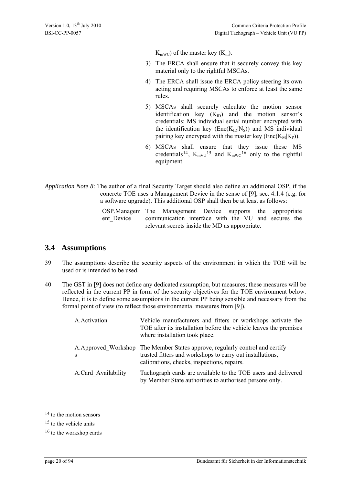$K<sub>mWC</sub>$  of the master key  $(K<sub>m</sub>)$ .

- 3) The ERCA shall ensure that it securely convey this key material only to the rightful MSCAs.
- 4) The ERCA shall issue the ERCA policy steering its own acting and requiring MSCAs to enforce at least the same rules.
- 5) MSCAs shall securely calculate the motion sensor identification key  $(K_{ID})$  and the motion sensor's credentials: MS individual serial number encrypted with the identification key  $(Enc(K<sub>ID</sub>|N<sub>S</sub>))$  and MS individual pairing key encrypted with the master key  $(Enc(K_M|K_P))$ .
- 6) MSCAs shall ensure that they issue these MS credentials<sup>[14](#page-19-1)</sup>,  $K_{mVU}$ <sup>[15](#page-19-2)</sup> and  $K_{mWC}$ <sup>[16](#page-19-3)</sup> only to the rightful equipment.
- *Application Note 8*: The author of a final Security Target should also define an additional OSP, if the concrete TOE uses a Management Device in the sense of [9], sec. 4.1.4 (e.g. for a software upgrade). This additional OSP shall then be at least as follows:

OSP.Managem The Management Device supports the appropriate ent Device communication interface with the VU and secures the relevant secrets inside the MD as appropriate.

### <span id="page-19-0"></span>**3.4 Assumptions**

- 39 The assumptions describe the security aspects of the environment in which the TOE will be used or is intended to be used.
- 40 The GST in [9] does not define any dedicated assumption, but measures; these measures will be reflected in the current PP in form of the security objectives for the TOE environment below. Hence, it is to define some assumptions in the current PP being sensible and necessary from the formal point of view (to reflect those environmental measures from [9]).

| A.Activation        | Vehicle manufacturers and fitters or workshops activate the<br>TOE after its installation before the vehicle leaves the premises<br>where installation took place.                        |
|---------------------|-------------------------------------------------------------------------------------------------------------------------------------------------------------------------------------------|
| S                   | A. Approved Workshop The Member States approve, regularly control and certify<br>trusted fitters and workshops to carry out installations,<br>calibrations, checks, inspections, repairs. |
| A.Card Availability | Tachograph cards are available to the TOE users and delivered<br>by Member State authorities to authorised persons only.                                                                  |

l

<span id="page-19-1"></span><sup>&</sup>lt;sup>14</sup> to the motion sensors

<span id="page-19-2"></span><sup>&</sup>lt;sup>15</sup> to the vehicle units

<span id="page-19-3"></span><sup>&</sup>lt;sup>16</sup> to the workshop cards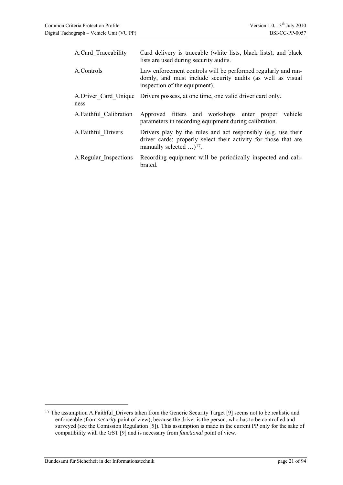| A.Card Traceability    | Card delivery is traceable (white lists, black lists), and black<br>lists are used during security audits.                                                                    |
|------------------------|-------------------------------------------------------------------------------------------------------------------------------------------------------------------------------|
| A.Controls             | Law enforcement controls will be performed regularly and ran-<br>domly, and must include security audits (as well as visual<br>inspection of the equipment).                  |
| ness                   | A. Driver Card Unique Drivers possess, at one time, one valid driver card only.                                                                                               |
| A.Faithful Calibration | Approved fitters and workshops enter<br>vehicle<br>proper<br>parameters in recording equipment during calibration.                                                            |
| A.Faithful Drivers     | Drivers play by the rules and act responsibly (e.g. use their<br>driver cards; properly select their activity for those that are<br>manually selected $\dots$ <sup>17</sup> . |
| A.Regular Inspections  | Recording equipment will be periodically inspected and cali-<br>brated.                                                                                                       |

-

<span id="page-20-0"></span><sup>&</sup>lt;sup>17</sup> The assumption A.Faithful Drivers taken from the Generic Security Target [9] seems not to be realistic and enforceable (from *security* point of view), because the driver is the person, who has to be controlled and surveyed (see the Comission Regulation [5]). This assumption is made in the current PP only for the sake of compatibility with the GST [9] and is necessary from *functional* point of view.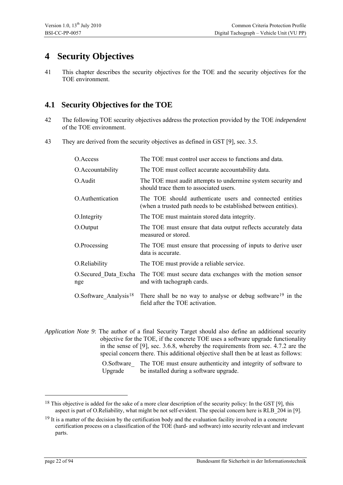## <span id="page-21-0"></span>**4 Security Objectives**

41 This chapter describes the security objectives for the TOE and the security objectives for the TOE environment.

### <span id="page-21-1"></span>**4.1 Security Objectives for the TOE**

- 42 The following TOE security objectives address the protection provided by the TOE *independent* of the TOE environment.
- 43 They are derived from the security objectives as defined in GST [9], sec. 3.5.

| O.Access                          | The TOE must control user access to functions and data.                                                                     |
|-----------------------------------|-----------------------------------------------------------------------------------------------------------------------------|
| O.Accountability                  | The TOE must collect accurate accountability data.                                                                          |
| O.Audit                           | The TOE must audit attempts to undermine system security and<br>should trace them to associated users.                      |
| O.Authentication                  | The TOE should authenticate users and connected entities<br>(when a trusted path needs to be established between entities). |
| O.Integrity                       | The TOE must maintain stored data integrity.                                                                                |
| O.Output                          | The TOE must ensure that data output reflects accurately data<br>measured or stored.                                        |
| O.Processing                      | The TOE must ensure that processing of inputs to derive user<br>data is accurate.                                           |
| O.Reliability                     | The TOE must provide a reliable service.                                                                                    |
| O.Secured Data Excha<br>nge       | The TOE must secure data exchanges with the motion sensor<br>and with tachograph cards.                                     |
| O.Software Analysis <sup>18</sup> | There shall be no way to analyse or debug software <sup>19</sup> in the<br>field after the TOE activation.                  |

*Application Note 9*: The author of a final Security Target should also define an additional security objective for the TOE, if the concrete TOE uses a software upgrade functionality in the sense of [9], sec. 3.6.8, whereby the requirements from sec. 4.7.2 are the special concern there. This additional objective shall then be at least as follows:

> O.Software\_ Upgrade The TOE must ensure authenticity and integrity of software to be installed during a software upgrade.

<span id="page-21-2"></span><sup>&</sup>lt;sup>18</sup> This objective is added for the sake of a more clear description of the security policy: In the GST [9], this aspect is part of O.Reliability, what might be not self-evident. The special concern here is RLB\_204 in [9].

<span id="page-21-3"></span><sup>&</sup>lt;sup>19</sup> It is a matter of the decision by the certification body and the evaluation facility involved in a concrete certification process on a classification of the TOE (hard- and software) into security relevant and irrelevant parts.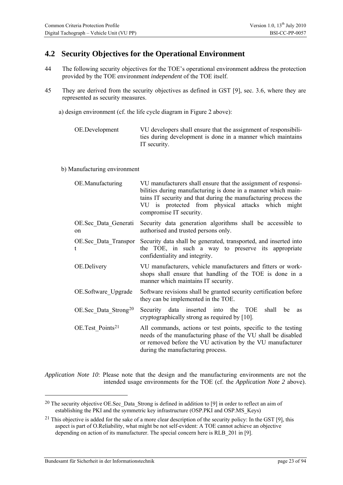### <span id="page-22-0"></span>**4.2 Security Objectives for the Operational Environment**

- 44 The following security objectives for the TOE's operational environment address the protection provided by the TOE environment *independent* of the TOE itself.
- 45 They are derived from the security objectives as defined in GST [9], sec. 3.6, where they are represented as security measures.
	- a) design environment (cf. the life cycle diagram in [Figure 2](#page-7-1) above):

| OE.Development | VU developers shall ensure that the assignment of responsibili- |
|----------------|-----------------------------------------------------------------|
|                | ties during development is done in a manner which maintains     |
|                | IT security.                                                    |

#### b) Manufacturing environment

| OE.Manufacturing                    | VU manufacturers shall ensure that the assignment of responsi-<br>bilities during manufacturing is done in a manner which main-<br>tains IT security and that during the manufacturing process the<br>VU is protected from physical attacks which might<br>compromise IT security. |
|-------------------------------------|------------------------------------------------------------------------------------------------------------------------------------------------------------------------------------------------------------------------------------------------------------------------------------|
| OE.Sec Data Generati<br>on          | Security data generation algorithms shall be accessible to<br>authorised and trusted persons only.                                                                                                                                                                                 |
| OE.Sec Data Transpor                | Security data shall be generated, transported, and inserted into<br>the TOE, in such a way to preserve its appropriate<br>confidentiality and integrity.                                                                                                                           |
| OE.Delivery                         | VU manufacturers, vehicle manufacturers and fitters or work-<br>shops shall ensure that handling of the TOE is done in a<br>manner which maintains IT security.                                                                                                                    |
| OE.Software Upgrade                 | Software revisions shall be granted security certification before<br>they can be implemented in the TOE.                                                                                                                                                                           |
| $OE. Sec$ Data Strong <sup>20</sup> | Security data inserted into the TOE<br>shall<br>be<br><b>as</b><br>cryptographically strong as required by [10].                                                                                                                                                                   |
| OE.Test Points <sup>21</sup>        | All commands, actions or test points, specific to the testing<br>needs of the manufacturing phase of the VU shall be disabled<br>or removed before the VU activation by the VU manufacturer<br>during the manufacturing process.                                                   |

*Application Note 10*: Please note that the design and the manufacturing environments are not the intended usage environments for the TOE (cf. the *[Application Note 2](#page-7-2)* above).

Bundesamt für Sicherheit in der Informationstechnik page 23 of 94

<span id="page-22-1"></span><sup>&</sup>lt;sup>20</sup> The security objective OE.Sec Data Strong is defined in addition to [9] in order to reflect an aim of establishing the PKI and the symmetric key infrastructure (OSP.PKI and OSP.MS\_Keys)

<span id="page-22-2"></span><sup>&</sup>lt;sup>21</sup> This objective is added for the sake of a more clear description of the security policy: In the GST [9], this aspect is part of O.Reliability, what might be not self-evident: A TOE cannot achieve an objective depending on action of its manufacturer. The special concern here is RLB 201 in [9].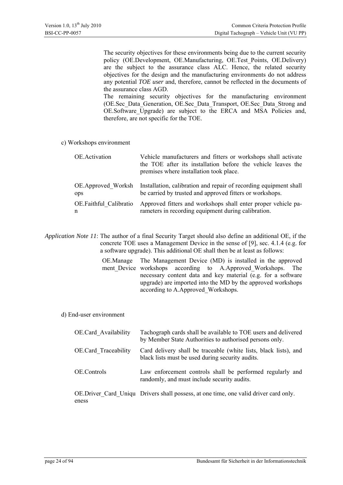The security objectives for these environments being due to the current security policy (OE.Development, OE.Manufacturing, OE.Test\_Points, OE.Delivery) are the subject to the assurance class ALC. Hence, the related security objectives for the design and the manufacturing environments do not address any potential *TOE user* and, therefore, cannot be reflected in the documents of the assurance class AGD.

The remaining security objectives for the manufacturing environment (OE.Sec\_Data\_Generation, OE.Sec\_Data\_Transport, OE.Sec\_Data\_Strong and OE.Software Upgrade) are subject to the ERCA and MSA Policies and, therefore, are not specific for the TOE.

c) Workshops environment

| OE.Activation          | Vehicle manufacturers and fitters or workshops shall activate<br>the TOE after its installation before the vehicle leaves the<br>premises where installation took place. |
|------------------------|--------------------------------------------------------------------------------------------------------------------------------------------------------------------------|
| OE.Approved Worksh     | Installation, calibration and repair of recording equipment shall                                                                                                        |
| <sub>ops</sub>         | be carried by trusted and approved fitters or workshops.                                                                                                                 |
| OE.Faithful Calibratio | Approved fitters and workshops shall enter proper vehicle pa-                                                                                                            |
| n                      | rameters in recording equipment during calibration.                                                                                                                      |

*Application Note 11*: The author of a final Security Target should also define an additional OE, if the concrete TOE uses a Management Device in the sense of [9], sec. 4.1.4 (e.g. for a software upgrade). This additional OE shall then be at least as follows:

> OE.Manage ment\_Device workshops according to A.Approved\_Workshops. The The Management Device (MD) is installed in the approved necessary content data and key material (e.g. for a software upgrade) are imported into the MD by the approved workshops according to A.Approved\_Workshops.

#### d) End-user environment

| <b>OE.Card Availability</b> | Tachograph cards shall be available to TOE users and delivered<br>by Member State Authorities to authorised persons only. |
|-----------------------------|---------------------------------------------------------------------------------------------------------------------------|
| <b>OE.Card Traceability</b> | Card delivery shall be traceable (white lists, black lists), and<br>black lists must be used during security audits.      |
| OE.Controls                 | Law enforcement controls shall be performed regularly and<br>randomly, and must include security audits.                  |
| eness                       | OE. Driver Card Uniqu Drivers shall possess, at one time, one valid driver card only.                                     |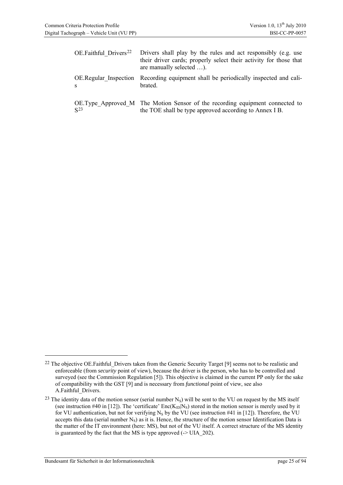| OE.Faithful Drivers <sup>22</sup>  | Drivers shall play by the rules and act responsibly (e.g. use<br>their driver cards; properly select their activity for those that<br>are manually selected ). |
|------------------------------------|----------------------------------------------------------------------------------------------------------------------------------------------------------------|
| <b>OE.Regular Inspection</b><br>-S | Recording equipment shall be periodically inspected and cali-<br>brated.                                                                                       |
| S <sub>23</sub>                    | OE. Type Approved M The Motion Sensor of the recording equipment connected to<br>the TOE shall be type approved according to Annex I B.                        |

<span id="page-24-0"></span><sup>&</sup>lt;sup>22</sup> The objective OE.Faithful Drivers taken from the Generic Security Target [9] seems not to be realistic and enforceable (from *security* point of view), because the driver is the person, who has to be controlled and surveyed (see the Commission Regulation [5]). This objective is claimed in the current PP only for the sake of compatibility with the GST [9] and is necessary from *functional* point of view, see also A.Faithful\_Drivers.

<span id="page-24-1"></span> $^{23}$  The identity data of the motion sensor (serial number N<sub>S</sub>) will be sent to the VU on request by the MS itself (see instruction #40 in [12]). The 'certificate'  $Enc(K_D|N_S)$  stored in the motion sensor is merely used by it for VU authentication, but not for verifying  $N_S$  by the VU (see instruction #41 in [12]). Therefore, the VU accepts this data (serial number  $N<sub>S</sub>$ ) as it is. Hence, the structure of the motion sensor Identification Data is the matter of the IT environment (here: MS), but not of the VU itself. A correct structure of the MS identity is guaranteed by the fact that the MS is type approved  $(-5 \text{ UIA } 202)$ .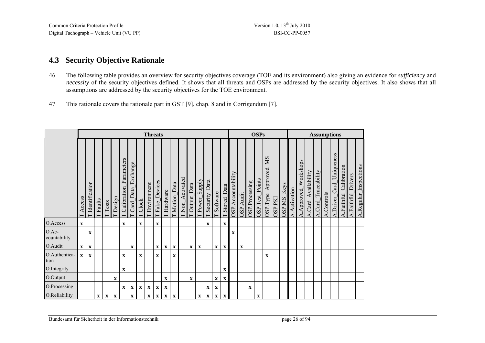#### **4.3Security Objective Rationale**

- 46 The following table provides an overview for security objectives coverage (TOE and its environment) also giving an evidence for *sufficiency* and *necessity* of the security objectives defined. It shows that all threats and OSPs are addressed by the security objectives. It also shows that all assumptions are addressed by the security objectives for the TOE environment.
- 47This rationale covers the rationale part in GST [9], chap. 8 and in Corrigendum [7].

<span id="page-25-0"></span>

|                       |              |                |             |                |             |                             |                       |              | <b>Threats</b> |                  |              |                |                    |                  |                        |                  |                           |                |                        |               |                | <b>OSPs</b>        |                                    |               |                       | <b>Assumptions</b> |                            |                        |                     |            |                          |                        |                    |                       |  |  |
|-----------------------|--------------|----------------|-------------|----------------|-------------|-----------------------------|-----------------------|--------------|----------------|------------------|--------------|----------------|--------------------|------------------|------------------------|------------------|---------------------------|----------------|------------------------|---------------|----------------|--------------------|------------------------------------|---------------|-----------------------|--------------------|----------------------------|------------------------|---------------------|------------|--------------------------|------------------------|--------------------|-----------------------|--|--|
|                       | T.Access     | Identification | Taults      | $\Gamma$ Tests | T.Design    | Parameters<br>T.Calibration | Exchange<br>Card_Data | Clock        | Environment    | Devices<br>Fake_ | Hardware     | Data<br>Motion | Activated<br>T.Non | Data<br>T.Output | <b>Ziqdns</b><br>Power | ata<br>Security. | Software                  | Data<br>Stored | Accountability<br>OSP. | Audit<br>OSP. | OSP.Processing | Points<br>OSP.Test | <b>SIN</b><br>Approved<br>OSP.Type | <b>DAGGSO</b> | Keys<br><b>SIVGSO</b> | Activation<br>⋖    | Workshops<br>Approved<br>⋖ | Availability<br>A.Card | A.Card_Traceability | A.Controls | A.Driver_Card_Uniqueness | A.Faithful_Calibration | A.Faithful Drivers | A.Regular_Inspections |  |  |
| O.Access              | $\mathbf{x}$ |                |             |                |             | $\mathbf x$                 |                       | $\mathbf{x}$ |                | $\mathbf{x}$     |              |                |                    |                  |                        | $\mathbf X$      |                           | $\mathbf x$    |                        |               |                |                    |                                    |               |                       |                    |                            |                        |                     |            |                          |                        |                    |                       |  |  |
| O.Ac-<br>countability |              | $\mathbf X$    |             |                |             |                             |                       |              |                |                  |              |                |                    |                  |                        |                  |                           |                | $\mathbf x$            |               |                |                    |                                    |               |                       |                    |                            |                        |                     |            |                          |                        |                    |                       |  |  |
| O.Audit               | $\mathbf{X}$ | $\mathbf X$    |             |                |             |                             | $\mathbf{x}$          |              |                | $\mathbf{X}$     | $\mathbf{X}$ | $\mathbf X$    |                    | $\mathbf{X}$     | $\mathbf{x}$           |                  | $\mathbf x$               | $\mathbf x$    |                        | $\mathbf x$   |                |                    |                                    |               |                       |                    |                            |                        |                     |            |                          |                        |                    |                       |  |  |
| O.Authentica-<br>tion | $\mathbf{X}$ | $\mathbf{x}$   |             |                |             | $\mathbf{X}$                |                       | $\mathbf X$  |                | $\mathbf{x}$     |              | $\mathbf{x}$   |                    |                  |                        |                  |                           |                |                        |               |                |                    | $\mathbf X$                        |               |                       |                    |                            |                        |                     |            |                          |                        |                    |                       |  |  |
| O.Integrity           |              |                |             |                |             | $\mathbf x$                 |                       |              |                |                  |              |                |                    |                  |                        |                  |                           | $\mathbf x$    |                        |               |                |                    |                                    |               |                       |                    |                            |                        |                     |            |                          |                        |                    |                       |  |  |
| O.Output              |              |                |             |                | $\mathbf X$ |                             |                       |              |                |                  | $\mathbf X$  |                |                    | $\mathbf X$      |                        |                  | $\mathbf X$               | $\mathbf X$    |                        |               |                |                    |                                    |               |                       |                    |                            |                        |                     |            |                          |                        |                    |                       |  |  |
| O.Processing          |              |                |             |                |             | $\mathbf{x}$                | $\mathbf{x}$          | $\mathbf{X}$ | $\mathbf{X}$   | $\mathbf{X}$     | $\mathbf X$  |                |                    |                  |                        | $\mathbf X$      | $\mathbf X$               |                |                        |               | $\mathbf X$    |                    |                                    |               |                       |                    |                            |                        |                     |            |                          |                        |                    |                       |  |  |
| O.Reliability         |              |                | $\mathbf X$ | $\mathbf{x}$   | $\mathbf X$ |                             | $\mathbf{x}$          |              | $\mathbf{X}$   | $\mathbf{X}$     | $\mathbf{X}$ | $\mathbf X$    |                    |                  | $\mathbf X$            | $\mathbf{X}$     | $\boldsymbol{\mathrm{X}}$ | $\mathbf X$    |                        |               |                | $\mathbf X$        |                                    |               |                       |                    |                            |                        |                     |            |                          |                        |                    |                       |  |  |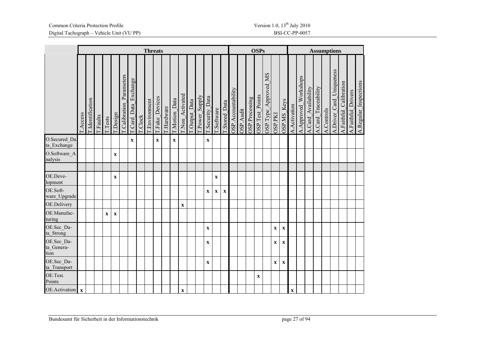|                                  |             |                |                 |             |                |                        |                    |               | <b>Threats</b> |                      |          |             |               |                     |               |               |             |              |                    |                   |                | <b>OSPs</b>            |                         |                |                      | <b>Assumptions</b> |                       |                      |                        |            |                             |                           |                       |                       |  |
|----------------------------------|-------------|----------------|-----------------|-------------|----------------|------------------------|--------------------|---------------|----------------|----------------------|----------|-------------|---------------|---------------------|---------------|---------------|-------------|--------------|--------------------|-------------------|----------------|------------------------|-------------------------|----------------|----------------------|--------------------|-----------------------|----------------------|------------------------|------------|-----------------------------|---------------------------|-----------------------|-----------------------|--|
|                                  | Access      | Identification | <b>T.Faults</b> | Tests       | <b>LDesign</b> | Calibration Parameters | Card_Data_Exchange | <b>LClock</b> | LEnvironment   | <b>LEake_Devices</b> | Hardware | Motion_Data | Non_Activated | <b>COutput</b> Data | [Power_Supply | Security_Data | Software    | LStored_Data | OSP.Accountability | <b>OSP</b> .Audit | OSP.Processing | <b>OSP.Test_Points</b> | Approved MS<br>OSP.Type | <b>DSP.PKI</b> | Keys<br><b>SNGSC</b> | Activation<br>⋖    | Workshops<br>Approved | Availability<br>Card | Traceability<br>A.Card | A.Controls | Card_Uniqueness<br>A.Driver | Calibration<br>A.Faithful | Drivers<br>A.Faithful | A.Regular_Inspections |  |
| O.Secured Da<br>ta_Exchange      |             |                |                 |             |                |                        | $\mathbf X$        |               |                | $\mathbf X$          |          | $\mathbf X$ |               |                     |               | $\mathbf X$   |             |              |                    |                   |                |                        |                         |                |                      |                    |                       |                      |                        |            |                             |                           |                       |                       |  |
| O.Software A<br>nalysis          |             |                |                 |             | $\mathbf X$    |                        |                    |               |                |                      |          |             |               |                     |               |               |             |              |                    |                   |                |                        |                         |                |                      |                    |                       |                      |                        |            |                             |                           |                       |                       |  |
|                                  |             |                |                 |             |                |                        |                    |               |                |                      |          |             |               |                     |               |               |             |              |                    |                   |                |                        |                         |                |                      |                    |                       |                      |                        |            |                             |                           |                       |                       |  |
| OE.Deve-<br>lopment              |             |                |                 |             | $\mathbf X$    |                        |                    |               |                |                      |          |             |               |                     |               |               | $\mathbf X$ |              |                    |                   |                |                        |                         |                |                      |                    |                       |                      |                        |            |                             |                           |                       |                       |  |
| OE.Soft-<br>ware_Upgrade         |             |                |                 |             |                |                        |                    |               |                |                      |          |             |               |                     |               | $\mathbf X$   | $\mathbf X$ | $\mathbf x$  |                    |                   |                |                        |                         |                |                      |                    |                       |                      |                        |            |                             |                           |                       |                       |  |
| OE.Delivery                      |             |                |                 |             |                |                        |                    |               |                |                      |          |             | $\mathbf X$   |                     |               |               |             |              |                    |                   |                |                        |                         |                |                      |                    |                       |                      |                        |            |                             |                           |                       |                       |  |
| OE.Manufac-<br>turing            |             |                |                 | $\mathbf X$ | $\mathbf X$    |                        |                    |               |                |                      |          |             |               |                     |               |               |             |              |                    |                   |                |                        |                         |                |                      |                    |                       |                      |                        |            |                             |                           |                       |                       |  |
| OE.Sec Da-<br>ta Strong          |             |                |                 |             |                |                        |                    |               |                |                      |          |             |               |                     |               | $\mathbf X$   |             |              |                    |                   |                |                        |                         | $\mathbf X$    | $\mathbf X$          |                    |                       |                      |                        |            |                             |                           |                       |                       |  |
| OE.Sec Da-<br>ta_Genera-<br>tion |             |                |                 |             |                |                        |                    |               |                |                      |          |             |               |                     |               | $\mathbf X$   |             |              |                    |                   |                |                        |                         | $\mathbf X$    | $\mathbf X$          |                    |                       |                      |                        |            |                             |                           |                       |                       |  |
| OE.Sec_Da-<br>ta Transport       |             |                |                 |             |                |                        |                    |               |                |                      |          |             |               |                     |               | $\mathbf X$   |             |              |                    |                   |                |                        |                         | $\mathbf X$    | $\mathbf X$          |                    |                       |                      |                        |            |                             |                           |                       |                       |  |
| OE.Test.<br>Points               |             |                |                 |             |                |                        |                    |               |                |                      |          |             |               |                     |               |               |             |              |                    |                   |                | $\mathbf x$            |                         |                |                      |                    |                       |                      |                        |            |                             |                           |                       |                       |  |
| OE.Activation                    | $\mathbf x$ |                |                 |             |                |                        |                    |               |                |                      |          |             | $\mathbf X$   |                     |               |               |             |              |                    |                   |                |                        |                         |                |                      | $\mathbf X$        |                       |                      |                        |            |                             |                           |                       |                       |  |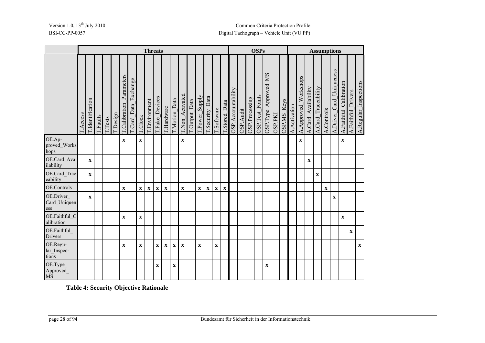|                                  | <b>Threats</b>  |                       |                 |                |        |                                  |                       |                |                           |                           |             |             | <b>OSPs</b>           |                    |               |               |              |                | <b>Assumptions</b> |           |                |                        |                         |                |                      |                 |                            |                        |                        |              |                          |                        |                    |                       |
|----------------------------------|-----------------|-----------------------|-----------------|----------------|--------|----------------------------------|-----------------------|----------------|---------------------------|---------------------------|-------------|-------------|-----------------------|--------------------|---------------|---------------|--------------|----------------|--------------------|-----------|----------------|------------------------|-------------------------|----------------|----------------------|-----------------|----------------------------|------------------------|------------------------|--------------|--------------------------|------------------------|--------------------|-----------------------|
|                                  | <b>T.Access</b> | <b>Ldentification</b> | <b>T.Faults</b> | <b>T.Tests</b> | Design | Parameters<br><b>Calibration</b> | Exchange<br>Card_Data | <b>T.Clock</b> | Environment               | Fake_Devices              | [Hardware]  | Motion_Data | <b>CNon_Activated</b> | <b>Couput</b> Data | [Power_Supply | Security_Data | Software     | Data<br>Stored | OSP.Accountability | OSP.Audit | OSP.Processing | <b>OSP.Test_Points</b> | Approved MS<br>OSP.Type | <b>INd dSC</b> | Keys<br><b>SNGSC</b> | Activation<br>⋖ | Workshops<br>Approved<br>⋖ | Availability<br>A.Card | Traceability<br>A.Card | A.Controls   | A.Driver_Card_Uniqueness | A.Faithful_Calibration | A.Faithful_Drivers | A.Regular_Inspections |
| OE.Ap-<br>proved_Works<br>hops   |                 |                       |                 |                |        | $\mathbf X$                      |                       | $\mathbf X$    |                           |                           |             |             | $\mathbf X$           |                    |               |               |              |                |                    |           |                |                        |                         |                |                      |                 | $\mathbf x$                |                        |                        |              |                          | $\mathbf{X}$           |                    |                       |
| OE.Card Ava<br>ilability         |                 | $\mathbf X$           |                 |                |        |                                  |                       |                |                           |                           |             |             |                       |                    |               |               |              |                |                    |           |                |                        |                         |                |                      |                 |                            | $\mathbf X$            |                        |              |                          |                        |                    |                       |
| OE.Card Trac<br>eability         |                 | $\mathbf X$           |                 |                |        |                                  |                       |                |                           |                           |             |             |                       |                    |               |               |              |                |                    |           |                |                        |                         |                |                      |                 |                            |                        | $\mathbf X$            |              |                          |                        |                    |                       |
| OE.Controls                      |                 |                       |                 |                |        | $\mathbf X$                      |                       | $\mathbf{X}$   | $\boldsymbol{\mathrm{X}}$ | $\boldsymbol{\mathrm{X}}$ | $\mathbf X$ |             | $\mathbf{x}$          |                    | $\mathbf X$   | $\mathbf X$   | $\mathbf{x}$ | $\mathbf x$    |                    |           |                |                        |                         |                |                      |                 |                            |                        |                        | $\mathbf{X}$ |                          |                        |                    |                       |
| OE.Driver<br>Card_Uniquen<br>ess |                 | $\mathbf X$           |                 |                |        |                                  |                       |                |                           |                           |             |             |                       |                    |               |               |              |                |                    |           |                |                        |                         |                |                      |                 |                            |                        |                        |              | $\mathbf X$              |                        |                    |                       |
| OE.Faithful C<br>alibration      |                 |                       |                 |                |        | $\mathbf X$                      |                       | $\mathbf X$    |                           |                           |             |             |                       |                    |               |               |              |                |                    |           |                |                        |                         |                |                      |                 |                            |                        |                        |              |                          | $\mathbf{x}$           |                    |                       |
| OE.Faithful_<br>Drivers          |                 |                       |                 |                |        |                                  |                       |                |                           |                           |             |             |                       |                    |               |               |              |                |                    |           |                |                        |                         |                |                      |                 |                            |                        |                        |              |                          |                        | $\mathbf X$        |                       |
| OE.Regu-<br>lar_Inspec-<br>tions |                 |                       |                 |                |        | $\mathbf X$                      |                       | $\mathbf X$    |                           | $\mathbf{x}$              | $\mathbf X$ | $\mathbf X$ | $\mathbf X$           |                    | $\mathbf X$   |               | $\mathbf X$  |                |                    |           |                |                        |                         |                |                      |                 |                            |                        |                        |              |                          |                        |                    | $\mathbf X$           |
| OE.Type_<br>Approved_<br>MS      |                 |                       |                 |                |        |                                  |                       |                |                           | $\mathbf X$               |             | $\mathbf X$ |                       |                    |               |               |              |                |                    |           |                |                        | $\mathbf X$             |                |                      |                 |                            |                        |                        |              |                          |                        |                    |                       |

**Table 4: Security Objective Rationale**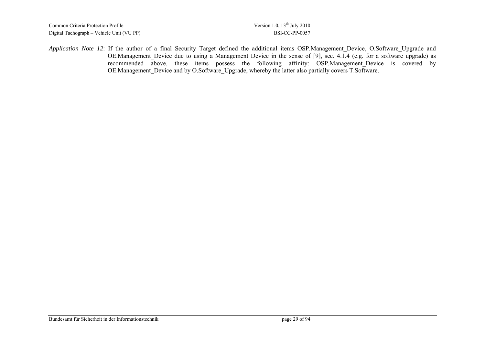| Common Criteria Protection Profile        | Version 1.0, $13th$ July 2010 |
|-------------------------------------------|-------------------------------|
| Digital Tachograph – Vehicle Unit (VU PP) | BSI-CC-PP-0057                |

*Application Note 12*: If the author of a final Security Target defined the additional items OSP.Management Device, O.Software Upgrade and OE.Management\_Device due to using a Management Device in the sense of [9], sec. 4.1.4 (e.g. for a software upgrade) as recommended above, these items possess the following affinity: OSP.Management Device is covered by OE.Management Device and by O.Software Upgrade, whereby the latter also partially covers T.Software.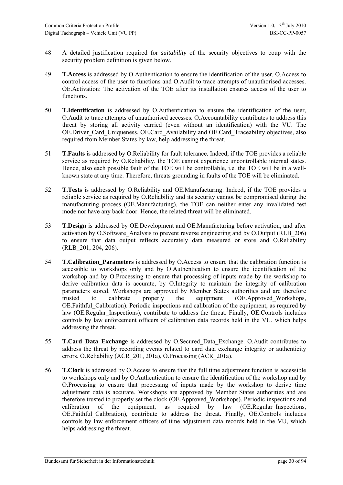- 48 A detailed justification required for *suitability* of the security objectives to coup with the security problem definition is given below.
- 49 **T.Access** is addressed by O.Authentication to ensure the identification of the user, O.Access to control access of the user to functions and O.Audit to trace attempts of unauthorised accesses. OE.Activation: The activation of the TOE after its installation ensures access of the user to functions.
- 50 **T.Identification** is addressed by O.Authentication to ensure the identification of the user, O.Audit to trace attempts of unauthorised accesses. O.Accountability contributes to address this threat by storing all activity carried (even without an identification) with the VU. The OE.Driver Card Uniqueness, OE.Card Availability and OE.Card Traceability objectives, also required from Member States by law, help addressing the threat.
- 51 **T.Faults** is addressed by O.Reliability for fault tolerance. Indeed, if the TOE provides a reliable service as required by O.Reliability, the TOE cannot experience uncontrollable internal states. Hence, also each possible fault of the TOE will be controllable, i.e. the TOE will be in a wellknown state at any time. Therefore, threats grounding in faults of the TOE will be eliminated.
- 52 **T.Tests** is addressed by O.Reliability and OE.Manufacturing. Indeed, if the TOE provides a reliable service as required by O.Reliability and its security cannot be compromised during the manufacturing process (OE.Manufacturing), the TOE can neither enter any invalidated test mode nor have any back door. Hence, the related threat will be eliminated.
- 53 **T.Design** is addressed by OE.Development and OE.Manufacturing before activation, and after activation by O.Software\_Analysis to prevent reverse engineering and by O.Output (RLB\_206) to ensure that data output reflects accurately data measured or store and O.Reliability (RLB\_201, 204, 206).
- 54 **T.Calibration\_Parameters** is addressed by O.Access to ensure that the calibration function is accessible to workshops only and by O.Authentication to ensure the identification of the workshop and by O.Processing to ensure that processing of inputs made by the workshop to derive calibration data is accurate, by O.Integrity to maintain the integrity of calibration parameters stored. Workshops are approved by Member States authorities and are therefore trusted to calibrate properly the equipment (OE.Approved\_Workshops, OE. Faithful Calibration). Periodic inspections and calibration of the equipment, as required by law (OE.Regular Inspections), contribute to address the threat. Finally, OE.Controls includes controls by law enforcement officers of calibration data records held in the VU, which helps addressing the threat.
- 55 **T.Card\_Data\_Exchange** is addressed by O.Secured\_Data\_Exchange. O.Audit contributes to address the threat by recording events related to card data exchange integrity or authenticity errors. O.Reliability (ACR\_201, 201a), O.Processing (ACR\_201a).
- 56 **T.Clock** is addressed by O.Access to ensure that the full time adjustment function is accessible to workshops only and by O.Authentication to ensure the identification of the workshop and by O.Processing to ensure that processing of inputs made by the workshop to derive time adjustment data is accurate. Workshops are approved by Member States authorities and are therefore trusted to properly set the clock (OE.Approved\_Workshops). Periodic inspections and calibration of the equipment, as required by law (OE.Regular Inspections, OE.Faithful\_Calibration), contribute to address the threat. Finally, OE.Controls includes controls by law enforcement officers of time adjustment data records held in the VU, which helps addressing the threat.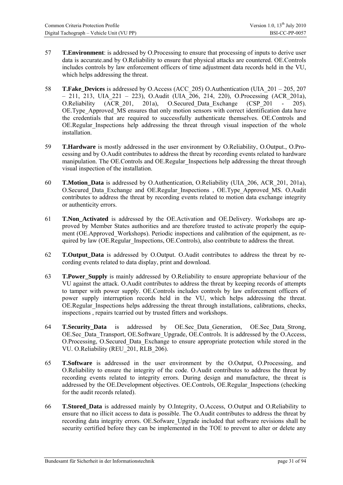- 57 **T.Environment**: is addressed by O.Processing to ensure that processing of inputs to derive user data is accurate.and by O.Reliability to ensure that physical attacks are countered. OE.Controls includes controls by law enforcement officers of time adjustment data records held in the VU, which helps addressing the threat.
- 58 **T.Fake\_Devices** is addressed by O.Access (ACC\_205) O.Authentication (UIA\_201 205, 207 – 211, 213, UIA\_221 – 223), O.Audit (UIA\_206, 214, 220), O.Processing (ACR\_201a), O.Reliability (ACR\_201, 201a), O.Secured\_Data\_Exchange (CSP\_201 - 205). OE.Type Approved MS ensures that only motion sensors with correct identification data have the credentials that are required to successfully authenticate themselves. OE.Controls and OE.Regular\_Inspections help addressing the threat through visual inspection of the whole installation.
- 59 **T.Hardware** is mostly addressed in the user environment by O.Reliability, O.Output., O.Processing and by O.Audit contributes to address the threat by recording events related to hardware manipulation. The OE.Controls and OE.Regular Inspections help addressing the threat through visual inspection of the installation.
- 60 **T.Motion\_Data** is addressed by O.Authentication, O.Reliability (UIA\_206, ACR\_201, 201a), O.Secured\_Data\_Exchange and OE.Regular\_Inspections , OE.Type\_Approved\_MS. O.Audit contributes to address the threat by recording events related to motion data exchange integrity or authenticity errors.
- 61 **T.Non\_Activated** is addressed by the OE.Activation and OE.Delivery. Workshops are approved by Member States authorities and are therefore trusted to activate properly the equipment (OE.Approved\_Workshops). Periodic inspections and calibration of the equipment, as required by law (OE.Regular\_Inspections, OE.Controls), also contribute to address the threat.
- 62 **T.Output\_Data** is addressed by O.Output. O.Audit contributes to address the threat by recording events related to data display, print and download.
- 63 **T.Power\_Supply** is mainly addressed by O.Reliability to ensure appropriate behaviour of the VU against the attack. O.Audit contributes to address the threat by keeping records of attempts to tamper with power supply. OE.Controls includes controls by law enforcement officers of power supply interruption records held in the VU, which helps addressing the threat. OE.Regular Inspections helps addressing the threat through installations, calibrations, checks, inspections , repairs tcarried out by trusted fitters and workshops.
- 64 **T.Security\_Data** is addressed by OE.Sec\_Data\_Generation, OE.Sec\_Data\_Strong, OE.Sec\_Data\_Transport, OE.Software\_Upgrade, OE.Controls. It is addressed by the O.Access, O.Processing, O.Secured\_Data\_Exchange to ensure appropriate protection while stored in the VU. O.Reliability (REU\_201, RLB\_206).
- 65 **T.Software** is addressed in the user environment by the O.Output, O.Processing, and O.Reliability to ensure the integrity of the code. O.Audit contributes to address the threat by recording events related to integrity errors. During design and manufacture, the threat is addressed by the OE.Development objectives. OE.Controls, OE.Regular\_Inspections (checking for the audit records related).
- 66 **T.Stored\_Data** is addressed mainly by O.Integrity, O.Access, O.Output and O.Reliability to ensure that no illicit access to data is possible. The O.Audit contributes to address the threat by recording data integrity errors. OE.Sofware Upgrade included that software revisions shall be security certified before they can be implemented in the TOE to prevent to alter or delete any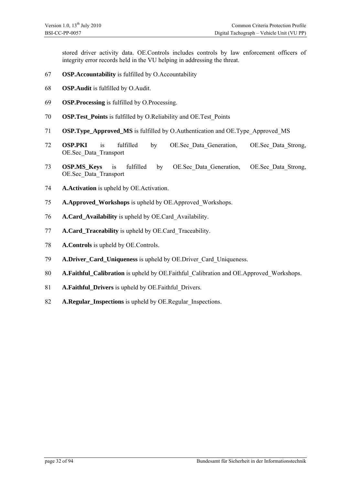stored driver activity data. OE.Controls includes controls by law enforcement officers of integrity error records held in the VU helping in addressing the threat.

- **OSP.Accountability** is fulfilled by O.Accountability
- **OSP.Audit** is fulfilled by O.Audit.
- **OSP.Processing** is fulfilled by O.Processing.
- **OSP.Test\_Points** is fulfilled by O.Reliability and OE.Test\_Points
- **OSP.Type\_Approved\_MS** is fulfilled by O.Authentication and OE.Type\_Approved\_MS
- **OSP.PKI** is fulfilled by OE.Sec\_Data\_Generation, OE.Sec\_Data\_Strong, OE.Sec\_Data\_Transport
- **OSP.MS\_Keys** is fulfilled by OE.Sec\_Data\_Generation, OE.Sec\_Data\_Strong, OE.Sec\_Data\_Transport
- **A.Activation** is upheld by OE.Activation.
- **A.Approved\_Workshops** is upheld by OE.Approved\_Workshops.
- **A.Card\_Availability** is upheld by OE.Card\_Availability.
- **A.Card\_Traceability** is upheld by OE.Card\_Traceability.
- **A.Controls** is upheld by OE.Controls.
- **A.Driver\_Card\_Uniqueness** is upheld by OE.Driver Card Uniqueness.
- **A.Faithful\_Calibration** is upheld by OE.Faithful\_Calibration and OE.Approved\_Workshops.
- **A.Faithful\_Drivers** is upheld by OE.Faithful\_Drivers.
- **A.Regular\_Inspections** is upheld by OE.Regular Inspections.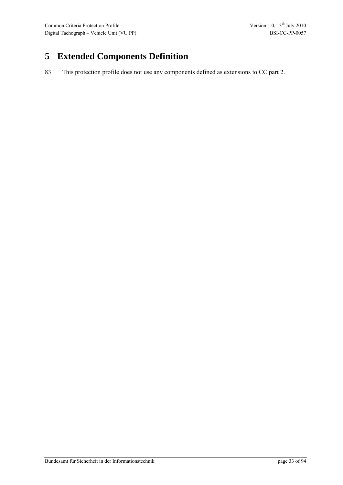# <span id="page-32-0"></span>**5 Extended Components Definition**

83 This protection profile does not use any components defined as extensions to CC part 2.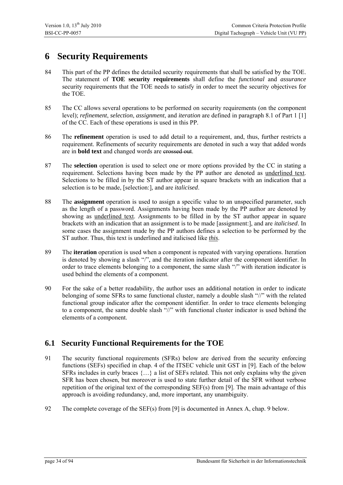## <span id="page-33-0"></span>**6 Security Requirements**

- 84 This part of the PP defines the detailed security requirements that shall be satisfied by the TOE. The statement of **TOE security requirements** shall define the *functional* and *assurance* security requirements that the TOE needs to satisfy in order to meet the security objectives for the TOE.
- 85 The CC allows several operations to be performed on security requirements (on the component level); *refinement*, *selection*, *assignment*, and *iteration* are defined in paragraph 8.1 of Part 1 [1] of the CC. Each of these operations is used in this PP.
- 86 The **refinement** operation is used to add detail to a requirement, and, thus, further restricts a requirement. Refinements of security requirements are denoted in such a way that added words are in **bold text** and changed words are crossed out.
- 87 The **selection** operation is used to select one or more options provided by the CC in stating a requirement. Selections having been made by the PP author are denoted as underlined text. Selections to be filled in by the ST author appear in square brackets with an indication that a selection is to be made, [selection:], and are *italicised*.
- 88 The **assignment** operation is used to assign a specific value to an unspecified parameter, such as the length of a password. Assignments having been made by the PP author are denoted by showing as underlined text. Assignments to be filled in by the ST author appear in square brackets with an indication that an assignment is to be made [assignment:], and are *italicised*. In some cases the assignment made by the PP authors defines a selection to be performed by the ST author. Thus, this text is underlined and italicised like *this*.
- 89 The **iteration** operation is used when a component is repeated with varying operations. Iteration is denoted by showing a slash "/", and the iteration indicator after the component identifier. In order to trace elements belonging to a component, the same slash "/" with iteration indicator is used behind the elements of a component.
- 90 For the sake of a better readability, the author uses an additional notation in order to indicate belonging of some SFRs to same functional cluster, namely a double slash "//" with the related functional group indicator after the component identifier. In order to trace elements belonging to a component, the same double slash "//" with functional cluster indicator is used behind the elements of a component.

### <span id="page-33-1"></span>**6.1 Security Functional Requirements for the TOE**

- 91 The security functional requirements (SFRs) below are derived from the security enforcing functions (SEFs) specified in chap. 4 of the ITSEC vehicle unit GST in [9]. Each of the below SFRs includes in curly braces  $\{...\}$  a list of SEFs related. This not only explains why the given SFR has been chosen, but moreover is used to state further detail of the SFR without verbose repetition of the original text of the corresponding SEF(s) from [9]. The main advantage of this approach is avoiding redundancy, and, more important, any unambiguity.
- 92 The complete coverage of the SEF(s) from [9] is documented in Annex A, chap. [9](#page-83-0) below.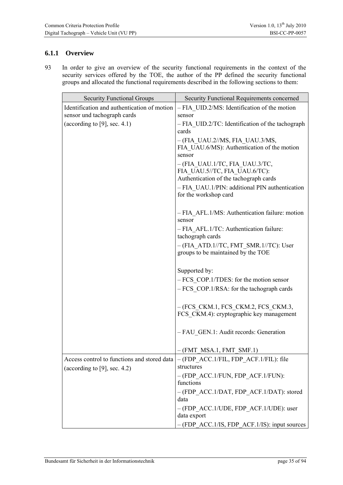#### <span id="page-34-0"></span>**6.1.1 Overview**

93 In order to give an overview of the security functional requirements in the context of the security services offered by the TOE, the author of the PP defined the security functional groups and allocated the functional requirements described in the following sections to them:

| <b>Security Functional Groups</b>                                              | Security Functional Requirements concerned                                       |
|--------------------------------------------------------------------------------|----------------------------------------------------------------------------------|
| Identification and authentication of motion                                    | - FIA UID.2/MS: Identification of the motion                                     |
| sensor und tachograph cards                                                    | sensor                                                                           |
| (according to [9], sec. $4.1$ )                                                | - FIA UID.2/TC: Identification of the tachograph<br>cards                        |
|                                                                                | $-(FIA UAU.2/MS, FIA UAU.3/MS,$                                                  |
|                                                                                | FIA UAU.6/MS): Authentication of the motion<br>sensor                            |
|                                                                                | $-(FIA UAU.1/TC, FIA UAU.3/TC,$<br>FIA UAU.5//TC, FIA UAU.6/TC):                 |
|                                                                                | Authentication of the tachograph cards                                           |
|                                                                                | - FIA UAU.1/PIN: additional PIN authentication<br>for the workshop card          |
|                                                                                | - FIA AFL.1/MS: Authentication failure: motion<br>sensor                         |
|                                                                                | - FIA AFL.1/TC: Authentication failure:<br>tachograph cards                      |
|                                                                                | $-$ (FIA ATD.1//TC, FMT SMR.1//TC): User<br>groups to be maintained by the TOE   |
|                                                                                | Supported by:                                                                    |
|                                                                                | $-FCS$ COP.1/TDES: for the motion sensor                                         |
|                                                                                | $-FCS$ COP.1/RSA: for the tachograph cards                                       |
|                                                                                | $-(FCS CKM.1, FCS CKM.2, FCS CKM.3,$<br>FCS CKM.4): cryptographic key management |
|                                                                                | - FAU GEN.1: Audit records: Generation                                           |
|                                                                                | $-(FMT MSA.1, FMT SMF.1)$                                                        |
| Access control to functions and stored data<br>(according to $[9]$ , sec. 4.2) | $-(FDP ACC.1/FIL, FDP ACT.1/FIL): file$<br>structures                            |
|                                                                                | - (FDP ACC.1/FUN, FDP ACF.1/FUN):<br>functions                                   |
|                                                                                | - (FDP ACC.1/DAT, FDP ACF.1/DAT): stored<br>data                                 |
|                                                                                | - (FDP ACC.1/UDE, FDP ACF.1/UDE): user<br>data export                            |
|                                                                                | - (FDP ACC.1/IS, FDP_ACF.1/IS): input sources                                    |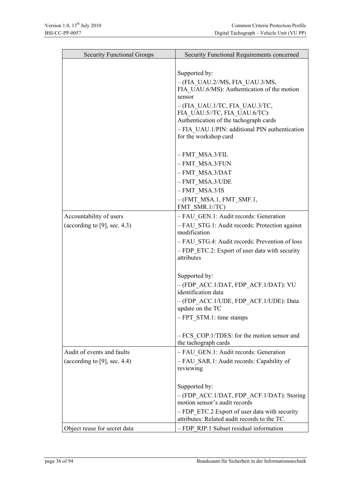| <b>Security Functional Groups</b> | Security Functional Requirements concerned                              |
|-----------------------------------|-------------------------------------------------------------------------|
|                                   |                                                                         |
|                                   | Supported by:                                                           |
|                                   | $-(FIA UAU.2/MS, FIA UAU.3/MS,$                                         |
|                                   | FIA UAU.6/MS): Authentication of the motion<br>sensor                   |
|                                   | - (FIA UAU.1/TC, FIA UAU.3/TC,                                          |
|                                   | FIA UAU.5//TC, FIA UAU.6/TC):                                           |
|                                   | Authentication of the tachograph cards                                  |
|                                   | - FIA UAU.1/PIN: additional PIN authentication<br>for the workshop card |
|                                   | - FMT MSA.3/FIL                                                         |
|                                   | - FMT MSA.3/FUN                                                         |
|                                   | - FMT MSA.3/DAT                                                         |
|                                   | - FMT MSA.3/UDE                                                         |
|                                   | $- FMT$ MSA.3/IS                                                        |
|                                   | $-(FMTMSA.1, FMTSMF.1,$<br>FMT SMR.1//TC)                               |
| Accountability of users           | - FAU GEN.1: Audit records: Generation                                  |
| (according to [9], sec. $4.3$ )   | - FAU STG.1: Audit records: Protection against                          |
|                                   | modification                                                            |
|                                   | - FAU STG.4: Audit records: Prevention of loss                          |
|                                   | - FDP ETC.2: Export of user data with security<br>attributes            |
|                                   | Supported by:                                                           |
|                                   | - (FDP ACC.1/DAT, FDP ACF.1/DAT): VU                                    |
|                                   | identification data                                                     |
|                                   | - (FDP ACC.1/UDE, FDP ACF.1/UDE): Data                                  |
|                                   | update on the TC                                                        |
|                                   | - FPT STM.1: time stamps                                                |
|                                   | - FCS COP.1/TDES: for the motion sensor and                             |
|                                   | the tachograph cards                                                    |
| Audit of events and faults        | - FAU GEN.1: Audit records: Generation                                  |
| (according to $[9]$ , sec. 4.4)   | - FAU SAR.1: Audit records: Capability of                               |
|                                   | reviewing                                                               |
|                                   | Supported by:                                                           |
|                                   | -(FDP ACC.1/DAT, FDP ACF.1/DAT): Storing                                |
|                                   | motion sensor's audit records                                           |
|                                   | - FDP ETC.2 Export of user data with security                           |
|                                   | attributes: Related audit records to the TC.                            |
| Object reuse for secret data      | - FDP RIP.1 Subset residual information                                 |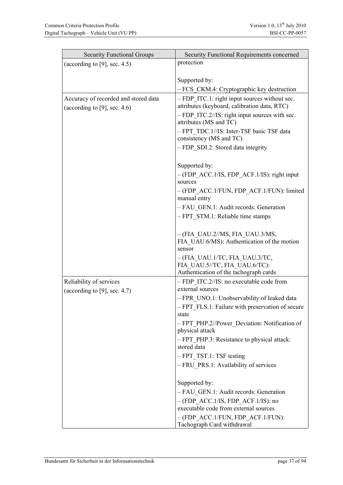| <b>Security Functional Groups</b>    | Security Functional Requirements concerned                                    |
|--------------------------------------|-------------------------------------------------------------------------------|
| (according to [9], sec. $4.5$ )      | protection                                                                    |
|                                      |                                                                               |
|                                      | Supported by:<br>- FCS CKM.4: Cryptographic key destruction                   |
| Accuracy of recorded and stored data | - FDP ITC.1: right input sources without sec.                                 |
| (according to [9], sec. 4.6)         | attributes (keyboard, calibration data, RTC)                                  |
|                                      | $-$ FDP ITC.2//IS: right input sources with sec.<br>attributes (MS and TC)    |
|                                      | - FPT TDC.1//IS: Inter-TSF basic TSF data<br>consistency (MS and TC)          |
|                                      | - FDP SDI.2: Stored data integrity                                            |
|                                      | Supported by:                                                                 |
|                                      | $-(FDP ACC.1/IS, FDP ACT.1/IS):$ right input<br>sources                       |
|                                      | - (FDP ACC.1/FUN, FDP ACF.1/FUN): limited<br>manual entry                     |
|                                      | - FAU GEN.1: Audit records: Generation                                        |
|                                      | - FPT STM.1: Reliable time stamps                                             |
|                                      | $-(FIA UAU.2/MS, FIA UAU.3/MS,$                                               |
|                                      | FIA UAU.6/MS): Authentication of the motion<br>sensor                         |
|                                      | $-(FIA UAU.1/TC, FIA UAU.3/TC,$                                               |
|                                      | FIA UAU.5//TC, FIA UAU.6/TC):<br>Authentication of the tachograph cards       |
| Reliability of services              | - FDP ITC.2//IS: no executable code from                                      |
| (according to $[9]$ , sec. 4.7)      | external sources                                                              |
|                                      | - FPR UNO.1: Unobservability of leaked data                                   |
|                                      | - FPT FLS.1: Failure with preservation of secure<br>state                     |
|                                      | - FPT PHP.2//Power Deviation: Notification of<br>physical attack              |
|                                      | - FPT PHP.3: Resistance to physical attack:                                   |
|                                      | stored data                                                                   |
|                                      | - FPT TST.1: TSF testing                                                      |
|                                      | - FRU PRS.1: Availability of services                                         |
|                                      | Supported by:                                                                 |
|                                      | - FAU GEN.1: Audit records: Generation                                        |
|                                      | $-(FDP ACC.1/IS, FDP ACT.1/IS)$ : no<br>executable code from external sources |
|                                      | - (FDP ACC.1/FUN, FDP ACF.1/FUN):<br>Tachograph Card withdrawal               |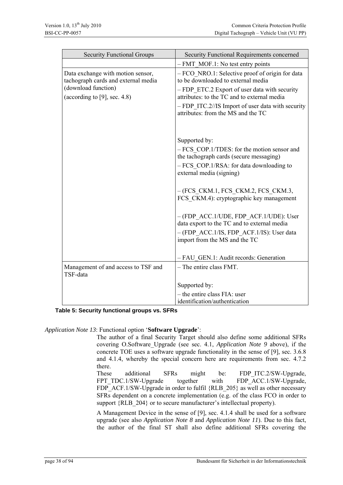| <b>Security Functional Groups</b>                                                                                                  | Security Functional Requirements concerned                                                                                                                                                                                                                                         |
|------------------------------------------------------------------------------------------------------------------------------------|------------------------------------------------------------------------------------------------------------------------------------------------------------------------------------------------------------------------------------------------------------------------------------|
|                                                                                                                                    | $- FMT MOF.1$ : No test entry points                                                                                                                                                                                                                                               |
| Data exchange with motion sensor,<br>tachograph cards and external media<br>(download function)<br>(according to [9], sec. $4.8$ ) | - FCO NRO.1: Selective proof of origin for data<br>to be downloaded to external media<br>- FDP ETC.2 Export of user data with security<br>attributes: to the TC and to external media<br>$-$ FDP ITC.2//IS Import of user data with security<br>attributes: from the MS and the TC |
|                                                                                                                                    | Supported by:<br>- FCS COP.1/TDES: for the motion sensor and<br>the tachograph cards (secure messaging)<br>- FCS COP.1/RSA: for data downloading to<br>external media (signing)                                                                                                    |
|                                                                                                                                    | $-(FCS CKM.1, FCS CKM.2, FCS CKM.3,$<br>FCS CKM.4): cryptographic key management                                                                                                                                                                                                   |
|                                                                                                                                    | - (FDP ACC.1/UDE, FDP ACF.1/UDE): User<br>data export to the TC and to external media<br>- (FDP ACC.1/IS, FDP ACF.1/IS): User data<br>import from the MS and the TC                                                                                                                |
|                                                                                                                                    | - FAU GEN.1: Audit records: Generation                                                                                                                                                                                                                                             |
| Management of and access to TSF and<br>TSF-data                                                                                    | $-$ The entire class FMT.                                                                                                                                                                                                                                                          |
|                                                                                                                                    | Supported by:                                                                                                                                                                                                                                                                      |
|                                                                                                                                    | - the entire class FIA: user<br>identification/authentication                                                                                                                                                                                                                      |

**Table 5: Security functional groups vs. SFRs** 

*Application Note 13*: Functional option '**Software Upgrade**':

The author of a final Security Target should also define some additional SFRs covering O.Software\_Upgrade (see sec. [4.1](#page-21-0), *[Application Note 9](#page-21-1)* above), if the concrete TOE uses a software upgrade functionality in the sense of [9], sec. 3.6.8 and 4.1.4, whereby the special concern here are requirements from sec. 4.7.2 there.

These additional SFRs might be: FDP\_ITC.2/SW-Upgrade, FPT\_TDC.1/SW-Upgrade together with FDP\_ACC.1/SW-Upgrade, FDP\_ACF.1/SW-Upgrade in order to fulfil {RLB\_205} as well as other necessary SFRs dependent on a concrete implementation (e.g. of the class FCO in order to support {RLB 204} or to secure manufacturer's intellectual property).

A Management Device in the sense of [9], sec. 4.1.4 shall be used for a software upgrade (see also *[Application Note 8](#page-18-0)* and *[Application Note 11](#page-23-0)*). Due to this fact, the author of the final ST shall also define additional SFRs covering the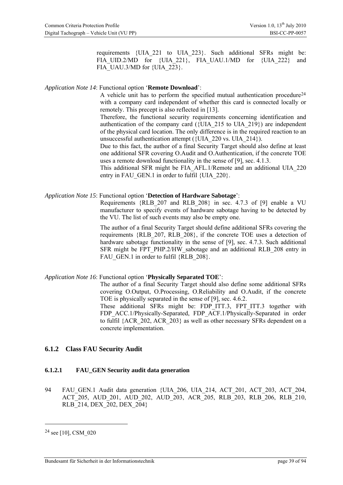requirements {UIA\_221 to UIA\_223}. Such additional SFRs might be: FIA\_UID.2/MD for {UIA\_221}, FIA\_UAU.1/MD for {UIA\_222} and FIA\_UAU.3/MD for {UIA\_223}.

### <span id="page-38-1"></span>*Application Note 14*: Functional option '**Remote Download**':

A vehicle unit has to perform the specified mutual authentication procedure<sup>[24](#page-38-0)</sup> with a company card independent of whether this card is connected locally or remotely. This precept is also reflected in [13].

Therefore, the functional security requirements concerning identification and authentication of the company card  $({\rm IUIA} 215$  to UIA 219}) are independent of the physical card location. The only difference is in the required reaction to an unsuccessful authentication attempt ({UIA\_220 vs. UIA\_214}).

Due to this fact, the author of a final Security Target should also define at least one additional SFR covering O.Audit and O.Authentication, if the concrete TOE uses a remote download functionality in the sense of [9], sec. 4.1.3.

This additional SFR might be FIA\_AFL.1/Remote and an additional UIA\_220 entry in FAU GEN.1 in order to fulfil {UIA\_220}.

### *Application Note 15*: Functional option '**Detection of Hardware Sabotage**':

Requirements {RLB\_207 and RLB\_208} in sec. 4.7.3 of [9] enable a VU manufacturer to specify events of hardware sabotage having to be detected by the VU. The list of such events may also be empty one.

The author of a final Security Target should define additional SFRs covering the requirements {RLB\_207, RLB\_208}, if the concrete TOE uses a detection of hardware sabotage functionality in the sense of [9], sec. 4.7.3. Such additional SFR might be FPT\_PHP.2/HW\_sabotage and an additional RLB\_208 entry in FAU GEN.1 in order to fulfil {RLB\_208}.

## *Application Note 16*: Functional option '**Physically Separated TOE**':

The author of a final Security Target should also define some additional SFRs covering O.Output, O.Processing, O.Reliability and O.Audit, if the concrete TOE is physically separated in the sense of [9], sec. 4.6.2.

These additional SFRs might be: FDP\_ITT.3, FPT\_ITT.3 together with FDP\_ACC.1/Physically-Separated, FDP\_ACF.1/Physically-Separated in order to fulfil {ACR\_202, ACR\_203} as well as other necessary SFRs dependent on a concrete implementation.

## **6.1.2 Class FAU Security Audit**

## **6.1.2.1 FAU\_GEN Security audit data generation**

94 FAU\_GEN.1 Audit data generation {UIA\_206, UIA\_214, ACT\_201, ACT\_203, ACT\_204, ACT\_205, AUD\_201, AUD\_202, AUD\_203, ACR\_205, RLB\_203, RLB\_206, RLB\_210, RLB 214, DEX 202, DEX 204}

<span id="page-38-0"></span><sup>24</sup> see [10], CSM\_020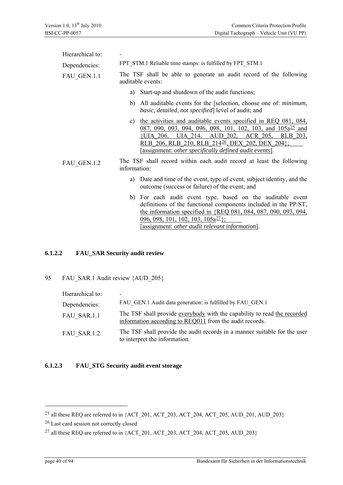| Hierarchical to: |                                                                                                                                                                                                                                                                                                                                                    |
|------------------|----------------------------------------------------------------------------------------------------------------------------------------------------------------------------------------------------------------------------------------------------------------------------------------------------------------------------------------------------|
| Dependencies:    | FPT STM.1 Reliable time stamps: is fulfilled by FPT STM.1                                                                                                                                                                                                                                                                                          |
| FAU GEN.1.1      | The TSF shall be able to generate an audit record of the following<br>auditable events:                                                                                                                                                                                                                                                            |
|                  | Start-up and shutdown of the audit functions;<br>a)                                                                                                                                                                                                                                                                                                |
|                  | All auditable events for the [selection, choose one of: <i>minimum</i> ,<br>b)<br><i>basic, detailed, not specified</i> level of audit; and                                                                                                                                                                                                        |
|                  | the activities and auditable events specified in REQ 081, 084,<br>C)<br>087, 090, 093, 094, 096, 098, 101, 102, 103, and 105a <sup>25</sup> and<br>{UIA 206, UIA 214,<br>AUD 202,<br>ACR 205,<br><u>RLB 203,</u><br>RLB 206, RLB 210, RLB 214 <sup>26</sup> , DEX 202, DEX 204};<br>[assignment: <i>other specifically defined audit events</i> ]. |
| FAU GEN.1.2      | The TSF shall record within each audit record at least the following<br>information:                                                                                                                                                                                                                                                               |
|                  | Date and time of the event, type of event, subject identity, and the<br>a)<br>outcome (success or failure) of the event; and                                                                                                                                                                                                                       |
|                  | b) For each audit event type, based on the auditable event<br>definitions of the functional components included in the PP/ST,<br>the information specified in {REQ 081, 084, 087, 090, 093, 094,<br>$\frac{0.096}{0.098}$ , 101, 102, 103, 105 $\frac{27}{10}$ ;<br>[assignment: <i>other audit relevant information</i> ].                        |

### **6.1.2.2 FAU\_SAR Security audit review**

95 FAU\_SAR.1 Audit review {AUD\_205}

| Hierarchical to: | $\overline{\phantom{0}}$                                                                                                            |
|------------------|-------------------------------------------------------------------------------------------------------------------------------------|
| Dependencies:    | FAU GEN.1 Audit data generation: is fulfilled by FAU GEN.1                                                                          |
| FAU SAR.1.1      | The TSF shall provide everybody with the capability to read the recorded<br>information according to REQ011 from the audit records. |
| FAU SAR.1.2      | The TSF shall provide the audit records in a manner suitable for the user<br>to interpret the information.                          |

## **6.1.2.3 FAU\_STG Security audit event storage**

<u>.</u>

<span id="page-39-0"></span><sup>25</sup> all these REQ are referred to in {ACT\_201, ACT\_203, ACT\_204, ACT\_205, AUD\_201, AUD\_203}

<span id="page-39-1"></span><sup>26</sup> Last card session not correctly closed

<span id="page-39-2"></span><sup>&</sup>lt;sup>27</sup> all these REQ are referred to in  ${ACT}$  201, ACT 203, ACT 204, ACT 205, AUD 203 $}$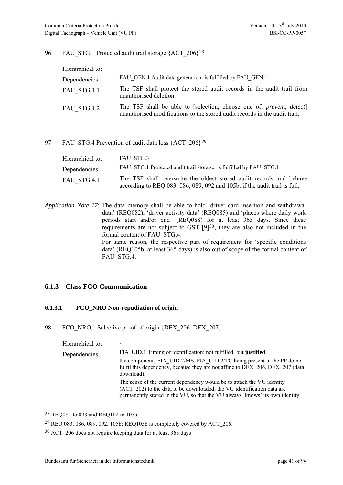#### 96 FAU STG.1 Protected audit trail storage {ACT\_206}<sup>[28](#page-40-0)</sup>

| Hierarchical to: |                                                                                                                                                            |
|------------------|------------------------------------------------------------------------------------------------------------------------------------------------------------|
| Dependencies:    | FAU GEN.1 Audit data generation: is fulfilled by FAU GEN.1                                                                                                 |
| FAU STG.1.1      | The TSF shall protect the stored audit records in the audit trail from<br>unauthorised deletion.                                                           |
| FAU STG.1.2      | The TSF shall be able to [selection, choose one of: <i>prevent, detect</i> ]<br>unauthorised modifications to the stored audit records in the audit trail. |

#### 97 FAU STG.4 Prevention of audit data loss {ACT\_206}<sup>[29](#page-40-1)</sup>

| Hierarchical to: | FAU STG.3                                                                 |
|------------------|---------------------------------------------------------------------------|
| Dependencies:    | FAU STG.1 Protected audit trail storage: is fulfilled by FAU STG.1        |
| FAU STG.4.1      | The TSF shall overwrite the oldest stored audit records and behave        |
|                  | according to REQ 083, 086, 089, 092 and 105b, if the audit trail is full. |

*Application Note 17*: The data memory shall be able to hold 'driver card insertion and withdrawal data' (REQ082), 'driver activity data' (REQ085) and 'places where daily work periods start and/or end' (REQ088) for at least 365 days. Since these requirements are not subject to GST [9][30](#page-40-2), they are also not included in the formal content of FAU\_STG.4. For same reason, the respective part of requirement for 'specific conditions data' (REQ105b, at least 365 days) is also out of scope of the formal content of FAU\_STG.4.

## **6.1.3 Class FCO Communication**

## **6.1.3.1 FCO\_NRO Non-repudiation of origin**

98 FCO\_NRO.1 Selective proof of origin {DEX\_206, DEX\_207}

Hierarchical to: Dependencies: FIA\_UID.1 Timing of identification: not fulfilled, but **justified**  the components FIA\_UID.2/MS, FIA\_UID.2/TC being present in the PP do not fulfil this dependency, because they are not affine to DEX 206, DEX 207 (data download). The sense of the current dependency would be to attach the VU identity (ACT\_202) to the data to be downloaded; the VU identification data are permanently stored in the VU, so that the VU always 'knows' its own identity.

<u>.</u>

<span id="page-40-0"></span><sup>28</sup> REQ081 to 093 and REQ102 to 105a

<span id="page-40-1"></span><sup>29</sup> REQ 083, 086, 089, 092, 105b; REQ105b is completely covered by ACT\_206.

<span id="page-40-2"></span><sup>30</sup> ACT\_206 does not require keeping data for at least 365 days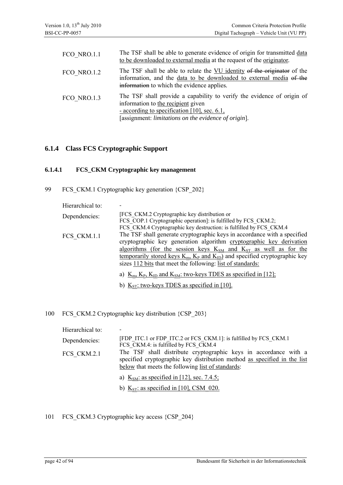| FCO NRO.1.1 | The TSF shall be able to generate evidence of origin for transmitted data<br>to be downloaded to external media at the request of the originator.                                                                    |
|-------------|----------------------------------------------------------------------------------------------------------------------------------------------------------------------------------------------------------------------|
| FCO NRO.1.2 | The TSF shall be able to relate the VU identity of the originator of the<br>information, and the data to be downloaded to external media of the<br>information to which the evidence applies.                        |
| FCO NRO.1.3 | The TSF shall provide a capability to verify the evidence of origin of<br>information to the recipient given<br>- according to specification [10], sec. 6.1,<br>[assignment: limitations on the evidence of origin]. |

## **6.1.4 Class FCS Cryptographic Support**

## **6.1.4.1 FCS\_CKM Cryptographic key management**

99 FCS CKM.1 Cryptographic key generation {CSP\_202}

| Hierarchical to: |                                                                                                                                                                                                                                                                                                                                                                                  |
|------------------|----------------------------------------------------------------------------------------------------------------------------------------------------------------------------------------------------------------------------------------------------------------------------------------------------------------------------------------------------------------------------------|
| Dependencies:    | [FCS CKM.2 Cryptographic key distribution or<br>FCS COP.1 Cryptographic operation]: is fulfilled by FCS CKM.2;<br>FCS_CKM.4 Cryptographic key destruction: is fulfilled by FCS_CKM.4                                                                                                                                                                                             |
| FCS CKM.1.1      | The TSF shall generate cryptographic keys in accordance with a specified<br>cryptographic key generation algorithm cryptographic key derivation<br>algorithms (for the session keys $K_{SM}$ and $K_{ST}$ as well as for the<br>temporarily stored keys $K_m$ , $K_P$ and $K_{ID}$ and specified cryptographic key<br>sizes 112 bits that meet the following: list of standards: |
|                  | a) $K_m$ , $K_p$ , $K_{ID}$ and $K_{SM}$ : two-keys TDES as specified in [12];<br>b) $K_{ST}$ : two-keys TDES as specified in [10].                                                                                                                                                                                                                                              |

## 100 FCS\_CKM.2 Cryptographic key distribution {CSP\_203}

| Hierarchical to: |                                                                                                                                                                                                   |
|------------------|---------------------------------------------------------------------------------------------------------------------------------------------------------------------------------------------------|
| Dependencies:    | [FDP ITC.1 or FDP ITC.2 or FCS CKM.1]: is fulfilled by FCS CKM.1<br>FCS CKM.4: is fulfilled by FCS CKM.4                                                                                          |
| FCS CKM.2.1      | The TSF shall distribute cryptographic keys in accordance with a<br>specified cryptographic key distribution method as specified in the list<br>below that meets the following list of standards: |
|                  | a) $KSM:$ as specified in [12], sec. 7.4.5;                                                                                                                                                       |
|                  | b) $K_{ST}$ : as specified in [10], CSM 020.                                                                                                                                                      |

101 FCS\_CKM.3 Cryptographic key access {CSP\_204}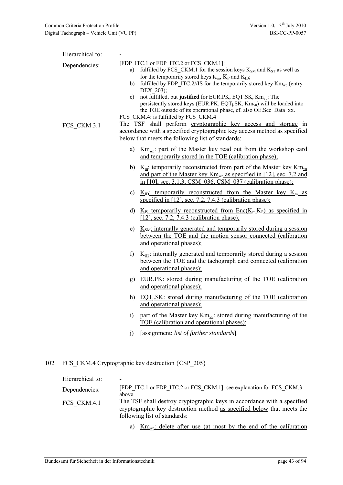| Hierarchical to:<br>Dependencies:<br>FCS CKM.3.1 | [FDP_ITC.1 or FDP_ITC.2 or FCS_CKM.1]:<br>fulfilled by FCS_CKM.1 for the session keys $K_{SM}$ and $K_{ST}$ as well as<br>a)<br>for the temporarily stored keys $K_m$ , $K_P$ and $K_{ID}$ ;<br>fulfilled by FDP_ITC.2//IS for the temporarily stored key $\text{Km}_{\text{wc}}$ (entry<br>b)<br>DEX 203);<br>not fulfilled, but justified for EUR.PK, EQT.SK, Km <sub>vu</sub> : The<br>$\mathbf{c}$<br>persistently stored keys (EUR.PK, EQT <sub>i</sub> .SK, Km <sub>vu</sub> ) will be loaded into<br>the TOE outside of its operational phase, cf. also OE.Sec Data xx.<br>FCS_CKM.4: is fulfilled by FCS_CKM.4<br>The TSF shall perform cryptographic key access and storage in<br>accordance with a specified cryptographic key access method as specified<br>below that meets the following list of standards: |  |
|--------------------------------------------------|--------------------------------------------------------------------------------------------------------------------------------------------------------------------------------------------------------------------------------------------------------------------------------------------------------------------------------------------------------------------------------------------------------------------------------------------------------------------------------------------------------------------------------------------------------------------------------------------------------------------------------------------------------------------------------------------------------------------------------------------------------------------------------------------------------------------------|--|
|                                                  | $\mathbf{Km}_{\text{wc}}$ : part of the Master key read out from the workshop card<br>a)<br>and temporarily stored in the TOE (calibration phase);                                                                                                                                                                                                                                                                                                                                                                                                                                                                                                                                                                                                                                                                       |  |
|                                                  | b) $K_m$ : temporarily reconstructed from part of the Master key $Km_{vu}$<br>and part of the Master key $Km_{wc}$ as specified in [12], sec. 7.2 and<br>in [10], sec. 3.1.3, CSM 036, CSM 037 (calibration phase);                                                                                                                                                                                                                                                                                                                                                                                                                                                                                                                                                                                                      |  |
|                                                  | $K_{\text{ID}}$ : temporarily reconstructed from the Master key $K_{\text{m}}$ as<br>C)<br>specified in $[12]$ , sec. 7.2, 7.4.3 (calibration phase);                                                                                                                                                                                                                                                                                                                                                                                                                                                                                                                                                                                                                                                                    |  |
|                                                  | d) $K_{P}$ : temporarily reconstructed from $Enc(K_m K_P)$ as specified in<br>$[12]$ , sec. 7.2, 7.4.3 (calibration phase);                                                                                                                                                                                                                                                                                                                                                                                                                                                                                                                                                                                                                                                                                              |  |
|                                                  | e) $KSM$ : internally generated and temporarily stored during a session<br>between the TOE and the motion sensor connected (calibration<br>and operational phases);                                                                                                                                                                                                                                                                                                                                                                                                                                                                                                                                                                                                                                                      |  |
|                                                  | $K_{ST}$ : internally generated and temporarily stored during a session<br>f)<br>between the TOE and the tachograph card connected (calibration<br>and operational phases);                                                                                                                                                                                                                                                                                                                                                                                                                                                                                                                                                                                                                                              |  |
|                                                  | EUR.PK: stored during manufacturing of the TOE (calibration<br>g)<br>and operational phases);                                                                                                                                                                                                                                                                                                                                                                                                                                                                                                                                                                                                                                                                                                                            |  |
|                                                  | h) EQT <sub>i</sub> .SK: stored during manufacturing of the TOE (calibration<br>and operational phases);                                                                                                                                                                                                                                                                                                                                                                                                                                                                                                                                                                                                                                                                                                                 |  |
|                                                  | part of the Master key $Km_{vu}$ : stored during manufacturing of the<br>$\ddot{1}$<br><u>TOE (calibration and operational phases);</u>                                                                                                                                                                                                                                                                                                                                                                                                                                                                                                                                                                                                                                                                                  |  |
|                                                  | [assignment: list of further standards].<br>j)                                                                                                                                                                                                                                                                                                                                                                                                                                                                                                                                                                                                                                                                                                                                                                           |  |
|                                                  |                                                                                                                                                                                                                                                                                                                                                                                                                                                                                                                                                                                                                                                                                                                                                                                                                          |  |

102 FCS\_CKM.4 Cryptographic key destruction {CSP\_205}

| Hierarchical to: |                                                                                                                                                                                   |
|------------------|-----------------------------------------------------------------------------------------------------------------------------------------------------------------------------------|
| Dependencies:    | [FDP ITC.1 or FDP ITC.2 or FCS CKM.1]: see explanation for FCS CKM.3<br>above                                                                                                     |
| FCS CKM.4.1      | The TSF shall destroy cryptographic keys in accordance with a specified<br>cryptographic key destruction method as specified below that meets the<br>following list of standards: |
|                  | a) $\text{Km}_{\text{wc}}$ : delete after use (at most by the end of the calibration                                                                                              |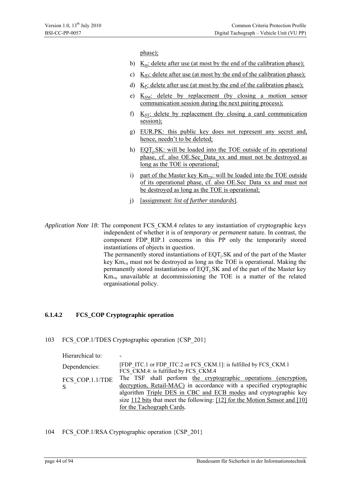phase);

- b)  $K_m$ : delete after use (at most by the end of the calibration phase);
- c)  $K_{ID}$ : delete after use (at most by the end of the calibration phase);
- d)  $K_P$ : delete after use (at most by the end of the calibration phase);
- e)  $K<sub>SM</sub>$ : delete by replacement (by closing a motion sensor communication session during the next pairing process);
- f)  $K_{ST}$ : delete by replacement (by closing a card communication session);
- g) EUR.PK: this public key does not represent any secret and, hence, needn't to be deleted;
- h) EQT<sub>i</sub>.SK: will be loaded into the TOE outside of its operational phase, cf. also OE.Sec Data xx and must not be destroyed as long as the TOE is operational;
- i) part of the Master key  $Km_{vu}$ : will be loaded into the TOE outside of its operational phase, cf. also OE.Sec\_Data\_xx and must not be destroyed as long as the TOE is operational;
- j) [assignment: *list of further standards*].

*Application Note 18*: The component FCS\_CKM.4 relates to any instantiation of cryptographic keys independent of whether it is of *temporary* or *permanent* nature. In contrast, the component FDP\_RIP.1 concerns in this PP\_only the temporarily stored instantiations of objects in question. The permanently stored instantiations of  $EQT<sub>i</sub>$ .SK and of the part of the Master key  $Km_{vu}$  must not be destroyed as long as the TOE is operational. Making the permanently stored instantiations of  $EQT<sub>i</sub>$ .SK and of the part of the Master key  $Km_{vu}$  unavailable at decommissioning the TOE is a matter of the related organisational policy.

#### **6.1.4.2 FCS\_COP Cryptographic operation**

103 FCS\_COP.1/TDES Cryptographic operation {CSP\_201}

| Hierarchical to:      | -                                                                                                                                                                                                                                                                                                                     |
|-----------------------|-----------------------------------------------------------------------------------------------------------------------------------------------------------------------------------------------------------------------------------------------------------------------------------------------------------------------|
| Dependencies:         | [FDP ITC.1 or FDP ITC.2 or FCS CKM.1]: is fulfilled by FCS CKM.1<br>FCS CKM.4: is fulfilled by FCS CKM.4                                                                                                                                                                                                              |
| FCS COP.1.1/TDE<br>S. | The TSF shall perform the cryptographic operations (encryption,<br>decryption, Retail-MAC) in accordance with a specified cryptographic<br>algorithm Triple DES in CBC and ECB modes and cryptographic key<br>size 112 bits that meet the following: [12] for the Motion Sensor and [10]<br>for the Tachograph Cards. |

104 FCS\_COP.1/RSA Cryptographic operation {CSP\_201}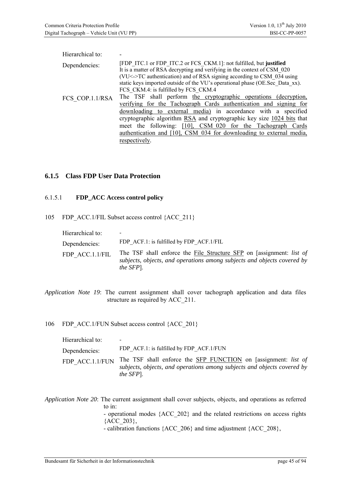| Hierarchical to: |                                                                                                                                                                                                                                                                                                           |
|------------------|-----------------------------------------------------------------------------------------------------------------------------------------------------------------------------------------------------------------------------------------------------------------------------------------------------------|
| Dependencies:    | [FDP ITC.1 or FDP ITC.2 or FCS CKM.1]: not fulfilled, but justified<br>It is a matter of RSA decrypting and verifying in the context of CSM 020<br>(VU<->TC authentication) and of RSA signing according to CSM 034 using<br>static keys imported outside of the VU's operational phase (OE.Sec Data xx). |
| FCS COP.1.1/RSA  | FCS CKM.4: is fulfilled by FCS CKM.4<br>The TSF shall perform the cryptographic operations (decryption,<br>verifying for the Tachograph Cards authentication and signing for<br>downloading to external media) in accordance with a specified                                                             |
|                  | cryptographic algorithm RSA and cryptographic key size 1024 bits that<br>meet the following: [10], CSM 020 for the Tachograph Cards<br>authentication and [10], CSM 034 for downloading to external media,<br>respectively.                                                                               |

### **6.1.5 Class FDP User Data Protection**

#### 6.1.5.1 **FDP\_ACC Access control policy**

105 FDP\_ACC.1/FIL Subset access control {ACC\_211}

| Hierarchical to: | -                                                                                                                                                                    |
|------------------|----------------------------------------------------------------------------------------------------------------------------------------------------------------------|
| Dependencies:    | FDP ACF.1: is fulfilled by FDP ACF.1/FIL                                                                                                                             |
| FDP ACC.1.1/FIL  | The TSF shall enforce the File Structure SFP on [assignment: list of<br>subjects, objects, and operations among subjects and objects covered by<br><i>the SFP</i> ]. |

*Application Note 19*: The current assignment shall cover tachograph application and data files structure as required by ACC\_211.

106 FDP\_ACC.1/FUN Subset access control {ACC\_201}

| Hierarchical to: |                                                                                                                                                                |
|------------------|----------------------------------------------------------------------------------------------------------------------------------------------------------------|
| Dependencies:    | FDP ACF.1: is fulfilled by FDP ACF.1/FUN                                                                                                                       |
| FDP ACC.1.1/FUN  | The TSF shall enforce the SFP FUNCTION on [assignment: list of<br>subjects, objects, and operations among subjects and objects covered by<br><i>the SFP</i> ]. |

*Application Note 20*: The current assignment shall cover subjects, objects, and operations as referred to in:

- operational modes {ACC\_202} and the related restrictions on access rights  ${ACC 203},$ 

- calibration functions {ACC\_206} and time adjustment {ACC\_208},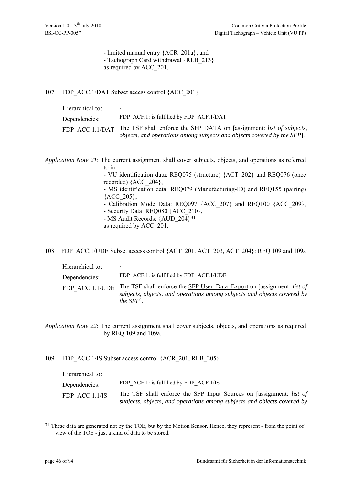- limited manual entry {ACR\_201a}, and - Tachograph Card withdrawal {RLB\_213} as required by ACC\_201.

107 FDP\_ACC.1/DAT Subset access control {ACC\_201}

| Hierarchical to: | $\overline{\phantom{a}}$                                                                                                                       |
|------------------|------------------------------------------------------------------------------------------------------------------------------------------------|
| Dependencies:    | FDP ACF.1: is fulfilled by FDP ACF.1/DAT                                                                                                       |
| FDP ACC.1.1/DAT  | The TSF shall enforce the SFP DATA on [assignment: list of subjects,<br>objects, and operations among subjects and objects covered by the SFP. |

*Application Note 21*: The current assignment shall cover subjects, objects, and operations as referred to in: - VU identification data: REQ075 (structure) {ACT\_202} and REQ076 (once recorded) {ACC\_204}, - MS identification data: REQ079 (Manufacturing-ID) and REQ155 (pairing) {ACC\_205}, - Calibration Mode Data: REQ097 {ACC\_207} and REQ100 {ACC\_209}, - Security Data: REQ080 {ACC\_210}, - MS Audit Records: {AUD\_204}[31](#page-45-0) as required by ACC\_201.

108 FDP\_ACC.1/UDE Subset access control {ACT\_201, ACT\_203, ACT\_204}: REQ 109 and 109a

| Hierarchical to: | -                                                                                                                                                                      |
|------------------|------------------------------------------------------------------------------------------------------------------------------------------------------------------------|
| Dependencies:    | FDP ACF.1: is fulfilled by FDP ACF.1/UDE                                                                                                                               |
| FDP ACC.1.1/UDE  | The TSF shall enforce the SFP User Data Export on [assignment: list of<br>subjects, objects, and operations among subjects and objects covered by<br><i>the SFP</i> ]. |

*Application Note 22*: The current assignment shall cover subjects, objects, and operations as required by REQ 109 and 109a.

109 FDP\_ACC.1/IS Subset access control {ACR\_201, RLB\_205}

| Hierarchical to: | $\overline{\phantom{a}}$                                                                                                                       |
|------------------|------------------------------------------------------------------------------------------------------------------------------------------------|
| Dependencies:    | FDP ACF.1: is fulfilled by FDP ACF.1/IS                                                                                                        |
| FDP ACC.1.1/IS   | The TSF shall enforce the SFP Input Sources on [assignment: list of<br>subjects, objects, and operations among subjects and objects covered by |

<u>.</u>

<span id="page-45-0"></span><sup>&</sup>lt;sup>31</sup> These data are generated not by the TOE, but by the Motion Sensor. Hence, they represent - from the point of view of the TOE - just a kind of data to be stored.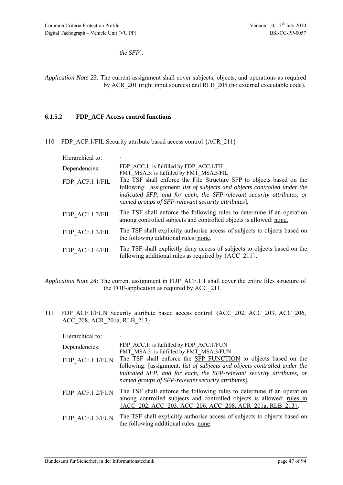*the SFP*].

*Application Note 23*: The current assignment shall cover subjects, objects, and operations as required by ACR\_201 (right input sources) and RLB\_205 (no external executable code).

#### **6.1.5.2 FDP\_ACF Access control functions**

110 FDP ACF.1/FIL Security attribute based access control {ACR\_211}

| Hierarchical to: |                                                                                                                                                                                                                                                                                  |
|------------------|----------------------------------------------------------------------------------------------------------------------------------------------------------------------------------------------------------------------------------------------------------------------------------|
| Dependencies:    | FDP ACC.1: is fulfilled by FDP ACC.1/FIL<br>FMT MSA.3: is fulfilled by FMT MSA.3/FIL                                                                                                                                                                                             |
| FDP ACF.1.1/FIL  | The TSF shall enforce the File Structure SFP to objects based on the<br>following: [assignment: list of subjects and objects controlled under the<br>indicated SFP, and for each, the SFP-relevant security attributes, or<br>named groups of SFP-relevant security attributes]. |
| FDP ACF.1.2/FIL  | The TSF shall enforce the following rules to determine if an operation<br>among controlled subjects and controlled objects is allowed: none.                                                                                                                                     |
| FDP ACF.1.3/FIL  | The TSF shall explicitly authorise access of subjects to objects based on<br>the following additional rules: none.                                                                                                                                                               |
| FDP ACF.1.4/FIL  | The TSF shall explicitly deny access of subjects to objects based on the<br>following additional rules as required by ${ACC 211}.$                                                                                                                                               |

*Application Note 24*: The current assignment in FDP\_ACF.1.1 shall cover the entire files structure of the TOE-application as required by ACC\_211.

111 FDP\_ACF.1/FUN Security attribute based access control {ACC\_202, ACC\_203, ACC\_206, ACC\_208, ACR\_201a, RLB\_213}

| Hierarchical to: |                                                                                                                                                                                                                                                                            |
|------------------|----------------------------------------------------------------------------------------------------------------------------------------------------------------------------------------------------------------------------------------------------------------------------|
| Dependencies:    | FDP ACC.1: is fulfilled by FDP ACC.1/FUN<br>FMT MSA.3: is fulfilled by FMT MSA.3/FUN                                                                                                                                                                                       |
| FDP ACF.1.1/FUN  | The TSF shall enforce the SFP FUNCTION to objects based on the<br>following: [assignment: list of subjects and objects controlled under the<br>indicated SFP, and for each, the SFP-relevant security attributes, or<br>named groups of SFP-relevant security attributes]. |
| FDP ACF.1.2/FUN  | The TSF shall enforce the following rules to determine if an operation<br>among controlled subjects and controlled objects is allowed: rules in<br>{ACC 202, ACC 203, ACC 206, ACC 208, ACR 201a, RLB 213}.                                                                |
| FDP ACF.1.3/FUN  | The TSF shall explicitly authorise access of subjects to objects based on<br>the following additional rules: none.                                                                                                                                                         |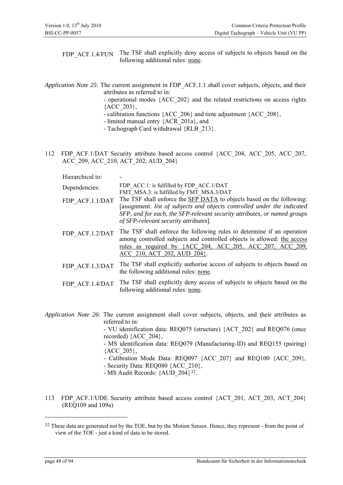FDP\_ACF.1.4/FUN The TSF shall explicitly deny access of subjects to objects based on the following additional rules: none.

## *Application Note 25*: The current assignment in FDP\_ACF.1.1 shall cover subjects, objects, and their attributes as referred to in:

- operational modes {ACC\_202} and the related restrictions on access rights  ${ACC$  203},

- calibration functions {ACC\_206} and time adjustment {ACC\_208},
- limited manual entry {ACR\_201a}, and
- Tachograph Card withdrawal {RLB\_213}.
- 112 FDP\_ACF.1/DAT Security attribute based access control {ACC\_204, ACC\_205, ACC\_207, ACC\_209, ACC\_210, ACT\_202, AUD\_204}

Hierarchical to:

| Dependencies:   | FDP ACC.1: is fulfilled by FDP ACC.1/DAT<br>FMT MSA.3: is fulfilled by FMT MSA.3/DAT                                                                                                                                                                                   |
|-----------------|------------------------------------------------------------------------------------------------------------------------------------------------------------------------------------------------------------------------------------------------------------------------|
| FDP ACF.1.1/DAT | The TSF shall enforce the SFP DATA to objects based on the following:<br>[assignment: list of subjects and objects controlled under the indicated<br>SFP, and for each, the SFP-relevant security attributes, or named groups<br>of SFP-relevant security attributes]. |
| FDP ACF.1.2/DAT | The TSF shall enforce the following rules to determine if an operation<br>among controlled subjects and controlled objects is allowed: the access<br>rules as required by {ACC 204, ACC 205, ACC 207, ACC 209,<br>ACC 210, ACT 202, AUD 204}.                          |
| FDP ACF.1.3/DAT | The TSF shall explicitly authorise access of subjects to objects based on<br>the following additional rules: none.                                                                                                                                                     |
| FDP ACF.1.4/DAT | The TSF shall explicitly deny access of subjects to objects based on the<br>following additional rules: none.                                                                                                                                                          |

*Application Note 26*: The current assignment shall cover subjects, objects, and their attributes as referred to in:

> - VU identification data: REQ075 (structure) {ACT\_202} and REQ076 (once recorded) {ACC\_204},

> - MS identification data: REQ079 (Manufacturing-ID) and REQ155 (pairing) {ACC\_205},

> - Calibration Mode Data: REQ097 {ACC\_207} and REQ100 {ACC\_209},

- Security Data: REQ080 {ACC\_210},
- MS Audit Records: {AUD\_204}[32](#page-47-0).
- 113 FDP ACF.1/UDE Security attribute based access control {ACT\_201, ACT\_203, ACT\_204} (REQ109 and 109a)

1

<span id="page-47-0"></span><sup>&</sup>lt;sup>32</sup> These data are generated not by the TOE, but by the Motion Sensor. Hence, they represent - from the point of view of the TOE - just a kind of data to be stored.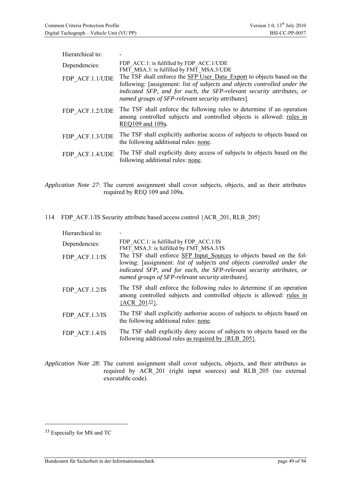| Hierarchical to: |                                                                                                                                                                                                                                                                                    |
|------------------|------------------------------------------------------------------------------------------------------------------------------------------------------------------------------------------------------------------------------------------------------------------------------------|
| Dependencies:    | FDP ACC.1: is fulfilled by FDP ACC.1/UDE<br>FMT MSA.3: is fulfilled by FMT MSA.3/UDE                                                                                                                                                                                               |
| FDP ACF.1.1/UDE  | The TSF shall enforce the SFP User Data Export to objects based on the<br>following: [assignment: list of subjects and objects controlled under the<br>indicated SFP, and for each, the SFP-relevant security attributes, or<br>named groups of SFP-relevant security attributes]. |
| FDP ACF.1.2/UDE  | The TSF shall enforce the following rules to determine if an operation<br>among controlled subjects and controlled objects is allowed: rules in<br>REQ109 and 109a.                                                                                                                |
| FDP ACF.1.3/UDE  | The TSF shall explicitly authorise access of subjects to objects based on<br>the following additional rules: none.                                                                                                                                                                 |
| FDP ACF.1.4/UDE  | The TSF shall explicitly deny access of subjects to objects based on the<br>following additional rules: none.                                                                                                                                                                      |

*Application Note 27*: The current assignment shall cover subjects, objects, and as their attributes required by REQ 109 and 109a.

114 FDP ACF.1/IS Security attribute based access control {ACR\_201, RLB\_205}

| Hierarchical to: |                                                                                                                                                                                                                                                                               |
|------------------|-------------------------------------------------------------------------------------------------------------------------------------------------------------------------------------------------------------------------------------------------------------------------------|
| Dependencies:    | FDP ACC.1: is fulfilled by FDP ACC.1/IS<br>FMT MSA.3: is fulfilled by FMT MSA.3/IS                                                                                                                                                                                            |
| FDP ACF.1.1/IS   | The TSF shall enforce SFP Input Sources to objects based on the fol-<br>lowing: [assignment: list of subjects and objects controlled under the<br>indicated SFP, and for each, the SFP-relevant security attributes, or<br>named groups of SFP-relevant security attributes]. |
| FDP ACF.1.2/IS   | The TSF shall enforce the following rules to determine if an operation<br>among controlled subjects and controlled objects is allowed: rules in<br>${ACR}$ 20133.                                                                                                             |
| FDP ACF.1.3/IS   | The TSF shall explicitly authorise access of subjects to objects based on<br>the following additional rules: none.                                                                                                                                                            |
| FDP ACF.1.4/IS   | The TSF shall explicitly deny access of subjects to objects based on the<br>following additional rules as required by {RLB 205}.                                                                                                                                              |

*Application Note 28*: The current assignment shall cover subjects, objects, and their attributes as required by ACR\_201 (right input sources) and RLB\_205 (no external executable code).

<span id="page-48-0"></span><sup>33</sup> Especially for MS and TC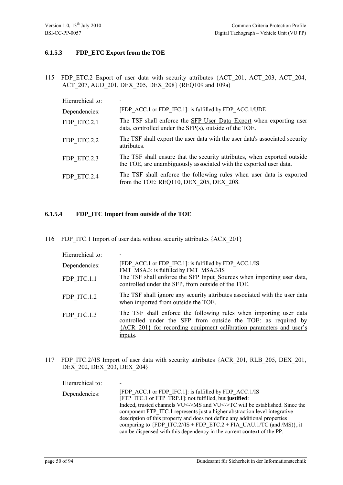### **6.1.5.3 FDP\_ETC Export from the TOE**

115 FDP\_ETC.2 Export of user data with security attributes {ACT\_201, ACT\_203, ACT\_204, ACT\_207, AUD\_201, DEX\_205, DEX\_208} (REQ109 and 109a)

| Hierarchical to: |                                                                                                                                                |
|------------------|------------------------------------------------------------------------------------------------------------------------------------------------|
| Dependencies:    | [FDP ACC.1 or FDP IFC.1]: is fulfilled by FDP ACC.1/UDE                                                                                        |
| FDP ETC.2.1      | The TSF shall enforce the SFP User Data Export when exporting user<br>data, controlled under the SFP(s), outside of the TOE.                   |
| FDP ETC.2.2      | The TSF shall export the user data with the user data's associated security<br>attributes.                                                     |
| FDP ETC.2.3      | The TSF shall ensure that the security attributes, when exported outside<br>the TOE, are unambiguously associated with the exported user data. |
| FDP ETC.2.4      | The TSF shall enforce the following rules when user data is exported<br>from the TOE: REQ110, DEX 205, DEX 208.                                |

## **6.1.5.4 FDP\_ITC Import from outside of the TOE**

116 FDP ITC.1 Import of user data without security attributes {ACR 201}

| Hierarchical to: |                                                                                                                                                                                                                       |
|------------------|-----------------------------------------------------------------------------------------------------------------------------------------------------------------------------------------------------------------------|
| Dependencies:    | [FDP ACC.1 or FDP IFC.1]: is fulfilled by FDP ACC.1/IS<br>FMT MSA.3: is fulfilled by FMT MSA.3/IS                                                                                                                     |
| FDP ITC.1.1      | The TSF shall enforce the SFP Input Sources when importing user data,<br>controlled under the SFP, from outside of the TOE.                                                                                           |
| FDP ITC.1.2      | The TSF shall ignore any security attributes associated with the user data<br>when imported from outside the TOE.                                                                                                     |
| FDP ITC.1.3      | The TSF shall enforce the following rules when importing user data<br>controlled under the SFP from outside the TOE: as required by<br>{ACR 201} for recording equipment calibration parameters and user's<br>inputs. |

117 FDP ITC.2//IS Import of user data with security attributes {ACR 201, RLB 205, DEX 201, DEX 202, DEX 203, DEX 204}

| Hierarchical to: |                                                                                                                                                                                                                                                                                                                                                                                                                                                                                                                     |
|------------------|---------------------------------------------------------------------------------------------------------------------------------------------------------------------------------------------------------------------------------------------------------------------------------------------------------------------------------------------------------------------------------------------------------------------------------------------------------------------------------------------------------------------|
| Dependencies:    | [FDP ACC.1 or FDP IFC.1]: is fulfilled by FDP ACC.1/IS<br>[FTP ITC.1 or FTP TRP.1]: not fulfilled, but justified:<br>Indeed, trusted channels VU<->MS and VU<->TC will be established. Since the<br>component FTP ITC.1 represents just a higher abstraction level integrative<br>description of this property and does not define any additional properties<br>comparing to ${FDP}$ ITC.2//IS + FDP ETC.2 + FIA UAU.1/TC (and /MS)}, it<br>can be dispensed with this dependency in the current context of the PP. |
|                  |                                                                                                                                                                                                                                                                                                                                                                                                                                                                                                                     |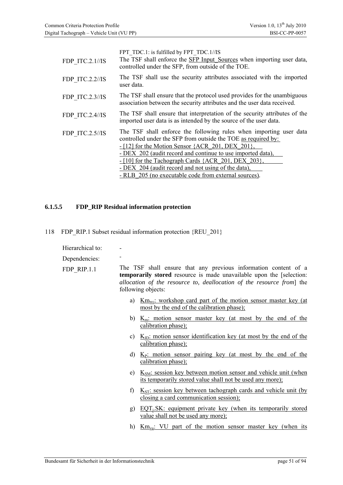| FDP ITC.2.1//IS | FPT TDC.1: is fulfilled by FPT TDC.1//IS<br>The TSF shall enforce the SFP Input Sources when importing user data,<br>controlled under the SFP, from outside of the TOE.                                                                                                                                                                                                                                                        |
|-----------------|--------------------------------------------------------------------------------------------------------------------------------------------------------------------------------------------------------------------------------------------------------------------------------------------------------------------------------------------------------------------------------------------------------------------------------|
| FDP ITC.2.2//IS | The TSF shall use the security attributes associated with the imported<br>user data.                                                                                                                                                                                                                                                                                                                                           |
| FDP ITC.2.3//IS | The TSF shall ensure that the protocol used provides for the unambiguous<br>association between the security attributes and the user data received.                                                                                                                                                                                                                                                                            |
| FDP ITC.2.4//IS | The TSF shall ensure that interpretation of the security attributes of the<br>imported user data is as intended by the source of the user data.                                                                                                                                                                                                                                                                                |
| FDP ITC.2.5//IS | The TSF shall enforce the following rules when importing user data<br>controlled under the SFP from outside the TOE as required by:<br>$-[12]$ for the Motion Sensor {ACR 201, DEX 201},<br>- DEX 202 (audit record and continue to use imported data),<br>- [10] for the Tachograph Cards {ACR 201, DEX 203},<br>- DEX 204 (audit record and not using of the data),<br>- RLB 205 (no executable code from external sources). |

#### **6.1.5.5 FDP\_RIP Residual information protection**

118 FDP\_RIP.1 Subset residual information protection {REU\_201}

Hierarchical to:

Dependencies:

FDP\_RIP.1.1

|                    | The TSF shall ensure that any previous information content of a             |  |  |  |
|--------------------|-----------------------------------------------------------------------------|--|--|--|
|                    | <b>temporarily stored</b> resource is made unavailable upon the [selection: |  |  |  |
| following objects: | allocation of the resource to, deallocation of the resource from the        |  |  |  |

- a)  $Km_{wc}$ : workshop card part of the motion sensor master key (at most by the end of the calibration phase);
- b)  $K_m$ : motion sensor master key (at most by the end of the calibration phase);
- c)  $K<sub>ID</sub>$ : motion sensor identification key (at most by the end of the calibration phase);
- d)  $K_P$ : motion sensor pairing key (at most by the end of the calibration phase);
- e)  $K<sub>SM</sub>$ : session key between motion sensor and vehicle unit (when its temporarily stored value shall not be used any more);
- f)  $K_{ST}$ : session key between tachograph cards and vehicle unit (by closing a card communication session);
- g)  $EQT_iSK$ : equipment private key (when its temporarily stored value shall not be used any more);
- h) Km<sub>vu</sub>: VU part of the motion sensor master key (when its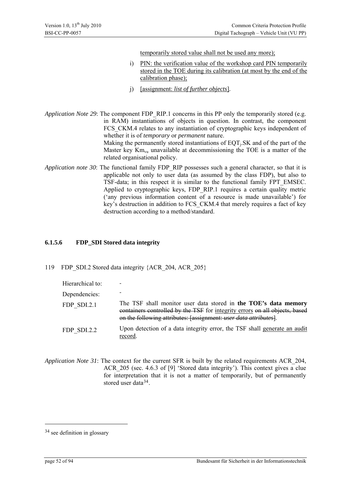temporarily stored value shall not be used any more);

- i) PIN: the verification value of the workshop card PIN temporarily stored in the TOE during its calibration (at most by the end of the calibration phase);
- j) [assignment: *list of further objects*].
- *Application Note 29*: The component FDP\_RIP.1 concerns in this PP only the temporarily stored (e.g. in RAM) instantiations of objects in question. In contrast, the component FCS CKM.4 relates to any instantiation of cryptographic keys independent of whether it is of *temporary* or *permanent* nature. Making the permanently stored instantiations of  $EQT<sub>i</sub>SK$  and of the part of the Master key  $Km_{vu}$  unavailable at decommissioning the TOE is a matter of the related organisational policy.
- *Application note 30*: The functional family FDP\_RIP possesses such a general character, so that it is applicable not only to user data (as assumed by the class FDP), but also to TSF-data; in this respect it is similar to the functional family FPT\_EMSEC. Applied to cryptographic keys, FDP\_RIP.1 requires a certain quality metric ('any previous information content of a resource is made unavailable') for key's destruction in addition to FCS\_CKM.4 that merely requires a fact of key destruction according to a method/standard.

## **6.1.5.6 FDP\_SDI Stored data integrity**

119 FDP\_SDI.2 Stored data integrity {ACR\_204, ACR\_205}

| Hierarchical to: |                                                                                                                                                                                                                            |
|------------------|----------------------------------------------------------------------------------------------------------------------------------------------------------------------------------------------------------------------------|
| Dependencies:    |                                                                                                                                                                                                                            |
| FDP SDI.2.1      | The TSF shall monitor user data stored in the TOE's data memory<br>containers controlled by the TSF for integrity errors on all objects, based<br>on the following attributes: [assignment: <i>user data attributes</i> ]. |
| FDP SDI.2.2      | Upon detection of a data integrity error, the TSF shall generate an audit<br>record.                                                                                                                                       |

*Application Note 31*: The context for the current SFR is built by the related requirements ACR\_204, ACR\_205 (sec. 4.6.3 of [9] 'Stored data integrity'). This context gives a clue for interpretation that it is not a matter of temporarily, but of permanently stored user data<sup>[34](#page-51-0)</sup>.

<span id="page-51-0"></span><sup>34</sup> see definition in glossary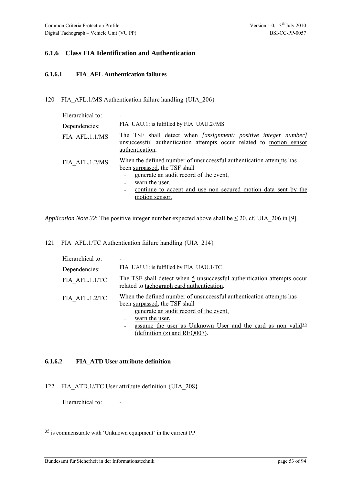## **6.1.6 Class FIA Identification and Authentication**

#### **6.1.6.1 FIA\_AFL Authentication failures**

120 FIA\_AFL.1/MS Authentication failure handling {UIA\_206}

| Hierarchical to: |                                                                                                                                                                                                                                                      |
|------------------|------------------------------------------------------------------------------------------------------------------------------------------------------------------------------------------------------------------------------------------------------|
| Dependencies:    | FIA UAU.1: is fulfilled by FIA UAU.2//MS                                                                                                                                                                                                             |
| FIA AFL.1.1/MS   | The TSF shall detect when [assignment: positive integer number]<br>unsuccessful authentication attempts occur related to motion sensor<br>authentication.                                                                                            |
| FIA AFL.1.2/MS   | When the defined number of unsuccessful authentication attempts has<br>been surpassed, the TSF shall<br>generate an audit record of the event,<br>warn the user,<br>continue to accept and use non secured motion data sent by the<br>motion sensor. |

*Application Note 32:* The positive integer number expected above shall be  $\leq 20$ , cf. UIA 206 in [9].

121 FIA\_AFL.1/TC Authentication failure handling {UIA\_214}

| Hierarchical to: |                                                                                                                                  |  |
|------------------|----------------------------------------------------------------------------------------------------------------------------------|--|
| Dependencies:    | FIA UAU.1: is fulfilled by FIA UAU.1/TC                                                                                          |  |
| FIA AFL.1.1/TC   | The TSF shall detect when $\frac{5}{2}$ unsuccessful authentication attempts occur<br>related to tachograph card authentication. |  |
| FIA AFL.1.2/TC   | When the defined number of unsuccessful authentication attempts has<br>been surpassed, the TSF shall                             |  |
|                  | generate an audit record of the event,                                                                                           |  |
|                  | warn the user,                                                                                                                   |  |
|                  | assume the user as Unknown User and the card as non valid $\frac{35}{2}$                                                         |  |
|                  | (definition $(z)$ and REQ007).                                                                                                   |  |

#### **6.1.6.2 FIA\_ATD User attribute definition**

122 FIA\_ATD.1//TC User attribute definition {UIA\_208}

Hierarchical to:

<span id="page-52-0"></span><sup>35</sup> is commensurate with 'Unknown equipment' in the current PP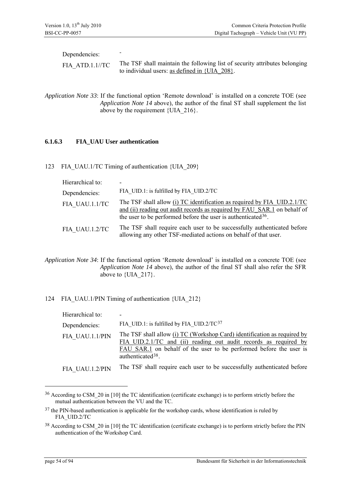| Dependencies:     |                                                                                                                                   |
|-------------------|-----------------------------------------------------------------------------------------------------------------------------------|
| $FIA$ ATD.1.1//TC | The TSF shall maintain the following list of security attributes belonging<br>to individual users: as defined in $\{UIA\ 208\}$ . |

*Application Note 33*: If the functional option 'Remote download' is installed on a concrete TOE (see *[Application Note 14](#page-38-1)* above), the author of the final ST shall supplement the list above by the requirement  $\{UIA\ 216\}$ .

#### **6.1.6.3 FIA\_UAU User authentication**

123 FIA\_UAU.1/TC Timing of authentication {UIA\_209}

| Hierarchical to: |                                                                                                                                                                                                                         |
|------------------|-------------------------------------------------------------------------------------------------------------------------------------------------------------------------------------------------------------------------|
| Dependencies:    | FIA UID.1: is fulfilled by FIA UID.2/TC                                                                                                                                                                                 |
| FIA UAU.1.1/TC   | The TSF shall allow (i) TC identification as required by FIA UID.2.1/TC<br>and (ii) reading out audit records as required by FAU SAR.1 on behalf of<br>the user to be performed before the user is authenticated $36$ . |
| FIA UAU.1.2/TC   | The TSF shall require each user to be successfully authenticated before<br>allowing any other TSF-mediated actions on behalf of that user.                                                                              |

*Application Note 34*: If the functional option 'Remote download' is installed on a concrete TOE (see *[Application Note 14](#page-38-1)* above), the author of the final ST shall also refer the SFR above to {UIA\_217}.

#### 124 FIA\_UAU.1/PIN Timing of authentication {UIA\_212}

| Hierarchical to: |                                                                                                                                                                                                                                                     |
|------------------|-----------------------------------------------------------------------------------------------------------------------------------------------------------------------------------------------------------------------------------------------------|
| Dependencies:    | FIA UID.1: is fulfilled by FIA UID.2/TC $37$                                                                                                                                                                                                        |
| FIA UAU.1.1/PIN  | The TSF shall allow (i) TC (Workshop Card) identification as required by<br>FIA UID.2.1/TC and (ii) reading out audit records as required by<br>FAU SAR.1 on behalf of the user to be performed before the user is<br>authenticated <sup>38</sup> . |
| FIA UAU.1.2/PIN  | The TSF shall require each user to be successfully authenticated before                                                                                                                                                                             |

<u>.</u>

<span id="page-53-0"></span><sup>&</sup>lt;sup>36</sup> According to CSM 20 in [10] the TC identification (certificate exchange) is to perform strictly before the mutual authentication between the VU and the TC.

<span id="page-53-1"></span><sup>&</sup>lt;sup>37</sup> the PIN-based authentication is applicable for the workshop cards, whose identification is ruled by FIA\_UID.2/TC

<span id="page-53-2"></span><sup>&</sup>lt;sup>38</sup> According to CSM 20 in [10] the TC identification (certificate exchange) is to perform strictly before the PIN authentication of the Workshop Card.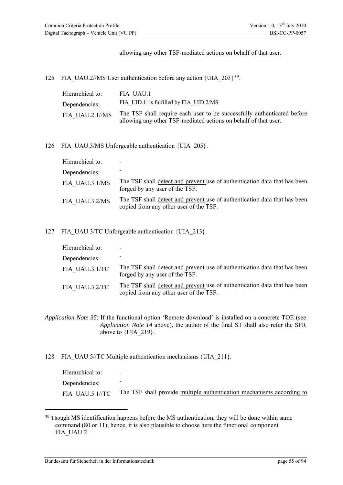allowing any other TSF-mediated actions on behalf of that user.

125 FIA UAU.2//MS User authentication before any action {UIA  $203$ }<sup>[39](#page-54-0)</sup>.

| Hierarchical to: | FIA UAU.1                                                                                                                                  |
|------------------|--------------------------------------------------------------------------------------------------------------------------------------------|
| Dependencies:    | FIA UID.1: is fulfilled by FIA UID.2/MS                                                                                                    |
| FIA UAU.2.1//MS  | The TSF shall require each user to be successfully authenticated before<br>allowing any other TSF-mediated actions on behalf of that user. |

126 FIA UAU.3/MS Unforgeable authentication {UIA 205}.

| Hierarchical to: | ۰                                                                                                                   |
|------------------|---------------------------------------------------------------------------------------------------------------------|
| Dependencies:    |                                                                                                                     |
| FIA UAU.3.1/MS   | The TSF shall detect and prevent use of authentication data that has been<br>forged by any user of the TSF.         |
| FIA UAU.3.2/MS   | The TSF shall detect and prevent use of authentication data that has been<br>copied from any other user of the TSF. |

127 FIA\_UAU.3/TC Unforgeable authentication {UIA\_213}.

| Hierarchical to: | $\overline{\phantom{0}}$                                                                                            |
|------------------|---------------------------------------------------------------------------------------------------------------------|
| Dependencies:    |                                                                                                                     |
| FIA UAU.3.1/TC   | The TSF shall detect and prevent use of authentication data that has been<br>forged by any user of the TSF.         |
| FIA UAU.3.2/TC   | The TSF shall detect and prevent use of authentication data that has been<br>copied from any other user of the TSF. |

- *Application Note 35*: If the functional option 'Remote download' is installed on a concrete TOE (see *[Application Note 14](#page-38-1)* above), the author of the final ST shall also refer the SFR above to {UIA 219}.
- 128 FIA\_UAU.5//TC Multiple authentication mechanisms {UIA\_211}.

Hierarchical to: Dependencies: FIA\_UAU.5.1//TC The TSF shall provide multiple authentication mechanisms according to

<span id="page-54-0"></span><sup>&</sup>lt;sup>39</sup> Though MS identification happens before the MS authentication, they will be done within same command (80 or 11); hence, it is also plausible to choose here the functional component FIA\_UAU.2.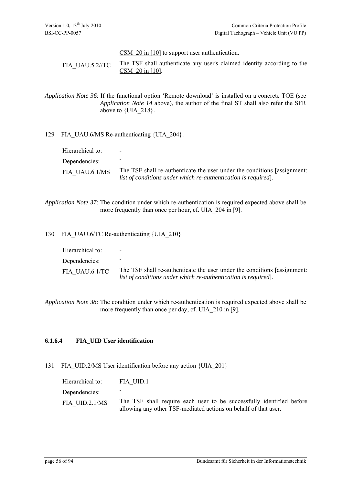CSM 20 in [10] to support user authentication.

FIA\_UAU.5.2//TC The TSF shall authenticate any user's claimed identity according to the CSM\_20 in [10].

*Application Note 36*: If the functional option 'Remote download' is installed on a concrete TOE (see *Application Note 14* above), the author of the final ST shall also refer the SFR above to {UIA 218}.

#### 129 FIA\_UAU.6/MS Re-authenticating {UIA\_204}.

| Hierarchical to: | $\overline{\phantom{0}}$                                                                                                                  |
|------------------|-------------------------------------------------------------------------------------------------------------------------------------------|
| Dependencies:    |                                                                                                                                           |
| FIA UAU.6.1/MS   | The TSF shall re-authenticate the user under the conditions [assignment:<br>list of conditions under which re-authentication is required. |

*Application Note 37*: The condition under which re-authentication is required expected above shall be more frequently than once per hour, cf. UIA 204 in [9].

130 FIA\_UAU.6/TC Re-authenticating {UIA\_210}.

| Hierarchical to: | $\overline{\phantom{0}}$                                                                                                                  |
|------------------|-------------------------------------------------------------------------------------------------------------------------------------------|
| Dependencies:    |                                                                                                                                           |
| FIA UAU.6.1/TC   | The TSF shall re-authenticate the user under the conditions [assignment:<br>list of conditions under which re-authentication is required. |

*Application Note 38*: The condition under which re-authentication is required expected above shall be more frequently than once per day, cf. UIA 210 in [9].

#### **6.1.6.4 FIA\_UID User identification**

#### 131 FIA\_UID.2/MS User identification before any action {UIA\_201}

| Hierarchical to: | FIA UID.1                                                                                                                               |
|------------------|-----------------------------------------------------------------------------------------------------------------------------------------|
| Dependencies:    | -                                                                                                                                       |
| FIA UID.2.1/MS   | The TSF shall require each user to be successfully identified before<br>allowing any other TSF-mediated actions on behalf of that user. |
|                  |                                                                                                                                         |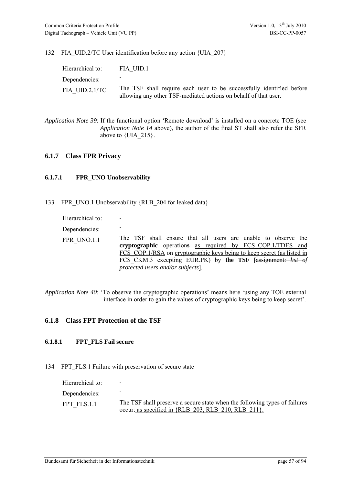132 FIA\_UID.2/TC User identification before any action {UIA\_207}

| Hierarchical to: | FIA UID.1                                                                                                                               |
|------------------|-----------------------------------------------------------------------------------------------------------------------------------------|
| Dependencies:    |                                                                                                                                         |
| FIA UID.2.1/TC   | The TSF shall require each user to be successfully identified before<br>allowing any other TSF-mediated actions on behalf of that user. |

*Application Note 39*: If the functional option 'Remote download' is installed on a concrete TOE (see *[Application Note 14](#page-38-1)* above), the author of the final ST shall also refer the SFR above to  $\{UIA\ 215\}$ .

### **6.1.7 Class FPR Privacy**

#### **6.1.7.1 FPR\_UNO Unobservability**

133 FPR\_UNO.1 Unobservability {RLB\_204 for leaked data}

| Hierarchical to: |                                                                                                                                                                                                                                                                                                           |
|------------------|-----------------------------------------------------------------------------------------------------------------------------------------------------------------------------------------------------------------------------------------------------------------------------------------------------------|
| Dependencies:    |                                                                                                                                                                                                                                                                                                           |
| FPR UNO.1.1      | The TSF shall ensure that all users are unable to observe the<br>cryptographic operations as required by FCS COP.1/TDES and<br>FCS COP.1/RSA on cryptographic keys being to keep secret (as listed in<br>FCS CKM.3 excepting EUR.PK) by the TSF [assignment: list of<br>protected users and/or subjects]. |

*Application Note 40*: 'To observe the cryptographic operations' means here 'using any TOE external interface in order to gain the values of cryptographic keys being to keep secret'.

## **6.1.8 Class FPT Protection of the TSF**

### **6.1.8.1 FPT\_FLS Fail secure**

#### 134 FPT FLS.1 Failure with preservation of secure state

| Hierarchical to: | $\qquad \qquad$                                                            |
|------------------|----------------------------------------------------------------------------|
| Dependencies:    |                                                                            |
| FPT FLS.1.1      | The TSF shall preserve a secure state when the following types of failures |
|                  | occur: as specified in {RLB 203, RLB 210, RLB 211}.                        |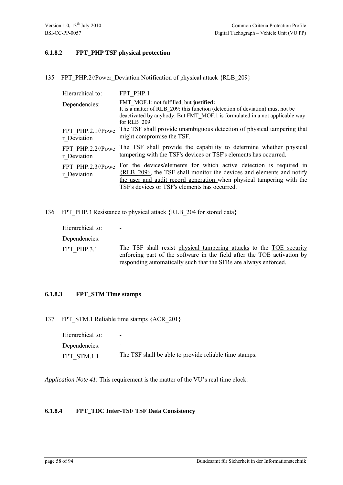### **6.1.8.2 FPT\_PHP TSF physical protection**

135 FPT\_PHP.2//Power\_Deviation Notification of physical attack {RLB\_209}

| Hierarchical to:                 | FPT PHP.1                                                                                                                                                                                                                                                                 |
|----------------------------------|---------------------------------------------------------------------------------------------------------------------------------------------------------------------------------------------------------------------------------------------------------------------------|
| Dependencies:                    | FMT MOF.1: not fulfilled, but justified:<br>It is a matter of RLB 209: this function (detection of deviation) must not be<br>deactivated by anybody. But FMT MOF.1 is formulated in a not applicable way<br>for RLB 209                                                   |
| FPT PHP.2.1//Powe<br>r Deviation | The TSF shall provide unambiguous detection of physical tampering that<br>might compromise the TSF.                                                                                                                                                                       |
| FPT PHP.2.2//Powe<br>r Deviation | The TSF shall provide the capability to determine whether physical<br>tampering with the TSF's devices or TSF's elements has occurred.                                                                                                                                    |
| FPT PHP.2.3//Powe<br>r Deviation | For the devices/elements for which active detection is required in<br>$\{RLB 209\}$ , the TSF shall monitor the devices and elements and notify<br>the user and audit record generation when physical tampering with the<br>TSF's devices or TSF's elements has occurred. |

136 FPT\_PHP.3 Resistance to physical attack {RLB\_204 for stored data}

| Hierarchical to: | $\overline{\phantom{0}}$                                                                                                                                                                                           |
|------------------|--------------------------------------------------------------------------------------------------------------------------------------------------------------------------------------------------------------------|
| Dependencies:    |                                                                                                                                                                                                                    |
| FPT PHP.3.1      | The TSF shall resist physical tampering attacks to the TOE security<br>enforcing part of the software in the field after the TOE activation by<br>responding automatically such that the SFRs are always enforced. |

## **6.1.8.3 FPT\_STM Time stamps**

137 FPT STM.1 Reliable time stamps {ACR\_201}

| Hierarchical to: | $\overline{\phantom{0}}$                               |
|------------------|--------------------------------------------------------|
| Dependencies:    |                                                        |
| FPT STM.1.1      | The TSF shall be able to provide reliable time stamps. |

*Application Note 41*: This requirement is the matter of the VU's real time clock.

#### **6.1.8.4 FPT\_TDC Inter-TSF TSF Data Consistency**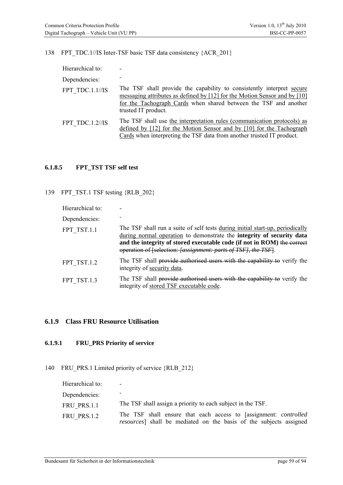138 FPT\_TDC.1//IS Inter-TSF basic TSF data consistency {ACR\_201}

| Hierarchical to: |                                                                                                                                                                                                                                               |
|------------------|-----------------------------------------------------------------------------------------------------------------------------------------------------------------------------------------------------------------------------------------------|
| Dependencies:    |                                                                                                                                                                                                                                               |
| FPT TDC.1.1//IS  | The TSF shall provide the capability to consistently interpret secure<br>messaging attributes as defined by [12] for the Motion Sensor and by [10]<br>for the Tachograph Cards when shared between the TSF and another<br>trusted IT product. |
| FPT TDC.1.2//IS  | The TSF shall use the interpretation rules (communication protocols) as<br>defined by [12] for the Motion Sensor and by [10] for the Tachograph<br>Cards when interpreting the TSF data from another trusted IT product.                      |

## **6.1.8.5 FPT\_TST TSF self test**

139 FPT TST.1 TSF testing {RLB 202}

| Hierarchical to: |                                                                                                                                                                                                                                                                                                            |
|------------------|------------------------------------------------------------------------------------------------------------------------------------------------------------------------------------------------------------------------------------------------------------------------------------------------------------|
| Dependencies:    |                                                                                                                                                                                                                                                                                                            |
| FPT TST.1.1      | The TSF shall run a suite of self tests during initial start-up, periodically<br>during normal operation to demonstrate the <b>integrity</b> of security data<br>and the integrity of stored executable code (if not in ROM) the correct<br>operation of [selection: [assignment: parts of TSF], the TSF]. |
| FPT TST.1.2      | The TSF shall provide authorised users with the capability to verify the<br>integrity of security data.                                                                                                                                                                                                    |
| FPT TST.1.3      | The TSF shall provide authorised users with the capability to verify the<br>integrity of stored TSF executable code.                                                                                                                                                                                       |

## **6.1.9 Class FRU Resource Utilisation**

#### **6.1.9.1 FRU\_PRS Priority of service**

140 FRU PRS.1 Limited priority of service {RLB 212}

| Hierarchical to: | $\overline{\phantom{0}}$                                                 |
|------------------|--------------------------------------------------------------------------|
| Dependencies:    | -                                                                        |
| FRU PRS.1.1      | The TSF shall assign a priority to each subject in the TSF.              |
| FRU PRS.1.2      | The TSF shall ensure that each access to [assignment: <i>controlled</i>  |
|                  | <i>resources</i> shall be mediated on the basis of the subjects assigned |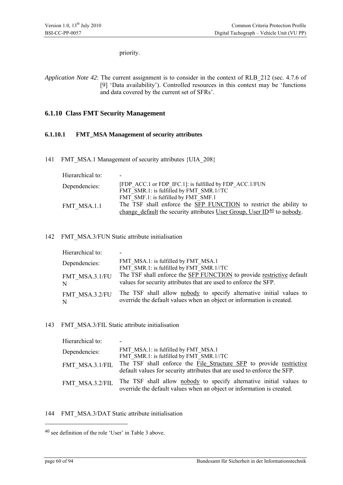priority.

*Application Note 42*: The current assignment is to consider in the context of RLB\_212 (sec. 4.7.6 of [9] 'Data availability'). Controlled resources in this context may be 'functions and data covered by the current set of SFRs'.

## **6.1.10 Class FMT Security Management**

#### **6.1.10.1 FMT\_MSA Management of security attributes**

141 FMT\_MSA.1 Management of security attributes {UIA\_208}

| Hierarchical to: |                                                                                      |
|------------------|--------------------------------------------------------------------------------------|
| Dependencies:    | [FDP ACC.1 or FDP IFC.1]: is fulfilled by FDP ACC.1/FUN                              |
|                  | FMT SMR.1: is fulfilled by FMT SMR.1//TC                                             |
|                  | FMT SMF.1: is fulfilled by FMT SMF.1                                                 |
| FMT MSA.1.1      | The TSF shall enforce the SFP FUNCTION to restrict the ability to                    |
|                  | change default the security attributes User Group, User $ID_{\perp}^{40}$ to nobody. |

### 142 FMT\_MSA.3/FUN Static attribute initialisation

| Hierarchical to: |                                                                                  |
|------------------|----------------------------------------------------------------------------------|
| Dependencies:    | FMT MSA.1: is fulfilled by FMT MSA.1<br>FMT SMR.1: is fulfilled by FMT SMR.1//TC |
| FMT MSA.3.1/FU   | The TSF shall enforce the <b>SFP FUNCTION</b> to provide restrictive default     |
| N                | values for security attributes that are used to enforce the SFP.                 |
| FMT MSA.3.2/FU   | The TSF shall allow nobody to specify alternative initial values to              |
| N                | override the default values when an object or information is created.            |

#### 143 FMT\_MSA.3/FIL Static attribute initialisation

| Hierarchical to: |                                                                                                                                                 |
|------------------|-------------------------------------------------------------------------------------------------------------------------------------------------|
| Dependencies:    | FMT MSA.1: is fulfilled by FMT MSA.1<br>FMT SMR.1: is fulfilled by FMT SMR.1//TC                                                                |
| FMT MSA.3.1/FIL  | The TSF shall enforce the File Structure SFP to provide restrictive<br>default values for security attributes that are used to enforce the SFP. |
| FMT MSA.3.2/FIL  | The TSF shall allow nobody to specify alternative initial values to<br>override the default values when an object or information is created.    |

144 FMT\_MSA.3/DAT Static attribute initialisation

<span id="page-59-0"></span><sup>40</sup> see definition of the role 'User' in Table 3 above.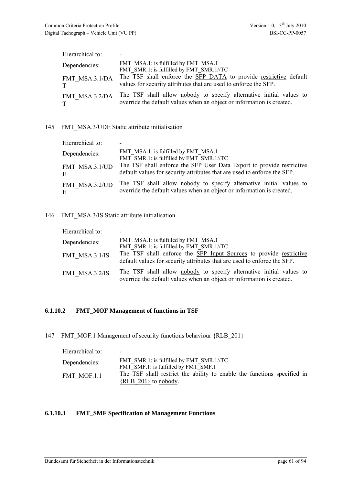| Hierarchical to: |                                                                                  |
|------------------|----------------------------------------------------------------------------------|
| Dependencies:    | FMT MSA.1: is fulfilled by FMT MSA.1<br>FMT SMR.1: is fulfilled by FMT SMR.1//TC |
| FMT MSA.3.1/DA   | The TSF shall enforce the SFP DATA to provide restrictive default                |
| T                | values for security attributes that are used to enforce the SFP.                 |
| FMT MSA.3.2/DA   | The TSF shall allow nobody to specify alternative initial values to              |
| T                | override the default values when an object or information is created.            |

### 145 FMT\_MSA.3/UDE Static attribute initialisation

| Hierarchical to: |                                                                                  |
|------------------|----------------------------------------------------------------------------------|
| Dependencies:    | FMT MSA.1: is fulfilled by FMT MSA.1<br>FMT SMR.1: is fulfilled by FMT SMR.1//TC |
| FMT MSA.3.1/UD   | The TSF shall enforce the SFP User Data Export to provide restrictive            |
| E.               | default values for security attributes that are used to enforce the SFP.         |
| FMT MSA.3.2/UD   | The TSF shall allow nobody to specify alternative initial values to              |
| E.               | override the default values when an object or information is created.            |

## 146 FMT\_MSA.3/IS Static attribute initialisation

| Hierarchical to: | $\overline{\phantom{0}}$                                                                                                                       |
|------------------|------------------------------------------------------------------------------------------------------------------------------------------------|
| Dependencies:    | FMT MSA.1: is fulfilled by FMT MSA.1<br>FMT SMR.1: is fulfilled by FMT SMR.1//TC                                                               |
| FMT MSA.3.1/IS   | The TSF shall enforce the SFP Input Sources to provide restrictive<br>default values for security attributes that are used to enforce the SFP. |
| FMT MSA.3.2/IS   | The TSF shall allow nobody to specify alternative initial values to<br>override the default values when an object or information is created.   |

### **6.1.10.2 FMT\_MOF Management of functions in TSF**

147 FMT\_MOF.1 Management of security functions behaviour {RLB\_201}

| Hierarchical to: | $\overline{\phantom{0}}$                                                                            |
|------------------|-----------------------------------------------------------------------------------------------------|
| Dependencies:    | FMT SMR.1: is fulfilled by FMT SMR.1//TC<br>FMT SMF.1: is fulfilled by FMT SMF.1                    |
| FMT MOF.1.1      | The TSF shall restrict the ability to enable the functions specified in<br>$\{RLB 201\}$ to nobody. |

### **6.1.10.3 FMT\_SMF Specification of Management Functions**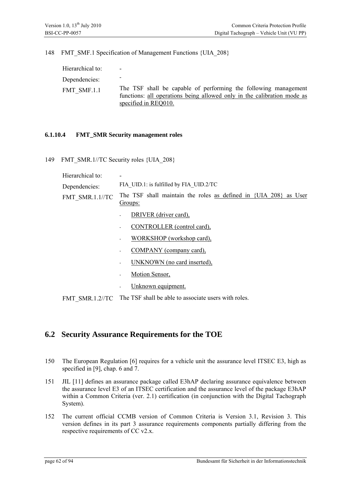148 FMT\_SMF.1 Specification of Management Functions {UIA\_208}

| Hierarchical to: | $\overline{\phantom{0}}$                                                                                                                                           |
|------------------|--------------------------------------------------------------------------------------------------------------------------------------------------------------------|
| Dependencies:    |                                                                                                                                                                    |
| FMT SMF.1.1      | The TSF shall be capable of performing the following management<br>functions: all operations being allowed only in the calibration mode as<br>specified in REQ010. |

#### **6.1.10.4 FMT\_SMR Security management roles**

149 FMT\_SMR.1//TC Security roles {UIA\_208}

| Hierarchical to: | $\overline{\phantom{0}}$                                                                         |
|------------------|--------------------------------------------------------------------------------------------------|
| Dependencies:    | FIA UID.1: is fulfilled by FIA UID.2/TC                                                          |
|                  | FMT SMR.1.1//TC The TSF shall maintain the roles as defined in $\{UIA\ 208\}$ as User<br>Groups: |
|                  | $P_{\text{D}}$                                                                                   |

- DRIVER (driver card),
- CONTROLLER (control card),
- WORKSHOP (workshop card),
- COMPANY (company card),
- UNKNOWN (no card inserted),
- Motion Sensor,
- Unknown equipment.

FMT\_SMR.1.2//TC The TSF shall be able to associate users with roles.

## **6.2 Security Assurance Requirements for the TOE**

- 150 The European Regulation [6] requires for a vehicle unit the assurance level ITSEC E3, high as specified in [9], chap. 6 and 7.
- 151 JIL [11] defines an assurance package called E3hAP declaring assurance equivalence between the assurance level E3 of an ITSEC certification and the assurance level of the package E3hAP within a Common Criteria (ver. 2.1) certification (in conjunction with the Digital Tachograph System).
- 152 The current official CCMB version of Common Criteria is Version 3.1, Revision 3. This version defines in its part 3 assurance requirements components partially differing from the respective requirements of CC v2.x.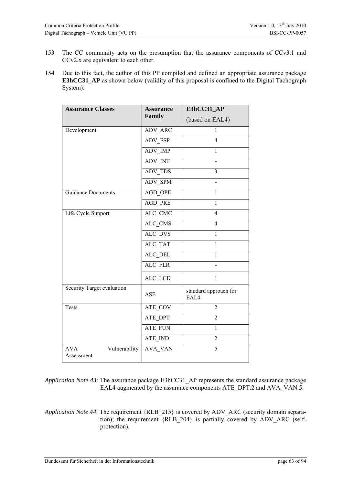- 153 The CC community acts on the presumption that the assurance components of CCv3.1 and CCv2.x are equivalent to each other.
- 154 Due to this fact, the author of this PP compiled and defined an appropriate assurance package **E3hCC31\_AP** as shown below (validity of this proposal is confined to the Digital Tachograph System):

| <b>Assurance Classes</b>                  | <b>Assurance</b> | E3hCC31_AP                    |
|-------------------------------------------|------------------|-------------------------------|
|                                           | Family           | (based on EAL4)               |
| Development                               | <b>ADV ARC</b>   | 1                             |
|                                           | <b>ADV FSP</b>   | $\overline{4}$                |
|                                           | ADV IMP          | 1                             |
|                                           | <b>ADV INT</b>   |                               |
|                                           | <b>ADV TDS</b>   | $\overline{3}$                |
|                                           | <b>ADV SPM</b>   |                               |
| <b>Guidance Documents</b>                 | AGD OPE          | $\mathbf{1}$                  |
|                                           | <b>AGD PRE</b>   | $\overline{1}$                |
| Life Cycle Support                        | ALC_CMC          | $\overline{4}$                |
|                                           | ALC_CMS          | $\overline{4}$                |
|                                           | ALC_DVS          | $\mathbf{1}$                  |
|                                           | ALC_TAT          | $\mathbf{1}$                  |
|                                           | ALC_DEL          | $\mathbf{1}$                  |
|                                           | ALC FLR          |                               |
|                                           | ALC_LCD          | $\mathbf{1}$                  |
| Security Target evaluation                | ASE              | standard approach for<br>EAL4 |
| <b>Tests</b>                              | ATE_COV          | $\overline{2}$                |
|                                           | ATE_DPT          | $\overline{2}$                |
|                                           | ATE_FUN          | $\mathbf{1}$                  |
|                                           | ATE IND          | $\overline{2}$                |
| Vulnerability<br><b>AVA</b><br>Assessment | AVA VAN          | 5                             |

*Application Note 43*: The assurance package E3hCC31\_AP represents the standard assurance package EAL4 augmented by the assurance components ATE\_DPT.2 and AVA\_VAN.5.

*Application Note 44*: The requirement {RLB\_215} is covered by ADV\_ARC (security domain separation); the requirement {RLB\_204} is partially covered by ADV\_ARC (selfprotection).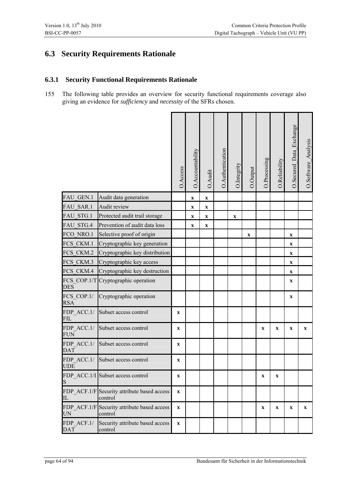# **6.3 Security Requirements Rationale**

## **6.3.1 Security Functional Requirements Rationale**

155 The following table provides an overview for security functional requirements coverage also giving an evidence for *sufficiency* and *necessity* of the SFRs chosen.

|                           |                                                        | O.Access    | O.Accountability          | O.Audit     | O.Authentication | O.Integrity | O.Output    | O.Processing | O.Reliability | O.Secured_Data_Exchange   | O.Software_Analysis |
|---------------------------|--------------------------------------------------------|-------------|---------------------------|-------------|------------------|-------------|-------------|--------------|---------------|---------------------------|---------------------|
| FAU GEN.1                 | Audit data generation                                  |             | $\mathbf X$               | $\mathbf X$ |                  |             |             |              |               |                           |                     |
| FAU SAR.1                 | Audit review                                           |             | $\mathbf X$               | $\mathbf X$ |                  |             |             |              |               |                           |                     |
| FAU STG.1                 | Protected audit trail storage                          |             | $\mathbf X$               | $\mathbf X$ |                  | $\mathbf X$ |             |              |               |                           |                     |
| FAU_STG.4                 | Prevention of audit data loss                          |             | $\boldsymbol{\mathrm{X}}$ | $\mathbf X$ |                  |             |             |              |               |                           |                     |
| FCO NRO.1                 | Selective proof of origin                              |             |                           |             |                  |             | $\mathbf X$ |              |               | $\mathbf X$               |                     |
| FCS CKM.1                 | Cryptographic key generation                           |             |                           |             |                  |             |             |              |               | $\mathbf X$               |                     |
| FCS CKM.2                 | Cryptographic key distribution                         |             |                           |             |                  |             |             |              |               | $\boldsymbol{\mathrm{X}}$ |                     |
| FCS CKM.3                 | Cryptographic key access                               |             |                           |             |                  |             |             |              |               | $\mathbf X$               |                     |
| FCS CKM.4                 | Cryptographic key destruction                          |             |                           |             |                  |             |             |              |               | $\mathbf X$               |                     |
| FCS COP.1/T<br><b>DES</b> | Cryptographic operation                                |             |                           |             |                  |             |             |              |               | $\mathbf X$               |                     |
| FCS COP.1/<br><b>RSA</b>  | Cryptographic operation                                |             |                           |             |                  |             |             |              |               | $\boldsymbol{\mathrm{X}}$ |                     |
| FDP ACC.1/<br><b>FIL</b>  | Subset access control                                  | $\mathbf x$ |                           |             |                  |             |             |              |               |                           |                     |
| FDP ACC.1/<br><b>FUN</b>  | Subset access control                                  | $\mathbf X$ |                           |             |                  |             |             | $\mathbf X$  | $\mathbf X$   | $\mathbf X$               | $\mathbf X$         |
| FDP ACC.1/<br><b>DAT</b>  | Subset access control                                  | $\mathbf X$ |                           |             |                  |             |             |              |               |                           |                     |
| FDP ACC.1/<br><b>UDE</b>  | Subset access control                                  | $\mathbf X$ |                           |             |                  |             |             |              |               |                           |                     |
| S                         | FDP ACC.1/I Subset access control                      | $\mathbf x$ |                           |             |                  |             |             | $\mathbf X$  | $\mathbf x$   |                           |                     |
| IL                        | FDP ACF.1/F Security attribute based access<br>control | $\mathbf X$ |                           |             |                  |             |             |              |               |                           |                     |
| UN                        | FDP ACF.1/F Security attribute based access<br>control | $\mathbf X$ |                           |             |                  |             |             | $\mathbf X$  | $\mathbf X$   | $\mathbf X$               | $\mathbf{X}$        |
| FDP ACF.1/<br><b>DAT</b>  | Security attribute based access<br>control             | $\mathbf x$ |                           |             |                  |             |             |              |               |                           |                     |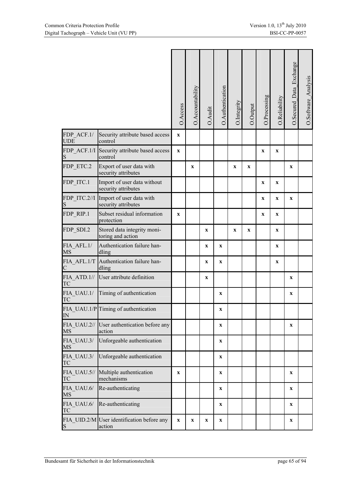|                                                                            |                                                      | O.Access     | O.Accountability          | O.Audit     | O.Authentication | O.Integrity  | O.Output    | O.Processing | O.Reliability | O.Secured_Data_Exchange |  |
|----------------------------------------------------------------------------|------------------------------------------------------|--------------|---------------------------|-------------|------------------|--------------|-------------|--------------|---------------|-------------------------|--|
| FDP ACF.1/<br><b>UDE</b>                                                   | Security attribute based access<br>control           | $\mathbf{X}$ |                           |             |                  |              |             |              |               |                         |  |
| FDP_ACF.1/I<br>S                                                           | Security attribute based access<br>control           | $\mathbf{X}$ |                           |             |                  |              |             | $\mathbf{X}$ | $\mathbf{x}$  |                         |  |
| FDP ETC.2                                                                  | Export of user data with<br>security attributes      |              | $\mathbf x$               |             |                  | $\mathbf X$  | X           |              |               | X                       |  |
| FDP_ITC.1                                                                  | Import of user data without<br>security attributes   |              |                           |             |                  |              |             | $\mathbf X$  | $\mathbf{x}$  |                         |  |
| FDP ITC.2//I<br>S                                                          | Import of user data with<br>security attributes      |              |                           |             |                  |              |             | $\mathbf{x}$ | $\mathbf{x}$  | $\mathbf{x}$            |  |
| FDP_RIP.1                                                                  | Subset residual information<br>protection            | $\mathbf X$  |                           |             |                  |              |             | $\mathbf X$  | $\mathbf X$   |                         |  |
| FDP_SDI.2                                                                  | Stored data integrity moni-<br>toring and action     |              |                           | $\mathbf x$ |                  | $\mathbf{X}$ | $\mathbf x$ |              | $\mathbf{x}$  |                         |  |
| FIA AFL.1/<br><b>MS</b>                                                    | Authentication failure han-<br>dling                 |              |                           | $\mathbf X$ | $\mathbf{X}$     |              |             |              | $\mathbf x$   |                         |  |
| FIA AFL.1/T<br>$\mathsf{C}% _{M_{1},M_{2}}^{\alpha,\beta}(\mathbb{R}^{N})$ | Authentication failure han-<br>dling                 |              |                           | $\mathbf X$ | $\mathbf X$      |              |             |              | $\mathbf X$   |                         |  |
| FIA ATD.1//<br>TC                                                          | User attribute definition                            |              |                           | $\mathbf x$ |                  |              |             |              |               | $\mathbf{x}$            |  |
| FIA UAU.1/<br>TC                                                           | Timing of authentication                             |              |                           |             | $\mathbf X$      |              |             |              |               | $\mathbf x$             |  |
| IN                                                                         | FIA_UAU.1/P Timing of authentication                 |              |                           |             | $\mathbf X$      |              |             |              |               |                         |  |
| FIA UAU.2//<br><b>MS</b>                                                   | User authentication before any<br>action             |              |                           |             | $\mathbf X$      |              |             |              |               | $\mathbf{X}$            |  |
| FIA UAU.3/<br><b>MS</b>                                                    | Unforgeable authentication                           |              |                           |             | $\mathbf X$      |              |             |              |               |                         |  |
| FIA UAU.3/<br>TC                                                           | Unforgeable authentication                           |              |                           |             | $\mathbf X$      |              |             |              |               |                         |  |
| FIA UAU.5//<br>TC                                                          | Multiple authentication<br>mechanisms                | $\mathbf{x}$ |                           |             | $\mathbf X$      |              |             |              |               | $\mathbf{x}$            |  |
| FIA UAU.6/<br><b>MS</b>                                                    | Re-authenticating                                    |              |                           |             | $\mathbf X$      |              |             |              |               | $\mathbf{x}$            |  |
| FIA UAU.6/<br><b>TC</b>                                                    | Re-authenticating                                    |              |                           |             | $\mathbf X$      |              |             |              |               | $\mathbf x$             |  |
| S                                                                          | FIA UID.2/M User identification before any<br>action | $\mathbf{X}$ | $\boldsymbol{\mathrm{X}}$ | $\mathbf X$ | $\mathbf X$      |              |             |              |               | $\mathbf X$             |  |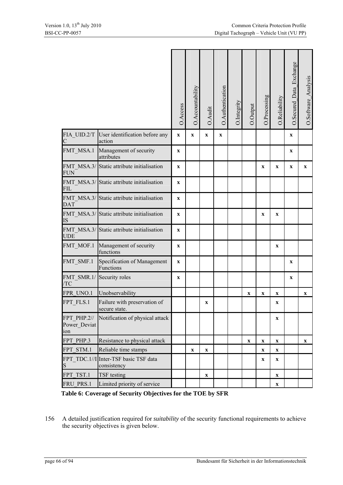|                                    |                                                                                                                                                                            | O.Access     | O.Accountability | O.Audit     | O.Authentication | O.Integrity | O.Output                  | O.Processing              | O.Reliability             | O.Secured Data Exchange   | O.Software_Analysis       |
|------------------------------------|----------------------------------------------------------------------------------------------------------------------------------------------------------------------------|--------------|------------------|-------------|------------------|-------------|---------------------------|---------------------------|---------------------------|---------------------------|---------------------------|
| FIA UID.2/T<br>C                   | User identification before any<br>action                                                                                                                                   | $\mathbf X$  | $\mathbf X$      | X           | $\mathbf X$      |             |                           |                           |                           | X                         |                           |
| FMT MSA.1                          | Management of security<br>attributes                                                                                                                                       | $\mathbf{X}$ |                  |             |                  |             |                           |                           |                           | $\boldsymbol{\mathrm{X}}$ |                           |
| FMT_MSA.3/<br><b>FUN</b>           | Static attribute initialisation                                                                                                                                            | $\mathbf{x}$ |                  |             |                  |             |                           | $\mathbf X$               | $\mathbf x$               | $\mathbf x$               | $\mathbf{X}$              |
| FMT MSA.3/<br><b>FIL</b>           | Static attribute initialisation                                                                                                                                            | $\mathbf X$  |                  |             |                  |             |                           |                           |                           |                           |                           |
| <b>DAT</b>                         | FMT MSA.3/ Static attribute initialisation                                                                                                                                 | $\mathbf{x}$ |                  |             |                  |             |                           |                           |                           |                           |                           |
| FMT MSA.3/<br>IS                   | Static attribute initialisation                                                                                                                                            | $\mathbf{x}$ |                  |             |                  |             |                           | $\mathbf X$               | $\mathbf x$               |                           |                           |
| FMT MSA.3/<br><b>UDE</b>           | Static attribute initialisation                                                                                                                                            | $\mathbf X$  |                  |             |                  |             |                           |                           |                           |                           |                           |
| FMT MOF.1                          | Management of security<br>functions                                                                                                                                        | $\mathbf X$  |                  |             |                  |             |                           |                           | $\mathbf X$               |                           |                           |
| FMT SMF.1                          | Specification of Management<br>Functions                                                                                                                                   | $\mathbf{X}$ |                  |             |                  |             |                           |                           |                           | $\mathbf x$               |                           |
| FMT_SMR.1/<br>/TC                  | Security roles                                                                                                                                                             | X            |                  |             |                  |             |                           |                           |                           | X                         |                           |
| FPR UNO.1                          | Unobservability                                                                                                                                                            |              |                  |             |                  |             | $\mathbf X$               | $\mathbf X$               | $\mathbf X$               |                           | $\boldsymbol{\mathrm{X}}$ |
| FPT FLS.1                          | Failure with preservation of<br>secure state.                                                                                                                              |              |                  | X           |                  |             |                           |                           | $\mathbf X$               |                           |                           |
| FPT PHP.2//<br>Power Deviat<br>10n | Notification of physical attack                                                                                                                                            |              |                  |             |                  |             |                           |                           | $\mathbf X$               |                           |                           |
| FPT PHP.3                          | Resistance to physical attack                                                                                                                                              |              |                  |             |                  |             | $\boldsymbol{\mathrm{X}}$ | $\boldsymbol{\mathrm{X}}$ | $\boldsymbol{\mathrm{X}}$ |                           | $\mathbf X$               |
| FPT STM.1                          | Reliable time stamps                                                                                                                                                       |              | $\mathbf X$      | $\mathbf X$ |                  |             |                           | $\mathbf X$               | $\mathbf X$               |                           |                           |
| S                                  | FPT TDC.1//I Inter-TSF basic TSF data<br>consistency                                                                                                                       |              |                  |             |                  |             |                           | $\mathbf X$               | X                         |                           |                           |
| FPT TST.1                          | TSF testing                                                                                                                                                                |              |                  | $\mathbf X$ |                  |             |                           |                           | $\mathbf X$               |                           |                           |
|                                    | Limited priority of service                                                                                                                                                |              |                  |             |                  |             |                           |                           | $\mathbf X$               |                           |                           |
|                                    |                                                                                                                                                                            |              |                  |             |                  |             |                           |                           |                           |                           |                           |
| FRU PRS.1                          | Table 6: Coverage of Security Objectives for the TOE by SFR<br>A detailed justification required for <i>suitability</i> of the security functional requirements to achieve |              |                  |             |                  |             |                           |                           |                           |                           |                           |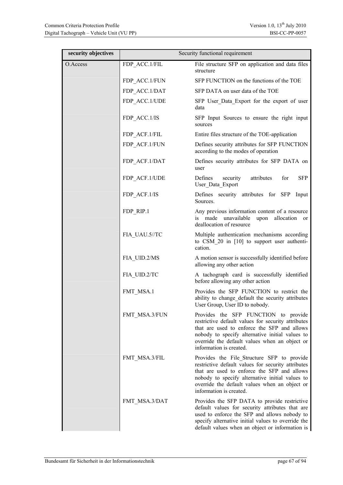| security objectives |               | Security functional requirement                                                                                                                                                                                                                                                |
|---------------------|---------------|--------------------------------------------------------------------------------------------------------------------------------------------------------------------------------------------------------------------------------------------------------------------------------|
| O.Access            | FDP ACC.1/FIL | File structure SFP on application and data files<br>structure                                                                                                                                                                                                                  |
|                     | FDP ACC.1/FUN | SFP FUNCTION on the functions of the TOE                                                                                                                                                                                                                                       |
|                     | FDP ACC.1/DAT | SFP DATA on user data of the TOE                                                                                                                                                                                                                                               |
|                     | FDP ACC.1/UDE | SFP User_Data_Export for the export of user<br>data                                                                                                                                                                                                                            |
|                     | FDP ACC.1/IS  | SFP Input Sources to ensure the right input<br>sources                                                                                                                                                                                                                         |
|                     | FDP ACF.1/FIL | Entire files structure of the TOE-application                                                                                                                                                                                                                                  |
|                     | FDP ACF.1/FUN | Defines security attributes for SFP FUNCTION<br>according to the modes of operation                                                                                                                                                                                            |
|                     | FDP ACF.1/DAT | Defines security attributes for SFP DATA on<br>user                                                                                                                                                                                                                            |
|                     | FDP ACF.1/UDE | attributes<br>Defines<br>security<br>for<br><b>SFP</b><br>User Data Export                                                                                                                                                                                                     |
|                     | FDP ACF.1/IS  | Defines security attributes for SFP Input<br>Sources.                                                                                                                                                                                                                          |
|                     | FDP RIP.1     | Any previous information content of a resource<br>made unavailable<br>upon allocation or<br>is<br>deallocation of resource                                                                                                                                                     |
|                     | FIA_UAU.5//TC | Multiple authentication mechanisms according<br>to CSM 20 in [10] to support user authenti-<br>cation.                                                                                                                                                                         |
|                     | FIA UID.2/MS  | A motion sensor is successfully identified before<br>allowing any other action                                                                                                                                                                                                 |
|                     | FIA UID.2/TC  | A tachograph card is successfully identified<br>before allowing any other action                                                                                                                                                                                               |
|                     | FMT MSA.1     | Provides the SFP FUNCTION to restrict the<br>ability to change default the security attributes<br>User Group, User ID to nobody.                                                                                                                                               |
|                     | FMT_MSA.3/FUN | Provides the SFP FUNCTION to provide<br>restrictive default values for security attributes<br>that are used to enforce the SFP and allows<br>nobody to specify alternative initial values to<br>override the default values when an object or<br>information is created.       |
|                     | FMT_MSA.3/FIL | Provides the File Structure SFP to provide<br>restrictive default values for security attributes<br>that are used to enforce the SFP and allows<br>nobody to specify alternative initial values to<br>override the default values when an object or<br>information is created. |
|                     | FMT_MSA.3/DAT | Provides the SFP DATA to provide restrictive<br>default values for security attributes that are<br>used to enforce the SFP and allows nobody to<br>specify alternative initial values to override the<br>default values when an object or information is                       |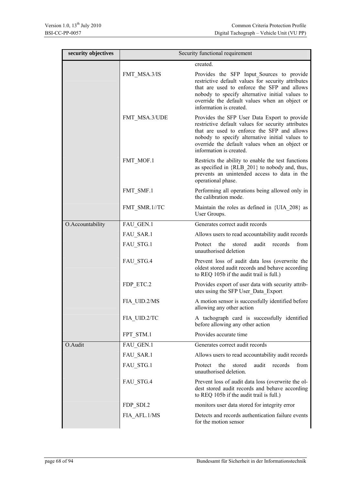| security objectives | Security functional requirement |                                                                                                                                                                                                                                                                                  |  |  |
|---------------------|---------------------------------|----------------------------------------------------------------------------------------------------------------------------------------------------------------------------------------------------------------------------------------------------------------------------------|--|--|
|                     |                                 | created.                                                                                                                                                                                                                                                                         |  |  |
|                     | FMT MSA.3/IS                    | Provides the SFP Input Sources to provide<br>restrictive default values for security attributes<br>that are used to enforce the SFP and allows<br>nobody to specify alternative initial values to<br>override the default values when an object or<br>information is created.    |  |  |
|                     | FMT MSA.3/UDE                   | Provides the SFP User Data Export to provide<br>restrictive default values for security attributes<br>that are used to enforce the SFP and allows<br>nobody to specify alternative initial values to<br>override the default values when an object or<br>information is created. |  |  |
|                     | FMT MOF.1                       | Restricts the ability to enable the test functions<br>as specified in {RLB_201} to nobody and, thus,<br>prevents an unintended access to data in the<br>operational phase.                                                                                                       |  |  |
|                     | FMT SMF.1                       | Performing all operations being allowed only in<br>the calibration mode.                                                                                                                                                                                                         |  |  |
|                     | FMT SMR.1//TC                   | Maintain the roles as defined in {UIA_208} as<br>User Groups.                                                                                                                                                                                                                    |  |  |
| O.Accountability    | FAU_GEN.1                       | Generates correct audit records                                                                                                                                                                                                                                                  |  |  |
|                     | FAU SAR.1                       | Allows users to read accountability audit records                                                                                                                                                                                                                                |  |  |
|                     | FAU STG.1                       | the<br>stored<br>audit<br>records<br>from<br>Protect<br>unauthorised deletion                                                                                                                                                                                                    |  |  |
|                     | FAU_STG.4                       | Prevent loss of audit data loss (overwrite the<br>oldest stored audit records and behave according<br>to REQ 105b if the audit trail is full.)                                                                                                                                   |  |  |
|                     | FDP ETC.2                       | Provides export of user data with security attrib-<br>utes using the SFP User Data Export                                                                                                                                                                                        |  |  |
|                     | FIA UID.2/MS                    | A motion sensor is successfully identified before<br>allowing any other action                                                                                                                                                                                                   |  |  |
|                     | FIA UID.2/TC                    | A tachograph card is successfully identified<br>before allowing any other action                                                                                                                                                                                                 |  |  |
|                     | FPT_STM.1                       | Provides accurate time                                                                                                                                                                                                                                                           |  |  |
| O.Audit             | FAU GEN.1                       | Generates correct audit records                                                                                                                                                                                                                                                  |  |  |
|                     | FAU SAR.1                       | Allows users to read accountability audit records                                                                                                                                                                                                                                |  |  |
|                     | FAU STG.1                       | the<br>stored<br>audit<br>records<br>from<br>Protect<br>unauthorised deletion.                                                                                                                                                                                                   |  |  |
|                     | FAU_STG.4                       | Prevent loss of audit data loss (overwrite the ol-<br>dest stored audit records and behave according<br>to REQ 105b if the audit trail is full.)                                                                                                                                 |  |  |
|                     | FDP_SDI.2                       | monitors user data stored for integrity error                                                                                                                                                                                                                                    |  |  |
|                     | FIA AFL.1/MS                    | Detects and records authentication failure events<br>for the motion sensor                                                                                                                                                                                                       |  |  |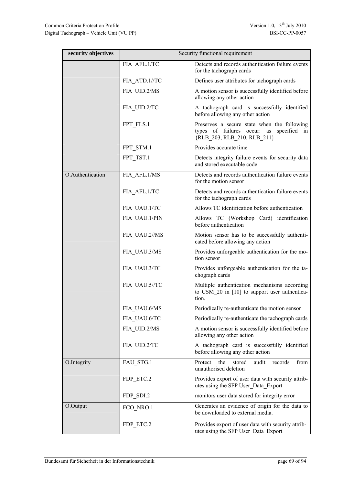| security objectives | Security functional requirement |                                                                                                                           |  |  |  |
|---------------------|---------------------------------|---------------------------------------------------------------------------------------------------------------------------|--|--|--|
|                     | FIA AFL.1/TC                    | Detects and records authentication failure events<br>for the tachograph cards                                             |  |  |  |
|                     | FIA ATD.1//TC                   | Defines user attributes for tachograph cards                                                                              |  |  |  |
|                     | FIA UID.2/MS                    | A motion sensor is successfully identified before<br>allowing any other action                                            |  |  |  |
|                     | FIA UID.2/TC                    | A tachograph card is successfully identified<br>before allowing any other action                                          |  |  |  |
|                     | FPT FLS.1                       | Preserves a secure state when the following<br>types of failures occur: as specified<br>in<br>{RLB_203, RLB_210, RLB_211} |  |  |  |
|                     | FPT STM.1                       | Provides accurate time                                                                                                    |  |  |  |
|                     | FPT TST.1                       | Detects integrity failure events for security data<br>and stored executable code                                          |  |  |  |
| O.Authentication    | FIA_AFL.1/MS                    | Detects and records authentication failure events<br>for the motion sensor                                                |  |  |  |
|                     | FIA AFL.1/TC                    | Detects and records authentication failure events<br>for the tachograph cards                                             |  |  |  |
|                     | FIA UAU.1/TC                    | Allows TC identification before authentication                                                                            |  |  |  |
|                     | FIA UAU.1/PIN                   | Allows TC (Workshop Card) identification<br>before authentication                                                         |  |  |  |
|                     | FIA_UAU.2//MS                   | Motion sensor has to be successfully authenti-<br>cated before allowing any action                                        |  |  |  |
|                     | FIA_UAU.3/MS                    | Provides unforgeable authentication for the mo-<br>tion sensor                                                            |  |  |  |
|                     | FIA_UAU.3/TC                    | Provides unforgeable authentication for the ta-<br>chograph cards                                                         |  |  |  |
|                     | FIA_UAU.5//TC                   | Multiple authentication mechanisms according<br>to CSM 20 in [10] to support user authentica-<br>tion.                    |  |  |  |
|                     | FIA UAU.6/MS                    | Periodically re-authenticate the motion sensor                                                                            |  |  |  |
|                     | FIA UAU.6/TC                    | Periodically re-authenticate the tachograph cards                                                                         |  |  |  |
|                     | FIA_UID.2/MS                    | A motion sensor is successfully identified before<br>allowing any other action                                            |  |  |  |
|                     | FIA UID.2/TC                    | A tachograph card is successfully identified<br>before allowing any other action                                          |  |  |  |
| O.Integrity         | FAU STG.1                       | Protect<br>the<br>stored<br>audit<br>from<br>records<br>unauthorised deletion                                             |  |  |  |
|                     | FDP ETC.2                       | Provides export of user data with security attrib-<br>utes using the SFP User_Data_Export                                 |  |  |  |
|                     | FDP_SDI.2                       | monitors user data stored for integrity error                                                                             |  |  |  |
| O.Output            | FCO NRO.1                       | Generates an evidence of origin for the data to<br>be downloaded to external media.                                       |  |  |  |
|                     | FDP_ETC.2                       | Provides export of user data with security attrib-<br>utes using the SFP User_Data_Export                                 |  |  |  |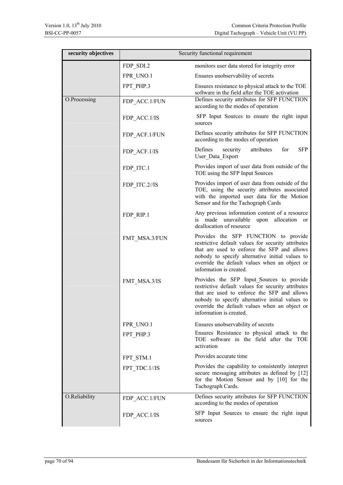| security objectives | Security functional requirement |                                                                                                                                                                                                                                                                               |  |  |  |
|---------------------|---------------------------------|-------------------------------------------------------------------------------------------------------------------------------------------------------------------------------------------------------------------------------------------------------------------------------|--|--|--|
|                     | FDP_SDI.2                       | monitors user data stored for integrity error                                                                                                                                                                                                                                 |  |  |  |
|                     | FPR UNO.1                       | Ensures unobservability of secrets                                                                                                                                                                                                                                            |  |  |  |
|                     | FPT PHP.3                       | Ensures resistance to physical attack to the TOE<br>software in the field after the TOE activation                                                                                                                                                                            |  |  |  |
| O.Processing        | FDP ACC.1/FUN                   | Defines security attributes for SFP FUNCTION<br>according to the modes of operation                                                                                                                                                                                           |  |  |  |
|                     | FDP ACC.1/IS                    | SFP Input Sources to ensure the right input<br>sources                                                                                                                                                                                                                        |  |  |  |
|                     | FDP ACF.1/FUN                   | Defines security attributes for SFP FUNCTION<br>according to the modes of operation                                                                                                                                                                                           |  |  |  |
|                     | FDP ACF.1/IS                    | <b>SFP</b><br>Defines<br>security<br>attributes<br>for<br>User Data Export                                                                                                                                                                                                    |  |  |  |
|                     | FDP ITC.1                       | Provides import of user data from outside of the<br>TOE using the SFP Input Sources                                                                                                                                                                                           |  |  |  |
|                     | FDP ITC.2//IS                   | Provides import of user data from outside of the<br>TOE, using the security attributes associated<br>with the imported user data for the Motion<br>Sensor and for the Tachograph Cards                                                                                        |  |  |  |
|                     | FDP RIP.1                       | Any previous information content of a resource<br>is made unavailable<br>upon allocation<br><sub>or</sub><br>deallocation of resource                                                                                                                                         |  |  |  |
|                     | FMT MSA.3/FUN                   | Provides the SFP FUNCTION to provide<br>restrictive default values for security attributes<br>that are used to enforce the SFP and allows<br>nobody to specify alternative initial values to<br>override the default values when an object or<br>information is created.      |  |  |  |
|                     | FMT MSA.3/IS                    | Provides the SFP Input Sources to provide<br>restrictive default values for security attributes<br>that are used to enforce the SFP and allows<br>nobody to specify alternative initial values to<br>override the default values when an object or<br>information is created. |  |  |  |
|                     | FPR UNO.1                       | Ensures unobservability of secrets                                                                                                                                                                                                                                            |  |  |  |
|                     | FPT PHP.3                       | Ensures Resistance to physical attack to the<br>TOE software in the field after the TOE<br>activation                                                                                                                                                                         |  |  |  |
|                     | FPT STM.1                       | Provides accurate time                                                                                                                                                                                                                                                        |  |  |  |
|                     | FPT TDC.1//IS                   | Provides the capability to consistently interpret<br>secure messaging attributes as defined by [12]<br>for the Motion Sensor and by [10] for the<br>Tachograph Cards.                                                                                                         |  |  |  |
| O.Reliability       | FDP_ACC.1/FUN                   | Defines security attributes for SFP FUNCTION<br>according to the modes of operation                                                                                                                                                                                           |  |  |  |
|                     | FDP_ACC.1/IS                    | SFP Input Sources to ensure the right input<br>sources                                                                                                                                                                                                                        |  |  |  |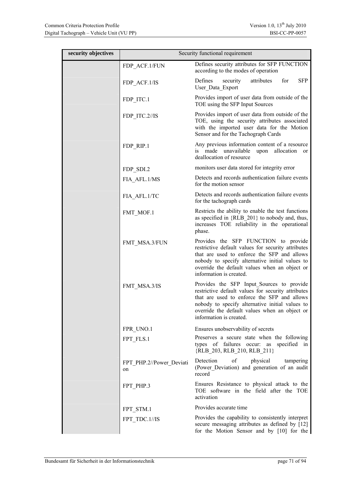| security objectives | Security functional requirement |                                                                                                                                                                                                                                                                               |  |  |  |  |
|---------------------|---------------------------------|-------------------------------------------------------------------------------------------------------------------------------------------------------------------------------------------------------------------------------------------------------------------------------|--|--|--|--|
|                     | FDP_ACF.1/FUN                   | Defines security attributes for SFP FUNCTION<br>according to the modes of operation                                                                                                                                                                                           |  |  |  |  |
|                     | FDP ACF.1/IS                    | <b>SFP</b><br>Defines<br>security<br>attributes<br>for<br>User_Data_Export                                                                                                                                                                                                    |  |  |  |  |
|                     | FDP ITC.1                       | Provides import of user data from outside of the<br>TOE using the SFP Input Sources                                                                                                                                                                                           |  |  |  |  |
|                     | FDP_ITC.2//IS                   | Provides import of user data from outside of the<br>TOE, using the security attributes associated<br>with the imported user data for the Motion<br>Sensor and for the Tachograph Cards                                                                                        |  |  |  |  |
|                     | FDP RIP.1                       | Any previous information content of a resource<br>unavailable<br>upon<br>is made<br>allocation<br><sub>or</sub><br>deallocation of resource                                                                                                                                   |  |  |  |  |
|                     | FDP SDI.2                       | monitors user data stored for integrity error                                                                                                                                                                                                                                 |  |  |  |  |
|                     | FIA AFL.1/MS                    | Detects and records authentication failure events<br>for the motion sensor                                                                                                                                                                                                    |  |  |  |  |
|                     | FIA AFL.1/TC                    | Detects and records authentication failure events<br>for the tachograph cards                                                                                                                                                                                                 |  |  |  |  |
|                     | FMT MOF.1                       | Restricts the ability to enable the test functions<br>as specified in {RLB 201} to nobody and, thus,<br>increases TOE reliability in the operational<br>phase.                                                                                                                |  |  |  |  |
|                     | FMT MSA.3/FUN                   | Provides the SFP FUNCTION to provide<br>restrictive default values for security attributes<br>that are used to enforce the SFP and allows<br>nobody to specify alternative initial values to<br>override the default values when an object or<br>information is created.      |  |  |  |  |
|                     | FMT MSA.3/IS                    | Provides the SFP Input_Sources to provide<br>restrictive default values for security attributes<br>that are used to enforce the SFP and allows<br>nobody to specify alternative initial values to<br>override the default values when an object or<br>information is created. |  |  |  |  |
|                     | FPR UNO.1                       | Ensures unobservability of secrets                                                                                                                                                                                                                                            |  |  |  |  |
|                     | FPT FLS.1                       | Preserves a secure state when the following<br>types of failures occur: as specified in<br>{RLB_203, RLB_210, RLB_211}                                                                                                                                                        |  |  |  |  |
|                     | FPT_PHP.2//Power_Deviati<br>on  | of<br>Detection<br>physical<br>tampering<br>(Power Deviation) and generation of an audit<br>record                                                                                                                                                                            |  |  |  |  |
|                     | FPT_PHP.3                       | Ensures Resistance to physical attack to the<br>TOE software in the field after the TOE<br>activation                                                                                                                                                                         |  |  |  |  |
|                     | FPT_STM.1                       | Provides accurate time                                                                                                                                                                                                                                                        |  |  |  |  |
|                     | FPT_TDC.1//IS                   | Provides the capability to consistently interpret<br>secure messaging attributes as defined by [12]<br>for the Motion Sensor and by [10] for the                                                                                                                              |  |  |  |  |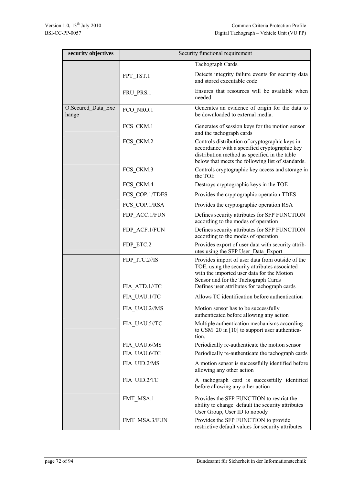| security objectives         | Security functional requirement |                                                                                                                                                                                                       |  |  |  |
|-----------------------------|---------------------------------|-------------------------------------------------------------------------------------------------------------------------------------------------------------------------------------------------------|--|--|--|
|                             |                                 | Tachograph Cards.                                                                                                                                                                                     |  |  |  |
|                             | FPT TST.1                       | Detects integrity failure events for security data<br>and stored executable code                                                                                                                      |  |  |  |
|                             | FRU_PRS.1                       | Ensures that resources will be available when<br>needed                                                                                                                                               |  |  |  |
| O.Secured_Data_Exc<br>hange | FCO NRO.1                       | Generates an evidence of origin for the data to<br>be downloaded to external media.                                                                                                                   |  |  |  |
|                             | FCS_CKM.1                       | Generates of session keys for the motion sensor<br>and the tachograph cards                                                                                                                           |  |  |  |
|                             | FCS_CKM.2                       | Controls distribution of cryptographic keys in<br>accordance with a specified cryptographic key<br>distribution method as specified in the table<br>below that meets the following list of standards. |  |  |  |
|                             | FCS CKM.3                       | Controls cryptographic key access and storage in<br>the TOE                                                                                                                                           |  |  |  |
|                             | FCS CKM.4                       | Destroys cryptographic keys in the TOE                                                                                                                                                                |  |  |  |
|                             | FCS COP.1/TDES                  | Provides the cryptographic operation TDES                                                                                                                                                             |  |  |  |
|                             | FCS COP.1/RSA                   | Provides the cryptographic operation RSA                                                                                                                                                              |  |  |  |
|                             | FDP_ACC.1/FUN                   | Defines security attributes for SFP FUNCTION<br>according to the modes of operation                                                                                                                   |  |  |  |
|                             | FDP_ACF.1/FUN                   | Defines security attributes for SFP FUNCTION<br>according to the modes of operation                                                                                                                   |  |  |  |
|                             | FDP ETC.2                       | Provides export of user data with security attrib-<br>utes using the SFP User_Data_Export                                                                                                             |  |  |  |
|                             | FDP ITC.2//IS                   | Provides import of user data from outside of the<br>TOE, using the security attributes associated<br>with the imported user data for the Motion<br>Sensor and for the Tachograph Cards                |  |  |  |
|                             | FIA ATD.1//TC                   | Defines user attributes for tachograph cards<br>Allows TC identification before authentication                                                                                                        |  |  |  |
|                             | FIA_UAU.1/TC                    |                                                                                                                                                                                                       |  |  |  |
|                             | FIA_UAU.2//MS                   | Motion sensor has to be successfully<br>authenticated before allowing any action                                                                                                                      |  |  |  |
|                             | FIA UAU.5//TC                   | Multiple authentication mechanisms according<br>to CSM $20$ in [10] to support user authentica-<br>tion.                                                                                              |  |  |  |
|                             | FIA UAU.6/MS                    | Periodically re-authenticate the motion sensor                                                                                                                                                        |  |  |  |
|                             | FIA UAU.6/TC                    | Periodically re-authenticate the tachograph cards                                                                                                                                                     |  |  |  |
|                             | FIA_UID.2/MS                    | A motion sensor is successfully identified before<br>allowing any other action                                                                                                                        |  |  |  |
|                             | FIA_UID.2/TC                    | A tachograph card is successfully identified<br>before allowing any other action                                                                                                                      |  |  |  |
|                             | FMT_MSA.1                       | Provides the SFP FUNCTION to restrict the<br>ability to change default the security attributes<br>User Group, User ID to nobody                                                                       |  |  |  |
|                             | FMT_MSA.3/FUN                   | Provides the SFP FUNCTION to provide<br>restrictive default values for security attributes                                                                                                            |  |  |  |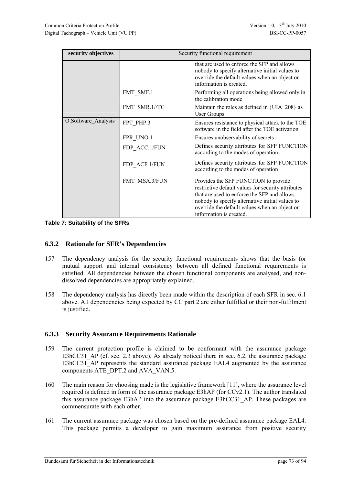| security objectives | Security functional requirement |                                                                                                                                                                                                                                                                          |  |
|---------------------|---------------------------------|--------------------------------------------------------------------------------------------------------------------------------------------------------------------------------------------------------------------------------------------------------------------------|--|
|                     |                                 | that are used to enforce the SFP and allows<br>nobody to specify alternative initial values to<br>override the default values when an object or<br>information is created.                                                                                               |  |
|                     | FMT SMF.1                       | Performing all operations being allowed only in<br>the calibration mode                                                                                                                                                                                                  |  |
|                     | FMT SMR.1//TC                   | Maintain the roles as defined in {UIA 208} as<br><b>User Groups</b>                                                                                                                                                                                                      |  |
| O.Software Analysis | FPT PHP.3                       | Ensures resistance to physical attack to the TOE<br>software in the field after the TOE activation                                                                                                                                                                       |  |
|                     | FPR UNO.1                       | Ensures unobservability of secrets                                                                                                                                                                                                                                       |  |
|                     | FDP_ACC.1/FUN                   | Defines security attributes for SFP FUNCTION<br>according to the modes of operation                                                                                                                                                                                      |  |
|                     | FDP_ACF.1/FUN                   | Defines security attributes for SFP FUNCTION<br>according to the modes of operation                                                                                                                                                                                      |  |
|                     | FMT MSA.3/FUN                   | Provides the SFP FUNCTION to provide<br>restrictive default values for security attributes<br>that are used to enforce the SFP and allows<br>nobody to specify alternative initial values to<br>override the default values when an object or<br>information is created. |  |

**Table 7: Suitability of the SFRs** 

### <span id="page-72-0"></span>**6.3.2 Rationale for SFR's Dependencies**

- 157 The dependency analysis for the security functional requirements shows that the basis for mutual support and internal consistency between all defined functional requirements is satisfied. All dependencies between the chosen functional components are analysed, and nondissolved dependencies are appropriately explained.
- 158 The dependency analysis has directly been made within the description of each SFR in sec. [6.1](#page-33-0) above. All dependencies being expected by CC part 2 are either fulfilled or their non-fulfilment is justified.

### <span id="page-72-1"></span>**6.3.3 Security Assurance Requirements Rationale**

- 159 The current protection profile is claimed to be conformant with the assurance package E3hCC31 AP (cf. sec. [2.3](#page-10-0) above). As already noticed there in sec. [6.2,](#page-61-0) the assurance package E3hCC31 AP represents the standard assurance package EAL4 augmented by the assurance components ATE\_DPT.2 and AVA\_VAN.5.
- 160 The main reason for choosing made is the legislative framework [11], where the assurance level required is defined in form of the assurance package E3hAP (for CCv2.1). The author translated this assurance package E3hAP into the assurance package E3hCC31\_AP. These packages are commensurate with each other.
- 161 The current assurance package was chosen based on the pre-defined assurance package EAL4. This package permits a developer to gain maximum assurance from positive security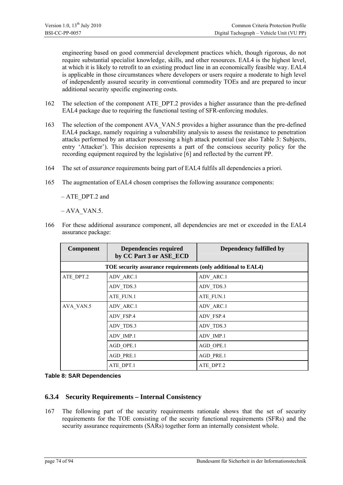engineering based on good commercial development practices which, though rigorous, do not require substantial specialist knowledge, skills, and other resources. EAL4 is the highest level, at which it is likely to retrofit to an existing product line in an economically feasible way. EAL4 is applicable in those circumstances where developers or users require a moderate to high level of independently assured security in conventional commodity TOEs and are prepared to incur additional security specific engineering costs.

- 162 The selection of the component ATE\_DPT.2 provides a higher assurance than the pre-defined EAL4 package due to requiring the functional testing of SFR-enforcing modules.
- 163 The selection of the component AVA\_VAN.5 provides a higher assurance than the pre-defined EAL4 package, namely requiring a vulnerability analysis to assess the resistance to penetration attacks performed by an attacker possessing a high attack potential (see also [Table 3: Subjects,](#page-15-0) entry 'Attacker'). This decision represents a part of the conscious security policy for the recording equipment required by the legislative [6] and reflected by the current PP.
- 164 The set of *assurance* requirements being part of EAL4 fulfils all dependencies a priori.
- 165 The augmentation of EAL4 chosen comprises the following assurance components:

– ATE\_DPT.2 and

 $-$  AVA\_VAN.5.

166 For these additional assurance component, all dependencies are met or exceeded in the EAL4 assurance package:

| <b>Component</b>                                              | <b>Dependencies required</b><br>by CC Part 3 or ASE_ECD | Dependency fulfilled by |  |
|---------------------------------------------------------------|---------------------------------------------------------|-------------------------|--|
| TOE security assurance requirements (only additional to EAL4) |                                                         |                         |  |
| ATE DPT.2                                                     | ADV ARC.1                                               | ADV ARC.1               |  |
|                                                               | ADV TDS.3                                               | ADV TDS.3               |  |
|                                                               | ATE FUN.1                                               | ATE FUN.1               |  |
| AVA VAN.5                                                     | ADV ARC.1                                               | ADV ARC.1               |  |
|                                                               | ADV FSP.4                                               | ADV FSP.4               |  |
|                                                               | ADV TDS.3                                               | ADV TDS.3               |  |
|                                                               | ADV IMP.1                                               | ADV IMP.1               |  |
|                                                               | AGD OPE.1                                               | AGD OPE.1               |  |
|                                                               | AGD PRE.1                                               | AGD PRE.1               |  |
|                                                               | ATE DPT.1                                               | ATE DPT.2               |  |

**Table 8: SAR Dependencies** 

### **6.3.4 Security Requirements – Internal Consistency**

167 The following part of the security requirements rationale shows that the set of security requirements for the TOE consisting of the security functional requirements (SFRs) and the security assurance requirements (SARs) together form an internally consistent whole.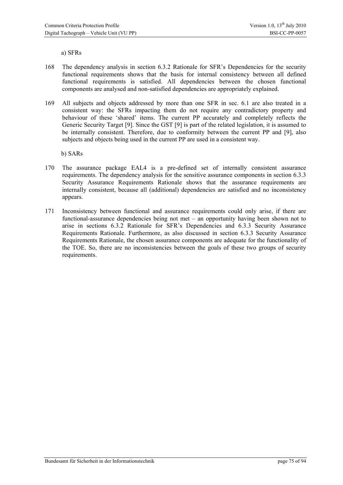a) SFRs

- 168 The dependency analysis in section [6.3.2](#page-72-0) [Rationale for SFR's Dependencies](#page-72-0) for the security functional requirements shows that the basis for internal consistency between all defined functional requirements is satisfied. All dependencies between the chosen functional components are analysed and non-satisfied dependencies are appropriately explained.
- 169 All subjects and objects addressed by more than one SFR in sec. [6.1](#page-33-0) are also treated in a consistent way: the SFRs impacting them do not require any contradictory property and behaviour of these 'shared' items. The current PP accurately and completely reflects the Generic Security Target [9]. Since the GST [9] is part of the related legislation, it is assumed to be internally consistent. Therefore, due to conformity between the current PP and [9], also subjects and objects being used in the current PP are used in a consistent way.

b) SARs

- 170 The assurance package EAL4 is a pre-defined set of internally consistent assurance requirements. The dependency analysis for the sensitive assurance components in section [6.3.3](#page-72-1) [Security Assurance Requirements Rationale](#page-72-1) shows that the assurance requirements are internally consistent, because all (additional) dependencies are satisfied and no inconsistency appears.
- 171 Inconsistency between functional and assurance requirements could only arise, if there are functional-assurance dependencies being not met – an opportunity having been shown not to arise in sections [6.3.2](#page-71-0) [Rationale for SFR's Dependencies](#page-71-0) and [6.3.3](#page-72-1) [Security Assurance](#page-72-1)  [Requirements Rationale.](#page-72-1) Furthermore, as also discussed in section [6.3.3](#page-72-1) [Security Assurance](#page-72-1)  [Requirements Rationale](#page-72-1), the chosen assurance components are adequate for the functionality of the TOE. So, there are no inconsistencies between the goals of these two groups of security requirements.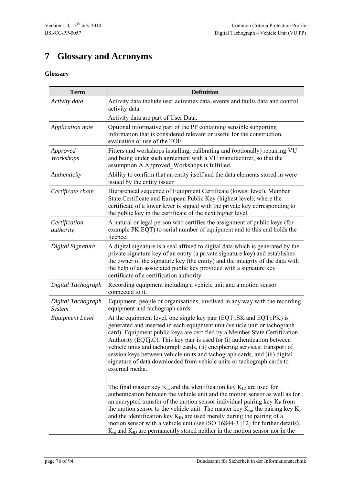# **7 Glossary and Acronyms**

## **Glossary**

| <b>Term</b>                  | <b>Definition</b>                                                                                                                                                                                                                                                                                                                                                                                                                                                                                                                                                                      |  |  |
|------------------------------|----------------------------------------------------------------------------------------------------------------------------------------------------------------------------------------------------------------------------------------------------------------------------------------------------------------------------------------------------------------------------------------------------------------------------------------------------------------------------------------------------------------------------------------------------------------------------------------|--|--|
| Activity data                | Activity data include user activities data, events and faults data and control<br>activity data.<br>Activity data are part of User Data.                                                                                                                                                                                                                                                                                                                                                                                                                                               |  |  |
| Application note             | Optional informative part of the PP containing sensible supporting<br>information that is considered relevant or useful for the construction,<br>evaluation or use of the TOE.                                                                                                                                                                                                                                                                                                                                                                                                         |  |  |
| Approved<br>Workshops        | Fitters and workshops installing, calibrating and (optionally) repairing VU<br>and being under such agreement with a VU manufacturer, so that the<br>assumption A.Approved Workshops is fulfilled.                                                                                                                                                                                                                                                                                                                                                                                     |  |  |
| Authenticity                 | Ability to confirm that an entity itself and the data elements stored in were<br>issued by the entity issuer                                                                                                                                                                                                                                                                                                                                                                                                                                                                           |  |  |
| Certificate chain            | Hierarchical sequence of Equipment Certificate (lowest level), Member<br>State Certificate and European Public Key (highest level), where the<br>certificate of a lower lever is signed with the private key corresponding to<br>the public key in the certificate of the next higher level.                                                                                                                                                                                                                                                                                           |  |  |
| Certification<br>authority   | A natural or legal person who certifies the assignment of public keys (for<br>example PK.EQT) to serial number of equipment and to this end holds the<br>licence.                                                                                                                                                                                                                                                                                                                                                                                                                      |  |  |
| Digital Signature            | A digital signature is a seal affixed to digital data which is generated by the<br>private signature key of an entity (a private signature key) and establishes<br>the owner of the signature key (the entity) and the integrity of the data with<br>the help of an associated public key provided with a signature key<br>certificate of a certification authority.                                                                                                                                                                                                                   |  |  |
| Digital Tachograph           | Recording equipment including a vehicle unit and a motion sensor<br>connected to it.                                                                                                                                                                                                                                                                                                                                                                                                                                                                                                   |  |  |
| Digital Tachograph<br>System | Equipment, people or organisations, involved in any way with the recording<br>equipment and tachograph cards.                                                                                                                                                                                                                                                                                                                                                                                                                                                                          |  |  |
| <b>Equipment Level</b>       | At the equipment level, one single key pair (EQT). SK and EQT j. PK) is<br>generated and inserted in each equipment unit (vehicle unit or tachograph<br>card). Equipment public keys are certified by a Member State Certification<br>Authority (EQTj.C). This key pair is used for (i) authentication between<br>vehicle units and tachograph cards, (ii) enciphering services: transport of<br>session keys between vehicle units and tachograph cards, and (iii) digital<br>signature of data downloaded from vehicle units or tachograph cards to<br>external media.               |  |  |
|                              | The final master key $K_m$ and the identification key $K_{ID}$ are used for<br>authentication between the vehicle unit and the motion sensor as well as for<br>an encrypted transfer of the motion sensor individual pairing key $KP$ from<br>the motion sensor to the vehicle unit. The master key $K_m$ , the pairing key $K_P$<br>and the identification key $K_{ID}$ are used merely during the pairing of a<br>motion sensor with a vehicle unit (see ISO 16844-3 [12] for further details).<br>$K_m$ and $K_{ID}$ are permanently stored neither in the motion sensor nor in the |  |  |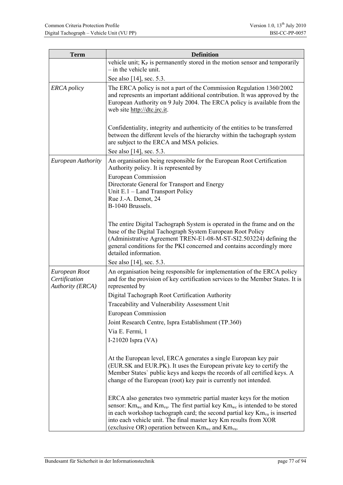| <b>Term</b>                                        | <b>Definition</b>                                                                                                                                                                                                                                                                                                                                                                      |  |  |
|----------------------------------------------------|----------------------------------------------------------------------------------------------------------------------------------------------------------------------------------------------------------------------------------------------------------------------------------------------------------------------------------------------------------------------------------------|--|--|
|                                                    | vehicle unit; $K_{P}$ is permanently stored in the motion sensor and temporarily                                                                                                                                                                                                                                                                                                       |  |  |
|                                                    | - in the vehicle unit.                                                                                                                                                                                                                                                                                                                                                                 |  |  |
|                                                    | See also [14], sec. 5.3.                                                                                                                                                                                                                                                                                                                                                               |  |  |
| <b>ERCA</b> policy                                 | The ERCA policy is not a part of the Commission Regulation 1360/2002<br>and represents an important additional contribution. It was approved by the<br>European Authority on 9 July 2004. The ERCA policy is available from the<br>web site http://dtc.jrc.it.                                                                                                                         |  |  |
|                                                    | Confidentiality, integrity and authenticity of the entities to be transferred<br>between the different levels of the hierarchy within the tachograph system<br>are subject to the ERCA and MSA policies.                                                                                                                                                                               |  |  |
|                                                    | See also [14], sec. 5.3.                                                                                                                                                                                                                                                                                                                                                               |  |  |
| <b>European Authority</b>                          | An organisation being responsible for the European Root Certification<br>Authority policy. It is represented by                                                                                                                                                                                                                                                                        |  |  |
|                                                    | <b>European Commission</b>                                                                                                                                                                                                                                                                                                                                                             |  |  |
|                                                    | Directorate General for Transport and Energy<br>Unit E.1 - Land Transport Policy                                                                                                                                                                                                                                                                                                       |  |  |
|                                                    | Rue J.-A. Demot, 24                                                                                                                                                                                                                                                                                                                                                                    |  |  |
|                                                    | B-1040 Brussels.                                                                                                                                                                                                                                                                                                                                                                       |  |  |
|                                                    | The entire Digital Tachograph System is operated in the frame and on the<br>base of the Digital Tachograph System European Root Policy<br>(Administrative Agreement TREN-E1-08-M-ST-SI2.503224) defining the<br>general conditions for the PKI concerned and contains accordingly more<br>detailed information.                                                                        |  |  |
|                                                    | See also [14], sec. 5.3.                                                                                                                                                                                                                                                                                                                                                               |  |  |
| European Root<br>Certification<br>Authority (ERCA) | An organisation being responsible for implementation of the ERCA policy<br>and for the provision of key certification services to the Member States. It is<br>represented by                                                                                                                                                                                                           |  |  |
|                                                    | Digital Tachograph Root Certification Authority                                                                                                                                                                                                                                                                                                                                        |  |  |
|                                                    | Traceability and Vulnerability Assessment Unit                                                                                                                                                                                                                                                                                                                                         |  |  |
|                                                    | European Commission                                                                                                                                                                                                                                                                                                                                                                    |  |  |
|                                                    | Joint Research Centre, Ispra Establishment (TP.360)                                                                                                                                                                                                                                                                                                                                    |  |  |
|                                                    | Via E. Fermi, 1                                                                                                                                                                                                                                                                                                                                                                        |  |  |
|                                                    | I-21020 Ispra $(VA)$                                                                                                                                                                                                                                                                                                                                                                   |  |  |
|                                                    | At the European level, ERCA generates a single European key pair<br>(EUR.SK and EUR.PK). It uses the European private key to certify the<br>Member States' public keys and keeps the records of all certified keys. A<br>change of the European (root) key pair is currently not intended.                                                                                             |  |  |
|                                                    | ERCA also generates two symmetric partial master keys for the motion<br>sensor: $Km_{wc}$ and $Km_{vu}$ . The first partial key $Km_{wc}$ is intended to be stored<br>in each workshop tachograph card; the second partial key $Km_{vu}$ is inserted<br>into each vehicle unit. The final master key Km results from XOR<br>(exclusive OR) operation between $Km_{wc}$ and $Km_{vu}$ . |  |  |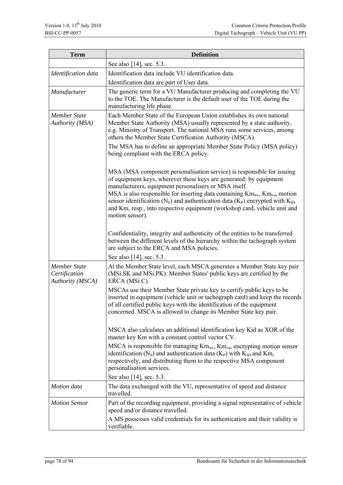| <b>Term</b>                                                     | <b>Definition</b>                                                                                                                                                                                                                                                                                                                                                                                                                                                                                                                             |  |  |
|-----------------------------------------------------------------|-----------------------------------------------------------------------------------------------------------------------------------------------------------------------------------------------------------------------------------------------------------------------------------------------------------------------------------------------------------------------------------------------------------------------------------------------------------------------------------------------------------------------------------------------|--|--|
|                                                                 | See also [14], sec. 5.3.                                                                                                                                                                                                                                                                                                                                                                                                                                                                                                                      |  |  |
| Identification data                                             | Identification data include VU identification data.<br>Identification data are part of User data.                                                                                                                                                                                                                                                                                                                                                                                                                                             |  |  |
| Manufacturer                                                    | The generic term for a VU Manufacturer producing and completing the VU<br>to the TOE. The Manufacturer is the default user of the TOE during the<br>manufacturing life phase.                                                                                                                                                                                                                                                                                                                                                                 |  |  |
| <b>Member State</b><br>Authority (MSA)                          | Each Member State of the European Union establishes its own national<br>Member State Authority (MSA) usually represented by a state authority,<br>e.g. Ministry of Transport. The national MSA runs some services, among<br>others the Member State Certification Authority (MSCA).<br>The MSA has to define an appropriate Member State Policy (MSA policy)<br>being compliant with the ERCA policy.                                                                                                                                         |  |  |
|                                                                 | MSA (MSA component personalisation service) is responsible for issuing<br>of equipment keys, wherever these keys are generated: by equipment<br>manufacturers, equipment personalisers or MSA itself.<br>MSA is also responsible for inserting data containing $\text{Km}_{\text{wc}}$ , $\text{Km}_{\text{vu}}$ , motion<br>sensor identification (N <sub>s</sub> ) and authentication data (K <sub>P</sub> ) encrypted with K <sub>ID</sub><br>and Km, resp., into respective equipment (workshop card, vehicle unit and<br>motion sensor). |  |  |
|                                                                 | Confidentiality, integrity and authenticity of the entities to be transferred<br>between the different levels of the hierarchy within the tachograph system<br>are subject to the ERCA and MSA policies.                                                                                                                                                                                                                                                                                                                                      |  |  |
|                                                                 | See also [14], sec. 5.3.                                                                                                                                                                                                                                                                                                                                                                                                                                                                                                                      |  |  |
| <b>Member State</b><br>Certification<br><b>Authority</b> (MSCA) | At the Member State level, each MSCA generates a Member State key pair<br>(MSi.SK and MSi.PK). Member States' public keys are certified by the<br>ERCA (MSi.C).                                                                                                                                                                                                                                                                                                                                                                               |  |  |
|                                                                 | MSCAs use their Member State private key to certify public keys to be<br>inserted in equipment (vehicle unit or tachograph card) and keep the records<br>of all certified public keys with the identification of the equipment<br>concerned. MSCA is allowed to change its Member State key pair.                                                                                                                                                                                                                                             |  |  |
|                                                                 | MSCA also calculates an additional identification key Kid as XOR of the<br>master key Km with a constant control vector CV.                                                                                                                                                                                                                                                                                                                                                                                                                   |  |  |
|                                                                 | MSCA is responsible for managing $Km_{wc}$ , $Km_{vu}$ , encrypting motion sensor<br>identification (N <sub>S</sub> ) and authentication data (K <sub>P</sub> ) with K <sub>ID</sub> and Km,<br>respectively, and distributing them to the respective MSA component<br>personalisation services.                                                                                                                                                                                                                                              |  |  |
|                                                                 | See also [14], sec. 5.3.                                                                                                                                                                                                                                                                                                                                                                                                                                                                                                                      |  |  |
| Motion data                                                     | The data exchanged with the VU, representative of speed and distance<br>travelled.                                                                                                                                                                                                                                                                                                                                                                                                                                                            |  |  |
| <b>Motion Sensor</b>                                            | Part of the recording equipment, providing a signal representative of vehicle<br>speed and/or distance travelled.                                                                                                                                                                                                                                                                                                                                                                                                                             |  |  |
|                                                                 | A MS possesses valid credentials for its authentication and their validity is<br>verifiable.                                                                                                                                                                                                                                                                                                                                                                                                                                                  |  |  |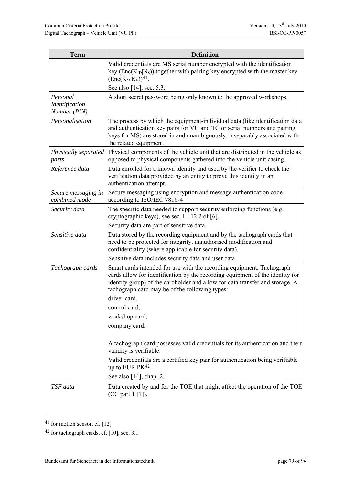| <b>Term</b>                                | <b>Definition</b>                                                                                                                                                                                                                                                                        |  |  |
|--------------------------------------------|------------------------------------------------------------------------------------------------------------------------------------------------------------------------------------------------------------------------------------------------------------------------------------------|--|--|
|                                            | Valid credentials are MS serial number encrypted with the identification<br>key ( $Enc(K_{ID}   N_S)$ ) together with pairing key encrypted with the master key<br>$(Enc(K_M K_P))^{41}$ .                                                                                               |  |  |
|                                            | See also [14], sec. 5.3.                                                                                                                                                                                                                                                                 |  |  |
| Personal<br>Identification<br>Number (PIN) | A short secret password being only known to the approved workshops.                                                                                                                                                                                                                      |  |  |
| Personalisation                            | The process by which the equipment-individual data (like identification data)<br>and authentication key pairs for VU and TC or serial numbers and pairing<br>keys for MS) are stored in and unambiguously, inseparably associated with<br>the related equipment.                         |  |  |
| Physically separated<br>parts              | Physical components of the vehicle unit that are distributed in the vehicle as<br>opposed to physical components gathered into the vehicle unit casing.                                                                                                                                  |  |  |
| Reference data                             | Data enrolled for a known identity and used by the verifier to check the<br>verification data provided by an entity to prove this identity in an<br>authentication attempt.                                                                                                              |  |  |
| Secure messaging in<br>combined mode       | Secure messaging using encryption and message authentication code<br>according to ISO/IEC 7816-4                                                                                                                                                                                         |  |  |
| Security data                              | The specific data needed to support security enforcing functions (e.g.<br>cryptographic keys), see sec. III.12.2 of [6].                                                                                                                                                                 |  |  |
|                                            | Security data are part of sensitive data.                                                                                                                                                                                                                                                |  |  |
| Sensitive data                             | Data stored by the recording equipment and by the tachograph cards that<br>need to be protected for integrity, unauthorised modification and<br>confidentiality (where applicable for security data).                                                                                    |  |  |
|                                            | Sensitive data includes security data and user data.                                                                                                                                                                                                                                     |  |  |
| Tachograph cards                           | Smart cards intended for use with the recording equipment. Tachograph<br>cards allow for identification by the recording equipment of the identity (or<br>identity group) of the cardholder and allow for data transfer and storage. A<br>tachograph card may be of the following types: |  |  |
|                                            | driver card,                                                                                                                                                                                                                                                                             |  |  |
|                                            | control card,                                                                                                                                                                                                                                                                            |  |  |
|                                            | workshop card,                                                                                                                                                                                                                                                                           |  |  |
|                                            | company card.                                                                                                                                                                                                                                                                            |  |  |
|                                            | A tachograph card possesses valid credentials for its authentication and their<br>validity is verifiable.                                                                                                                                                                                |  |  |
|                                            | Valid credentials are a certified key pair for authentication being verifiable<br>up to $EUR.PK42$ .                                                                                                                                                                                     |  |  |
|                                            | See also [14], chap. 2.                                                                                                                                                                                                                                                                  |  |  |
| TSF data                                   | Data created by and for the TOE that might affect the operation of the TOE<br>(CC part 1 [1]).                                                                                                                                                                                           |  |  |

<span id="page-78-0"></span><sup>41</sup> for motion sensor, cf. [12]

<u>.</u>

<span id="page-78-1"></span><sup>42</sup> for tachograph cards, cf. [10], sec. 3.1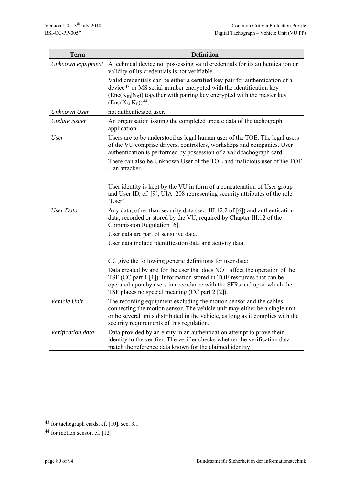| <b>Term</b>       | <b>Definition</b>                                                                                                                                                                                                                                                                |  |  |
|-------------------|----------------------------------------------------------------------------------------------------------------------------------------------------------------------------------------------------------------------------------------------------------------------------------|--|--|
| Unknown equipment | A technical device not possessing valid credentials for its authentication or<br>validity of its credentials is not verifiable.                                                                                                                                                  |  |  |
|                   | Valid credentials can be either a certified key pair for authentication of a<br>device <sup>43</sup> or MS serial number encrypted with the identification key<br>$(Enc(KID NS))$ together with pairing key encrypted with the master key<br>$(\text{Enc}(K_M K_P))^{44}$ .      |  |  |
| Unknown User      | not authenticated user.                                                                                                                                                                                                                                                          |  |  |
| Update issuer     | An organisation issuing the completed update data of the tachograph<br>application                                                                                                                                                                                               |  |  |
| User              | Users are to be understood as legal human user of the TOE. The legal users<br>of the VU comprise drivers, controllers, workshops and companies. User<br>authentication is performed by possession of a valid tachograph card.                                                    |  |  |
|                   | There can also be Unknown User of the TOE and malicious user of the TOE<br>- an attacker.                                                                                                                                                                                        |  |  |
|                   | User identity is kept by the VU in form of a concatenation of User group<br>and User ID, cf. [9], UIA 208 representing security attributes of the role<br>'User'.                                                                                                                |  |  |
| <b>User Data</b>  | Any data, other than security data (sec. III.12.2 of [6]) and authentication<br>data, recorded or stored by the VU, required by Chapter III.12 of the<br>Commission Regulation [6].                                                                                              |  |  |
|                   | User data are part of sensitive data.                                                                                                                                                                                                                                            |  |  |
|                   | User data include identification data and activity data.                                                                                                                                                                                                                         |  |  |
|                   | CC give the following generic definitions for user data:                                                                                                                                                                                                                         |  |  |
|                   | Data created by and for the user that does NOT affect the operation of the<br>TSF (CC part 1 [1]). Information stored in TOE resources that can be<br>operated upon by users in accordance with the SFRs and upon which the<br>TSF places no special meaning (CC part 2 [2]).    |  |  |
| Vehicle Unit      | The recording equipment excluding the motion sensor and the cables<br>connecting the motion sensor. The vehicle unit may either be a single unit<br>or be several units distributed in the vehicle, as long as it complies with the<br>security requirements of this regulation. |  |  |
| Verification data | Data provided by an entity in an authentication attempt to prove their<br>identity to the verifier. The verifier checks whether the verification data<br>match the reference data known for the claimed identity.                                                                |  |  |

<u>.</u>

<span id="page-79-0"></span><sup>43</sup> for tachograph cards, cf. [10], sec. 3.1

<span id="page-79-1"></span><sup>44</sup> for motion sensor, cf. [12]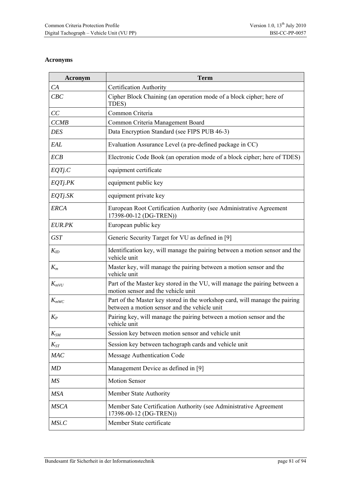## **Acronyms**

| <b>Acronym</b> | <b>Term</b>                                                                                                                 |  |  |
|----------------|-----------------------------------------------------------------------------------------------------------------------------|--|--|
| CA             | <b>Certification Authority</b>                                                                                              |  |  |
| CBC            | Cipher Block Chaining (an operation mode of a block cipher; here of<br>TDES)                                                |  |  |
| CC             | Common Criteria                                                                                                             |  |  |
| <b>CCMB</b>    | Common Criteria Management Board                                                                                            |  |  |
| DES            | Data Encryption Standard (see FIPS PUB 46-3)                                                                                |  |  |
| EAL            | Evaluation Assurance Level (a pre-defined package in CC)                                                                    |  |  |
| <b>ECB</b>     | Electronic Code Book (an operation mode of a block cipher; here of TDES)                                                    |  |  |
| EQTj.C         | equipment certificate                                                                                                       |  |  |
| EQTj.PK        | equipment public key                                                                                                        |  |  |
| EQTj.SK        | equipment private key                                                                                                       |  |  |
| <b>ERCA</b>    | European Root Certification Authority (see Administrative Agreement<br>17398-00-12 (DG-TREN))                               |  |  |
| EUR.PK         | European public key                                                                                                         |  |  |
| <b>GST</b>     | Generic Security Target for VU as defined in [9]                                                                            |  |  |
| $K_{ID}$       | Identification key, will manage the pairing between a motion sensor and the<br>vehicle unit                                 |  |  |
| $K_m$          | Master key, will manage the pairing between a motion sensor and the<br>vehicle unit                                         |  |  |
| $K_{mVU}$      | Part of the Master key stored in the VU, will manage the pairing between a<br>motion sensor and the vehicle unit            |  |  |
| $K_{mWC}$      | Part of the Master key stored in the workshop card, will manage the pairing<br>between a motion sensor and the vehicle unit |  |  |
| $K_P$          | Pairing key, will manage the pairing between a motion sensor and the<br>vehicle unit                                        |  |  |
| $K_{SM}$       | Session key between motion sensor and vehicle unit                                                                          |  |  |
| $K_{ST}$       | Session key between tachograph cards and vehicle unit                                                                       |  |  |
| MAC            | Message Authentication Code                                                                                                 |  |  |
| MD             | Management Device as defined in [9]                                                                                         |  |  |
| MS             | <b>Motion Sensor</b>                                                                                                        |  |  |
| <b>MSA</b>     | Member State Authority                                                                                                      |  |  |
| <b>MSCA</b>    | Member Sate Certification Authority (see Administrative Agreement<br>17398-00-12 (DG-TREN))                                 |  |  |
| MSi.C          | Member State certificate                                                                                                    |  |  |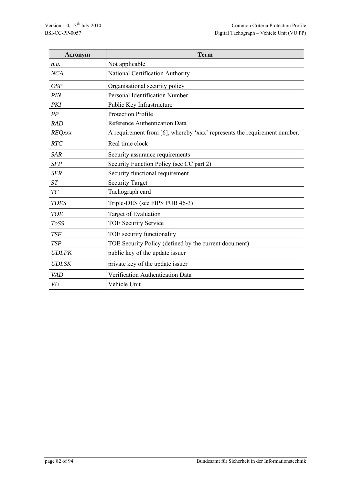| <b>Acronym</b> | <b>Term</b>                                                              |
|----------------|--------------------------------------------------------------------------|
| n.a.           | Not applicable                                                           |
| <b>NCA</b>     | National Certification Authority                                         |
| <b>OSP</b>     | Organisational security policy                                           |
| PIN            | Personal Identification Number                                           |
| PKI            | Public Key Infrastructure                                                |
| PP             | <b>Protection Profile</b>                                                |
| <b>RAD</b>     | Reference Authentication Data                                            |
| <b>REQxxx</b>  | A requirement from [6], whereby 'xxx' represents the requirement number. |
| RTC            | Real time clock                                                          |
| <b>SAR</b>     | Security assurance requirements                                          |
| <b>SFP</b>     | Security Function Policy (see CC part 2)                                 |
| <b>SFR</b>     | Security functional requirement                                          |
| ST             | <b>Security Target</b>                                                   |
| TC             | Tachograph card                                                          |
| <b>TDES</b>    | Triple-DES (see FIPS PUB 46-3)                                           |
| <b>TOE</b>     | Target of Evaluation                                                     |
| ToSS           | <b>TOE Security Service</b>                                              |
| <b>TSF</b>     | TOE security functionality                                               |
| <b>TSP</b>     | TOE Security Policy (defined by the current document)                    |
| <b>UDI.PK</b>  | public key of the update issuer                                          |
| <b>UDI.SK</b>  | private key of the update issuer                                         |
| <b>VAD</b>     | Verification Authentication Data                                         |
| VU             | Vehicle Unit                                                             |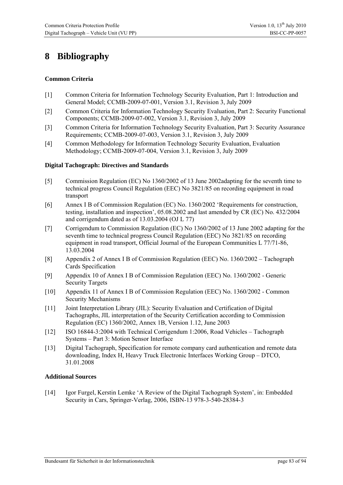## **8 Bibliography**

### **Common Criteria**

- [1] Common Criteria for Information Technology Security Evaluation, Part 1: Introduction and General Model; CCMB-2009-07-001, Version 3.1, Revision 3, July 2009
- [2] Common Criteria for Information Technology Security Evaluation, Part 2: Security Functional Components; CCMB-2009-07-002, Version 3.1, Revision 3, July 2009
- [3] Common Criteria for Information Technology Security Evaluation, Part 3: Security Assurance Requirements; CCMB-2009-07-003, Version 3.1, Revision 3, July 2009
- [4] Common Methodology for Information Technology Security Evaluation, Evaluation Methodology; CCMB-2009-07-004, Version 3.1, Revision 3, July 2009

#### **Digital Tachograph: Directives and Standards**

- [5] Commission Regulation (EC) No 1360/2002 of 13 June 2002adapting for the seventh time to technical progress Council Regulation (EEC) No 3821/85 on recording equipment in road transport
- [6] Annex I B of Commission Regulation (EC) No. 1360/2002 'Requirements for construction, testing, installation and inspection', 05.08.2002 and last amended by CR (EC) No. 432/2004 and corrigendum dated as of 13.03.2004 (OJ L 77)
- [7] Corrigendum to Commission Regulation (EC) No 1360/2002 of 13 June 2002 adapting for the seventh time to technical progress Council Regulation (EEC) No 3821/85 on recording equipment in road transport, Official Journal of the European Communities L 77/71-86, 13.03.2004
- [8] Appendix 2 of Annex I B of Commission Regulation (EEC) No. 1360/2002 Tachograph Cards Specification
- [9] Appendix 10 of Annex I B of Commission Regulation (EEC) No. 1360/2002 Generic Security Targets
- [10] Appendix 11 of Annex I B of Commission Regulation (EEC) No. 1360/2002 Common Security Mechanisms
- [11] Joint Interpretation Library (JIL): Security Evaluation and Certification of Digital Tachographs, JIL interpretation of the Security Certification according to Commission Regulation (EC) 1360/2002, Annex 1B, Version 1.12, June 2003
- [12] ISO 16844-3:2004 with Technical Corrigendum 1:2006, Road Vehicles Tachograph Systems – Part 3: Motion Sensor Interface
- [13] Digital Tachograph, Specification for remote company card authentication and remote data downloading, Index H, Heavy Truck Electronic Interfaces Working Group – DTCO, 31.01.2008

#### **Additional Sources**

[14] Igor Furgel, Kerstin Lemke 'A Review of the Digital Tachograph System', in: Embedded Security in Cars, Springer-Verlag, 2006, ISBN-13 978-3-540-28384-3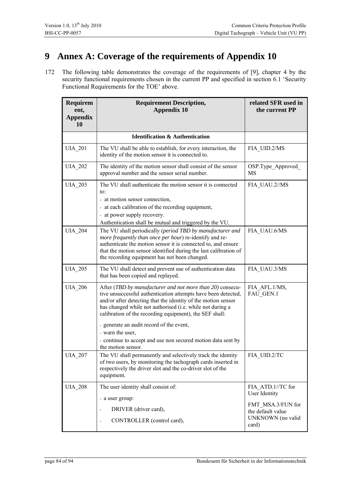## **9 Annex A: Coverage of the requirements of Appendix 10**

172 The following table demonstrates the coverage of the requirements of [9], chapter 4 by the security functional requirements chosen in the current PP and specified in section [6.1](#page-33-0) 'Security [Functional Requirements for the TOE' above](#page-33-0).

| Requirem<br>ent,<br><b>Appendix</b><br>10 | <b>Requirement Description,</b><br><b>Appendix 10</b>                                                                                                                                                                                                                                                                                                                               | related SFR used in<br>the current PP                                |
|-------------------------------------------|-------------------------------------------------------------------------------------------------------------------------------------------------------------------------------------------------------------------------------------------------------------------------------------------------------------------------------------------------------------------------------------|----------------------------------------------------------------------|
|                                           | <b>Identification &amp; Authentication</b>                                                                                                                                                                                                                                                                                                                                          |                                                                      |
|                                           |                                                                                                                                                                                                                                                                                                                                                                                     |                                                                      |
| <b>UIA_201</b>                            | The VU shall be able to establish, for every interaction, the<br>identity of the motion sensor it is connected to.                                                                                                                                                                                                                                                                  | FIA UID.2/MS                                                         |
| <b>UIA 202</b>                            | The identity of the motion sensor shall consist of the sensor<br>approval number and the sensor serial number.                                                                                                                                                                                                                                                                      | OSP.Type_Approved_<br>MS                                             |
| <b>UIA 203</b>                            | The VU shall authenticate the motion sensor it is connected<br>to:<br>- at motion sensor connection,<br>- at each calibration of the recording equipment,<br>- at power supply recovery.<br>Authentication shall be mutual and triggered by the VU.                                                                                                                                 | FIA_UAU.2//MS                                                        |
| <b>UIA 204</b>                            | The VU shall periodically (period TBD by manufacturer and<br>more frequently than once per hour) re-identify and re-<br>authenticate the motion sensor it is connected to, and ensure<br>that the motion sensor identified during the last calibration of<br>the recording equipment has not been changed.                                                                          | FIA UAU.6/MS                                                         |
| <b>UIA 205</b>                            | The VU shall detect and prevent use of authentication data<br>that has been copied and replayed.                                                                                                                                                                                                                                                                                    | FIA UAU.3/MS                                                         |
| <b>UIA 206</b>                            | After (TBD by manufacturer and not more than 20) consecu-<br>tive unsuccessful authentication attempts have been detected,<br>and/or after detecting that the identity of the motion sensor<br>has changed while not authorised (i.e. while not during a<br>calibration of the recording equipment), the SEF shall:<br>- generate an audit record of the event,<br>- warn the user, | FIA AFL.1/MS,<br>FAU GEN.1                                           |
|                                           | - continue to accept and use non secured motion data sent by<br>the motion sensor.                                                                                                                                                                                                                                                                                                  |                                                                      |
| <b>UIA_207</b>                            | The VU shall permanently and selectively track the identity<br>of two users, by monitoring the tachograph cards inserted in<br>respectively the driver slot and the co-driver slot of the<br>equipment.                                                                                                                                                                             | FIA_UID.2/TC                                                         |
| <b>UIA 208</b>                            | The user identity shall consist of:                                                                                                                                                                                                                                                                                                                                                 | FIA ATD.1//TC for<br>User Identity                                   |
|                                           | - a user group:                                                                                                                                                                                                                                                                                                                                                                     |                                                                      |
|                                           | DRIVER (driver card),<br>$\blacksquare$<br>CONTROLLER (control card),<br>$\blacksquare$                                                                                                                                                                                                                                                                                             | FMT MSA.3/FUN for<br>the default value<br>UNKNOWN (no valid<br>card) |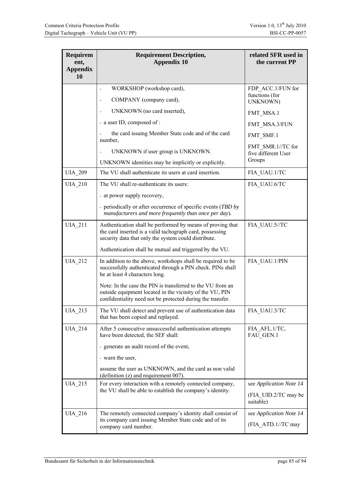| <b>Requirem</b><br>ent,<br><b>Appendix</b><br>10 | <b>Requirement Description,</b><br><b>Appendix 10</b>                                                                                                                                | related SFR used in<br>the current PP    |
|--------------------------------------------------|--------------------------------------------------------------------------------------------------------------------------------------------------------------------------------------|------------------------------------------|
|                                                  |                                                                                                                                                                                      |                                          |
|                                                  | WORKSHOP (workshop card),<br>$\frac{1}{2}$                                                                                                                                           | FDP ACC.1/FUN for<br>functions (for      |
|                                                  | COMPANY (company card),<br>$\overline{\phantom{a}}$                                                                                                                                  | UNKNOWN)                                 |
|                                                  | UNKNOWN (no card inserted),                                                                                                                                                          | FMT MSA.1                                |
|                                                  | - a user ID, composed of :                                                                                                                                                           | FMT MSA.3/FUN                            |
|                                                  | the card issuing Member State code and of the card<br>number,                                                                                                                        | FMT SMF.1                                |
|                                                  | UNKNOWN if user group is UNKNOWN.<br>$\overline{\phantom{0}}$                                                                                                                        | FMT SMR.1//TC for<br>five different User |
|                                                  | UNKNOWN identities may be implicitly or explicitly.                                                                                                                                  | Groups                                   |
| <b>UIA 209</b>                                   | The VU shall authenticate its users at card insertion.                                                                                                                               | FIA UAU.1/TC                             |
| <b>UIA 210</b>                                   | The VU shall re-authenticate its users:                                                                                                                                              | FIA UAU.6/TC                             |
|                                                  | - at power supply recovery,                                                                                                                                                          |                                          |
|                                                  | - periodically or after occurrence of specific events (TBD by<br>manufacturers and more frequently than once per day).                                                               |                                          |
| <b>UIA 211</b>                                   | Authentication shall be performed by means of proving that<br>the card inserted is a valid tachograph card, possessing<br>security data that only the system could distribute.       | FIA UAU.5//TC                            |
|                                                  | Authentication shall be mutual and triggered by the VU.                                                                                                                              |                                          |
| <b>UIA 212</b>                                   | In addition to the above, workshops shall be required to be<br>successfully authenticated through a PIN check. PINs shall<br>be at least 4 characters long.                          | FIA UAU.1/PIN                            |
|                                                  | Note: In the case the PIN is transferred to the VU from an<br>outside equipment located in the vicinity of the VU, PIN<br>confidentiality need not be protected during the transfer. |                                          |
| <b>UIA_213</b>                                   | The VU shall detect and prevent use of authentication data<br>that has been copied and replayed.                                                                                     | FIA_UAU.3/TC                             |
| <b>UIA_214</b>                                   | After 5 consecutive unsuccessful authentication attempts<br>have been detected, the SEF shall:                                                                                       | FIA_AFL.1/TC,<br>FAU_GEN.1               |
|                                                  | - generate an audit record of the event,                                                                                                                                             |                                          |
|                                                  | - warn the user,                                                                                                                                                                     |                                          |
|                                                  | assume the user as UNKNOWN, and the card as non valid<br>(definition (z) and requirement 007).                                                                                       |                                          |
| <b>UIA 215</b>                                   | For every interaction with a remotely connected company,                                                                                                                             | see Application Note 14                  |
|                                                  | the VU shall be able to establish the company's identity.                                                                                                                            | (FIA UID.2/TC may be<br>suitable)        |
| <b>UIA_216</b>                                   | The remotely connected company's identity shall consist of<br>its company card issuing Member State code and of its<br>company card number.                                          | see Application Note 14                  |
|                                                  |                                                                                                                                                                                      | (FIA_ATD.1//TC may                       |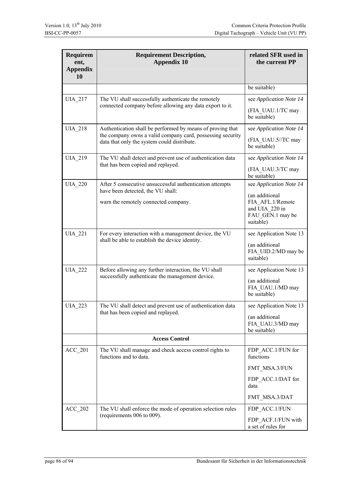| <b>Requirem</b><br>ent,<br><b>Appendix</b><br>10 | <b>Requirement Description,</b><br><b>Appendix 10</b>                                                     | related SFR used in<br>the current PP                                                 |
|--------------------------------------------------|-----------------------------------------------------------------------------------------------------------|---------------------------------------------------------------------------------------|
|                                                  |                                                                                                           | be suitable)                                                                          |
| <b>UIA 217</b>                                   | The VU shall successfully authenticate the remotely                                                       | see Application Note 14                                                               |
|                                                  | connected company before allowing any data export to it.                                                  | (FIA UAU.1/TC may<br>be suitable)                                                     |
| <b>UIA 218</b>                                   | Authentication shall be performed by means of proving that                                                | see Application Note 14                                                               |
|                                                  | the company owns a valid company card, possessing security<br>data that only the system could distribute. | (FIA UAU.5//TC may<br>be suitable)                                                    |
| <b>UIA 219</b>                                   | The VU shall detect and prevent use of authentication data                                                | see Application Note 14                                                               |
|                                                  | that has been copied and replayed.                                                                        | (FIA UAU.3/TC may<br>be suitable)                                                     |
| <b>UIA 220</b>                                   | After 5 consecutive unsuccessful authentication attempts<br>have been detected, the VU shall:             | see Application Note 14                                                               |
|                                                  | warn the remotely connected company.                                                                      | (an additional<br>FIA AFL.1/Remote<br>and UIA 220 in<br>FAU_GEN.1 may be<br>suitable) |
| <b>UIA 221</b>                                   | For every interaction with a management device, the VU                                                    | see Application Note 13                                                               |
|                                                  | shall be able to establish the device identity.                                                           | (an additional<br>FIA UID.2/MD may be<br>suitable)                                    |
| <b>UIA 222</b>                                   | Before allowing any further interaction, the VU shall                                                     | see Application Note 13                                                               |
|                                                  | successfully authenticate the management device.                                                          | (an additional<br>FIA UAU.1/MD may<br>be suitable)                                    |
| <b>UIA_223</b>                                   | The VU shall detect and prevent use of authentication data                                                | see Application Note 13                                                               |
|                                                  | that has been copied and replayed.                                                                        | (an additional<br>FIA UAU.3/MD may<br>be suitable)                                    |
|                                                  | <b>Access Control</b>                                                                                     |                                                                                       |
| $ACC_201$                                        | The VU shall manage and check access control rights to<br>functions and to data.                          | FDP ACC.1/FUN for<br>functions                                                        |
|                                                  |                                                                                                           | FMT_MSA.3/FUN                                                                         |
|                                                  |                                                                                                           | FDP_ACC.1/DAT for<br>data                                                             |
|                                                  |                                                                                                           | FMT_MSA.3/DAT                                                                         |
| <b>ACC 202</b>                                   | The VU shall enforce the mode of operation selection rules                                                | FDP ACC.1/FUN                                                                         |
|                                                  | (requirements 006 to 009).                                                                                | FDP ACF.1/FUN with<br>a set of rules for                                              |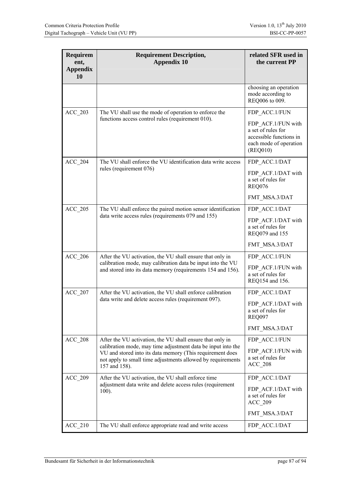| <b>Requirem</b><br>ent,<br><b>Appendix</b><br>10 | <b>Requirement Description,</b><br><b>Appendix 10</b>                                                                                                                                                                                                                  | related SFR used in<br>the current PP                                                                                      |
|--------------------------------------------------|------------------------------------------------------------------------------------------------------------------------------------------------------------------------------------------------------------------------------------------------------------------------|----------------------------------------------------------------------------------------------------------------------------|
|                                                  |                                                                                                                                                                                                                                                                        | choosing an operation<br>mode according to<br>REQ006 to 009.                                                               |
| <b>ACC 203</b>                                   | The VU shall use the mode of operation to enforce the<br>functions access control rules (requirement 010).                                                                                                                                                             | FDP ACC.1/FUN<br>FDP ACF.1/FUN with<br>a set of rules for<br>accessible functions in<br>each mode of operation<br>(REQ010) |
| <b>ACC 204</b>                                   | The VU shall enforce the VU identification data write access<br>rules (requirement 076)                                                                                                                                                                                | FDP ACC.1/DAT<br>FDP ACF.1/DAT with<br>a set of rules for<br><b>REQ076</b><br>FMT_MSA.3/DAT                                |
| <b>ACC 205</b>                                   | The VU shall enforce the paired motion sensor identification<br>data write access rules (requirements 079 and 155)                                                                                                                                                     | FDP ACC.1/DAT<br>FDP ACF.1/DAT with<br>a set of rules for<br>REQ079 and 155<br>FMT_MSA.3/DAT                               |
| <b>ACC 206</b>                                   | After the VU activation, the VU shall ensure that only in<br>calibration mode, may calibration data be input into the VU<br>and stored into its data memory (requirements 154 and 156).                                                                                | FDP ACC.1/FUN<br>FDP ACF.1/FUN with<br>a set of rules for<br>REQ154 and 156.                                               |
| <b>ACC 207</b>                                   | After the VU activation, the VU shall enforce calibration<br>data write and delete access rules (requirement 097).                                                                                                                                                     | FDP ACC.1/DAT<br>FDP ACF.1/DAT with<br>a set of rules for<br><b>REQ097</b><br>FMT_MSA.3/DAT                                |
| <b>ACC 208</b>                                   | After the VU activation, the VU shall ensure that only in<br>calibration mode, may time adjustment data be input into the<br>VU and stored into its data memory (This requirement does<br>not apply to small time adjustments allowed by requirements<br>157 and 158). | FDP ACC.1/FUN<br>FDP ACF.1/FUN with<br>a set of rules for<br><b>ACC 208</b>                                                |
| <b>ACC 209</b>                                   | After the VU activation, the VU shall enforce time<br>adjustment data write and delete access rules (requirement<br>$100$ ).                                                                                                                                           | FDP ACC.1/DAT<br>FDP ACF.1/DAT with<br>a set of rules for<br><b>ACC 209</b><br>FMT_MSA.3/DAT                               |
| $ACC_210$                                        | The VU shall enforce appropriate read and write access                                                                                                                                                                                                                 | FDP_ACC.1/DAT                                                                                                              |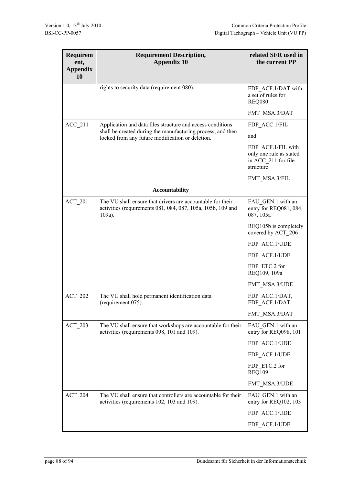| <b>Requirem</b><br>ent,<br><b>Appendix</b><br>10 | <b>Requirement Description,</b><br><b>Appendix 10</b>                                                                               | related SFR used in<br>the current PP                                             |
|--------------------------------------------------|-------------------------------------------------------------------------------------------------------------------------------------|-----------------------------------------------------------------------------------|
|                                                  | rights to security data (requirement 080).                                                                                          | FDP ACF.1/DAT with<br>a set of rules for<br><b>REQ080</b>                         |
|                                                  |                                                                                                                                     | FMT MSA.3/DAT                                                                     |
| <b>ACC 211</b>                                   | Application and data files structure and access conditions                                                                          | FDP ACC.1/FIL                                                                     |
|                                                  | shall be created during the manufacturing process, and then<br>locked from any future modification or deletion.                     | and                                                                               |
|                                                  |                                                                                                                                     | FDP ACF.1/FIL with<br>only one rule as stated<br>in ACC 211 for file<br>structure |
|                                                  |                                                                                                                                     | FMT MSA.3/FIL                                                                     |
|                                                  | <b>Accountability</b>                                                                                                               |                                                                                   |
| <b>ACT 201</b>                                   | The VU shall ensure that drivers are accountable for their<br>activities (requirements 081, 084, 087, 105a, 105b, 109 and<br>109a). | FAU GEN.1 with an<br>entry for REQ081, 084,<br>087, 105a                          |
|                                                  |                                                                                                                                     | REQ105b is completely<br>covered by ACT 206                                       |
|                                                  |                                                                                                                                     | FDP ACC.1/UDE                                                                     |
|                                                  |                                                                                                                                     | FDP_ACF.1/UDE                                                                     |
|                                                  |                                                                                                                                     | FDP ETC.2 for<br>REQ109, 109a                                                     |
|                                                  |                                                                                                                                     | FMT MSA.3/UDE                                                                     |
| <b>ACT 202</b>                                   | The VU shall hold permanent identification data<br>(requirement 075).                                                               | FDP ACC.1/DAT,<br>FDP_ACF.1/DAT                                                   |
|                                                  |                                                                                                                                     | FMT MSA.3/DAT                                                                     |
| <b>ACT 203</b>                                   | The VU shall ensure that workshops are accountable for their<br>activities (requirements 098, 101 and 109).                         | FAU GEN.1 with an<br>entry for REQ098, 101                                        |
|                                                  |                                                                                                                                     | FDP ACC.1/UDE                                                                     |
|                                                  |                                                                                                                                     | FDP ACF.1/UDE                                                                     |
|                                                  |                                                                                                                                     | FDP ETC.2 for<br><b>REQ109</b>                                                    |
|                                                  |                                                                                                                                     | FMT_MSA.3/UDE                                                                     |
| <b>ACT 204</b>                                   | The VU shall ensure that controllers are accountable for their<br>activities (requirements 102, 103 and 109).                       | FAU GEN.1 with an<br>entry for REQ102, 103                                        |
|                                                  |                                                                                                                                     | FDP ACC.1/UDE                                                                     |
|                                                  |                                                                                                                                     | FDP_ACF.1/UDE                                                                     |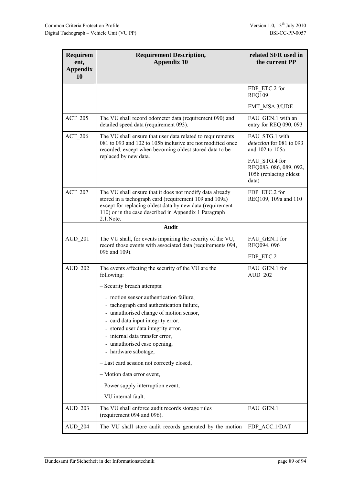| <b>Requirem</b><br>ent,<br><b>Appendix</b><br>10 | <b>Requirement Description,</b><br><b>Appendix 10</b>                                                                                                                                                                                                  | related SFR used in<br>the current PP                                      |
|--------------------------------------------------|--------------------------------------------------------------------------------------------------------------------------------------------------------------------------------------------------------------------------------------------------------|----------------------------------------------------------------------------|
|                                                  |                                                                                                                                                                                                                                                        | FDP ETC.2 for<br><b>REQ109</b>                                             |
|                                                  |                                                                                                                                                                                                                                                        | FMT MSA.3/UDE                                                              |
| $ACT_205$                                        | The VU shall record odometer data (requirement 090) and<br>detailed speed data (requirement 093).                                                                                                                                                      | FAU GEN.1 with an<br>entry for REQ 090, 093                                |
| <b>ACT 206</b>                                   | The VU shall ensure that user data related to requirements<br>081 to 093 and 102 to 105b inclusive are not modified once<br>recorded, except when becoming oldest stored data to be                                                                    | FAU STG.1 with<br>detection for 081 to 093<br>and 102 to 105a              |
|                                                  | replaced by new data.                                                                                                                                                                                                                                  | FAU STG.4 for<br>REQ083, 086, 089, 092,<br>105b (replacing oldest<br>data) |
| ACT 207                                          | The VU shall ensure that it does not modify data already<br>stored in a tachograph card (requirement 109 and 109a)<br>except for replacing oldest data by new data (requirement<br>110) or in the case described in Appendix 1 Paragraph<br>2.1. Note. | FDP ETC.2 for<br>REQ109, 109a and 110                                      |
|                                                  | Audit                                                                                                                                                                                                                                                  |                                                                            |
| <b>AUD 201</b>                                   | The VU shall, for events impairing the security of the VU,<br>record those events with associated data (requirements 094,                                                                                                                              | FAU GEN.1 for<br>REQ094, 096                                               |
|                                                  | 096 and 109).                                                                                                                                                                                                                                          | FDP ETC.2                                                                  |
| <b>AUD 202</b>                                   | The events affecting the security of the VU are the<br>following:                                                                                                                                                                                      | FAU GEN.1 for<br>AUD 202                                                   |
|                                                  | - Security breach attempts:                                                                                                                                                                                                                            |                                                                            |
|                                                  | - motion sensor authentication failure,                                                                                                                                                                                                                |                                                                            |
|                                                  | tachograph card authentication failure,<br>- unauthorised change of motion sensor,                                                                                                                                                                     |                                                                            |
|                                                  | - card data input integrity error,                                                                                                                                                                                                                     |                                                                            |
|                                                  | stored user data integrity error,<br>internal data transfer error,                                                                                                                                                                                     |                                                                            |
|                                                  | unauthorised case opening,<br>- hardware sabotage,                                                                                                                                                                                                     |                                                                            |
|                                                  | - Last card session not correctly closed,                                                                                                                                                                                                              |                                                                            |
|                                                  | - Motion data error event,                                                                                                                                                                                                                             |                                                                            |
|                                                  | - Power supply interruption event,                                                                                                                                                                                                                     |                                                                            |
|                                                  | - VU internal fault.                                                                                                                                                                                                                                   |                                                                            |
| <b>AUD 203</b>                                   | The VU shall enforce audit records storage rules<br>(requirement 094 and 096).                                                                                                                                                                         | FAU_GEN.1                                                                  |
| <b>AUD 204</b>                                   | The VU shall store audit records generated by the motion                                                                                                                                                                                               | FDP ACC.1/DAT                                                              |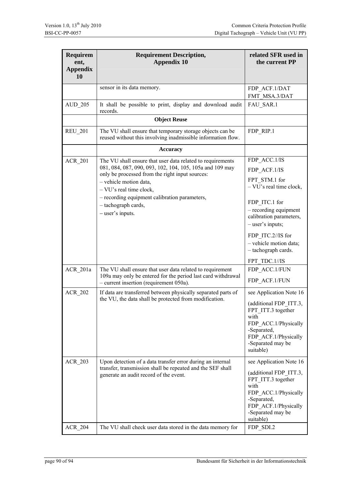| <b>Requirem</b><br>ent,<br><b>Appendix</b><br>10 | <b>Requirement Description,</b><br><b>Appendix 10</b>                                                                     | related SFR used in<br>the current PP                                                                                                                 |
|--------------------------------------------------|---------------------------------------------------------------------------------------------------------------------------|-------------------------------------------------------------------------------------------------------------------------------------------------------|
|                                                  | sensor in its data memory.                                                                                                | FDP ACF.1/DAT                                                                                                                                         |
|                                                  |                                                                                                                           | FMT MSA.3/DAT                                                                                                                                         |
| <b>AUD_205</b>                                   | It shall be possible to print, display and download audit<br>records.                                                     | FAU SAR.1                                                                                                                                             |
|                                                  | <b>Object Reuse</b>                                                                                                       |                                                                                                                                                       |
| <b>REU 201</b>                                   | The VU shall ensure that temporary storage objects can be<br>reused without this involving inadmissible information flow. | FDP RIP.1                                                                                                                                             |
|                                                  | <b>Accuracy</b>                                                                                                           |                                                                                                                                                       |
| <b>ACR_201</b>                                   | The VU shall ensure that user data related to requirements                                                                | FDP ACC.1/IS                                                                                                                                          |
|                                                  | 081, 084, 087, 090, 093, 102, 104, 105, 105a and 109 may<br>only be processed from the right input sources:               | FDP ACF.1/IS                                                                                                                                          |
|                                                  | - vehicle motion data,<br>$-$ VU's real time clock,                                                                       | FPT STM.1 for<br>$-$ VU's real time clock,                                                                                                            |
|                                                  | - recording equipment calibration parameters,                                                                             | FDP ITC.1 for                                                                                                                                         |
|                                                  | - tachograph cards,<br>- user's inputs.                                                                                   | - recording equipment<br>calibration parameters,<br>$-$ user's inputs;                                                                                |
|                                                  |                                                                                                                           | FDP ITC.2//IS for<br>- vehicle motion data;<br>- tachograph cards.                                                                                    |
|                                                  |                                                                                                                           | FPT TDC.1//IS                                                                                                                                         |
| ACR 201a                                         | The VU shall ensure that user data related to requirement<br>109a may only be entered for the period last card withdrawal | FDP ACC.1/FUN                                                                                                                                         |
|                                                  | - current insertion (requirement 050a).                                                                                   | FDP_ACF.1/FUN                                                                                                                                         |
| <b>ACR 202</b>                                   | If data are transferred between physically separated parts of<br>the VU, the data shall be protected from modification.   | see Application Note 16                                                                                                                               |
|                                                  |                                                                                                                           | (additional FDP ITT.3,<br>FPT_ITT.3 together<br>with<br>FDP_ACC.1/Physically<br>-Separated,<br>FDP_ACF.1/Physically<br>-Separated may be<br>suitable) |
| <b>ACR 203</b>                                   | Upon detection of a data transfer error during an internal                                                                | see Application Note 16                                                                                                                               |
|                                                  | transfer, transmission shall be repeated and the SEF shall<br>generate an audit record of the event.                      | (additional FDP_ITT.3,<br>FPT_ITT.3 together<br>with<br>FDP_ACC.1/Physically<br>-Separated,<br>FDP_ACF.1/Physically<br>-Separated may be<br>suitable) |
| <b>ACR 204</b>                                   | The VU shall check user data stored in the data memory for                                                                | FDP SDI.2                                                                                                                                             |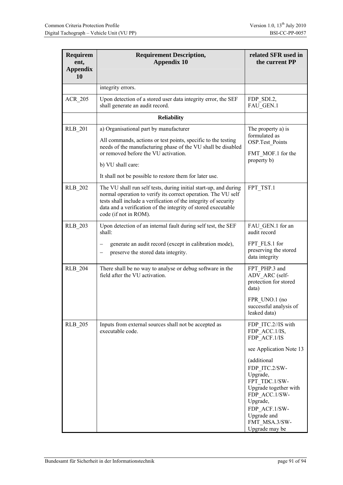| <b>Requirem</b><br>ent,<br><b>Appendix</b><br>10 | <b>Requirement Description,</b><br><b>Appendix 10</b>                                                                                                                                                                                                                                          | related SFR used in<br>the current PP                                                                                                                                                                                                                                |
|--------------------------------------------------|------------------------------------------------------------------------------------------------------------------------------------------------------------------------------------------------------------------------------------------------------------------------------------------------|----------------------------------------------------------------------------------------------------------------------------------------------------------------------------------------------------------------------------------------------------------------------|
|                                                  | integrity errors.                                                                                                                                                                                                                                                                              |                                                                                                                                                                                                                                                                      |
| <b>ACR 205</b>                                   | Upon detection of a stored user data integrity error, the SEF<br>shall generate an audit record.                                                                                                                                                                                               | FDP_SDI.2,<br>FAU GEN.1                                                                                                                                                                                                                                              |
|                                                  | <b>Reliability</b>                                                                                                                                                                                                                                                                             |                                                                                                                                                                                                                                                                      |
| <b>RLB 201</b>                                   | a) Organisational part by manufacturer<br>All commands, actions or test points, specific to the testing<br>needs of the manufacturing phase of the VU shall be disabled<br>or removed before the VU activation.                                                                                | The property a) is<br>formulated as<br><b>OSP.Test Points</b><br>FMT MOF.1 for the                                                                                                                                                                                   |
|                                                  | b) VU shall care:<br>It shall not be possible to restore them for later use.                                                                                                                                                                                                                   | property b)                                                                                                                                                                                                                                                          |
| <b>RLB 202</b>                                   | The VU shall run self tests, during initial start-up, and during<br>normal operation to verify its correct operation. The VU self<br>tests shall include a verification of the integrity of security<br>data and a verification of the integrity of stored executable<br>code (if not in ROM). | FPT TST.1                                                                                                                                                                                                                                                            |
| <b>RLB 203</b>                                   | Upon detection of an internal fault during self test, the SEF<br>shall:<br>generate an audit record (except in calibration mode),<br>—<br>preserve the stored data integrity.<br>-                                                                                                             | FAU GEN.1 for an<br>audit record<br>FPT FLS.1 for<br>preserving the stored<br>data integrity                                                                                                                                                                         |
| <b>RLB 204</b>                                   | There shall be no way to analyse or debug software in the<br>field after the VU activation.                                                                                                                                                                                                    | FPT PHP.3 and<br>ADV ARC (self-<br>protection for stored<br>data)<br>FPR UNO.1 (no<br>successful analysis of<br>leaked data)                                                                                                                                         |
| <b>RLB 205</b>                                   | Inputs from external sources shall not be accepted as<br>executable code.                                                                                                                                                                                                                      | FDP ITC.2//IS with<br>FDP ACC.1/IS,<br>FDP ACF.1/IS<br>see Application Note 13<br>(additional<br>FDP ITC.2/SW-<br>Upgrade,<br>FPT TDC.1/SW-<br>Upgrade together with<br>FDP ACC.1/SW-<br>Upgrade,<br>FDP ACF.1/SW-<br>Upgrade and<br>FMT MSA.3/SW-<br>Upgrade may be |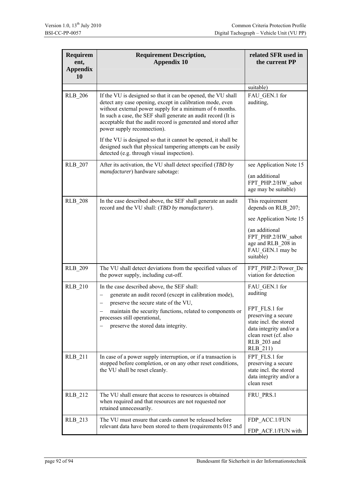| <b>Requirem</b><br>ent,<br><b>Appendix</b><br>10 | <b>Requirement Description,</b><br><b>Appendix 10</b>                                                                                                                                                                                                                                                                                                   | related SFR used in<br>the current PP                                                                                                         |
|--------------------------------------------------|---------------------------------------------------------------------------------------------------------------------------------------------------------------------------------------------------------------------------------------------------------------------------------------------------------------------------------------------------------|-----------------------------------------------------------------------------------------------------------------------------------------------|
|                                                  |                                                                                                                                                                                                                                                                                                                                                         | suitable)                                                                                                                                     |
| <b>RLB 206</b>                                   | If the VU is designed so that it can be opened, the VU shall<br>detect any case opening, except in calibration mode, even<br>without external power supply for a minimum of 6 months.<br>In such a case, the SEF shall generate an audit record (It is<br>acceptable that the audit record is generated and stored after<br>power supply reconnection). | FAU GEN.1 for<br>auditing,                                                                                                                    |
|                                                  | If the VU is designed so that it cannot be opened, it shall be<br>designed such that physical tampering attempts can be easily<br>detected (e.g. through visual inspection).                                                                                                                                                                            |                                                                                                                                               |
| <b>RLB 207</b>                                   | After its activation, the VU shall detect specified (TBD by                                                                                                                                                                                                                                                                                             | see Application Note 15                                                                                                                       |
|                                                  | manufacturer) hardware sabotage:                                                                                                                                                                                                                                                                                                                        | (an additional<br>FPT PHP.2/HW sabot<br>age may be suitable)                                                                                  |
| <b>RLB 208</b>                                   | In the case described above, the SEF shall generate an audit<br>record and the VU shall: (TBD by manufacturer).                                                                                                                                                                                                                                         | This requirement<br>depends on RLB 207;                                                                                                       |
|                                                  |                                                                                                                                                                                                                                                                                                                                                         | see Application Note 15                                                                                                                       |
|                                                  |                                                                                                                                                                                                                                                                                                                                                         | (an additional<br>FPT PHP.2/HW sabot<br>age and RLB 208 in<br>FAU GEN.1 may be<br>suitable)                                                   |
| <b>RLB 209</b>                                   | The VU shall detect deviations from the specified values of<br>the power supply, including cut-off.                                                                                                                                                                                                                                                     | FPT PHP.2//Power De<br>viation for detection                                                                                                  |
| <b>RLB 210</b>                                   | In the case described above, the SEF shall:<br>generate an audit record (except in calibration mode),<br>preserve the secure state of the VU,                                                                                                                                                                                                           | FAU GEN.1 for<br>auditing                                                                                                                     |
|                                                  | maintain the security functions, related to components or<br>processes still operational,<br>preserve the stored data integrity.                                                                                                                                                                                                                        | FPT FLS.1 for<br>preserving a secure<br>state incl. the stored<br>data integrity and/or a<br>clean reset (cf. also<br>RLB 203 and<br>RLB_211) |
| RLB_211                                          | In case of a power supply interruption, or if a transaction is<br>stopped before completion, or on any other reset conditions,<br>the VU shall be reset cleanly.                                                                                                                                                                                        | FPT FLS.1 for<br>preserving a secure<br>state incl. the stored<br>data integrity and/or a<br>clean reset                                      |
| <b>RLB 212</b>                                   | The VU shall ensure that access to resources is obtained<br>when required and that resources are not requested nor<br>retained unnecessarily.                                                                                                                                                                                                           | FRU PRS.1                                                                                                                                     |
| RLB_213                                          | The VU must ensure that cards cannot be released before<br>relevant data have been stored to them (requirements 015 and                                                                                                                                                                                                                                 | FDP ACC.1/FUN<br>FDP ACF.1/FUN with                                                                                                           |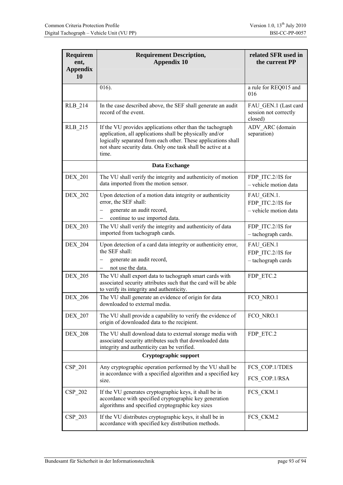| <b>Requirem</b><br>ent,<br><b>Appendix</b><br>10 | <b>Requirement Description,</b><br><b>Appendix 10</b>                                                                                                                                                                                                          | related SFR used in<br>the current PP                    |
|--------------------------------------------------|----------------------------------------------------------------------------------------------------------------------------------------------------------------------------------------------------------------------------------------------------------------|----------------------------------------------------------|
|                                                  | 016).                                                                                                                                                                                                                                                          | a rule for REQ015 and<br>016                             |
| <b>RLB 214</b>                                   | In the case described above, the SEF shall generate an audit<br>record of the event.                                                                                                                                                                           | FAU GEN.1 (Last card<br>session not correctly<br>closed) |
| <b>RLB 215</b>                                   | If the VU provides applications other than the tachograph<br>application, all applications shall be physically and/or<br>logically separated from each other. These applications shall<br>not share security data. Only one task shall be active at a<br>time. | ADV ARC (domain<br>separation)                           |
|                                                  | Data Exchange                                                                                                                                                                                                                                                  |                                                          |
| <b>DEX 201</b>                                   | The VU shall verify the integrity and authenticity of motion<br>data imported from the motion sensor.                                                                                                                                                          | FDP ITC.2//IS for<br>- vehicle motion data               |
| <b>DEX 202</b>                                   | Upon detection of a motion data integrity or authenticity<br>error, the SEF shall:<br>generate an audit record,<br>continue to use imported data.                                                                                                              | FAU_GEN.1.<br>FDP ITC.2//IS for<br>- vehicle motion data |
| <b>DEX 203</b>                                   | The VU shall verify the integrity and authenticity of data<br>imported from tachograph cards.                                                                                                                                                                  | FDP ITC.2//IS for<br>- tachograph cards.                 |
| <b>DEX 204</b>                                   | Upon detection of a card data integrity or authenticity error,<br>the SEF shall:<br>generate an audit record,                                                                                                                                                  | FAU GEN.1<br>FDP ITC.2//IS for<br>- tachograph cards     |
|                                                  | not use the data.                                                                                                                                                                                                                                              |                                                          |
| <b>DEX 205</b>                                   | The VU shall export data to tachograph smart cards with<br>associated security attributes such that the card will be able<br>to verify its integrity and authenticity.                                                                                         | FDP ETC.2                                                |
| <b>DEX 206</b>                                   | The VU shall generate an evidence of origin for data<br>downloaded to external media.                                                                                                                                                                          | FCO NRO.1                                                |
| <b>DEX 207</b>                                   | The VU shall provide a capability to verify the evidence of<br>origin of downloaded data to the recipient.                                                                                                                                                     | FCO NRO.1                                                |
| <b>DEX 208</b>                                   | The VU shall download data to external storage media with<br>associated security attributes such that downloaded data<br>integrity and authenticity can be verified.                                                                                           | FDP ETC.2                                                |
|                                                  | Cryptographic support                                                                                                                                                                                                                                          |                                                          |
| CSP 201                                          | Any cryptographic operation performed by the VU shall be                                                                                                                                                                                                       | FCS_COP.1/TDES                                           |
|                                                  | in accordance with a specified algorithm and a specified key<br>size.                                                                                                                                                                                          | FCS COP.1/RSA                                            |
| $CSP_202$                                        | If the VU generates cryptographic keys, it shall be in<br>accordance with specified cryptographic key generation<br>algorithms and specified cryptographic key sizes                                                                                           | FCS CKM.1                                                |
| CSP 203                                          | If the VU distributes cryptographic keys, it shall be in<br>accordance with specified key distribution methods.                                                                                                                                                | FCS_CKM.2                                                |